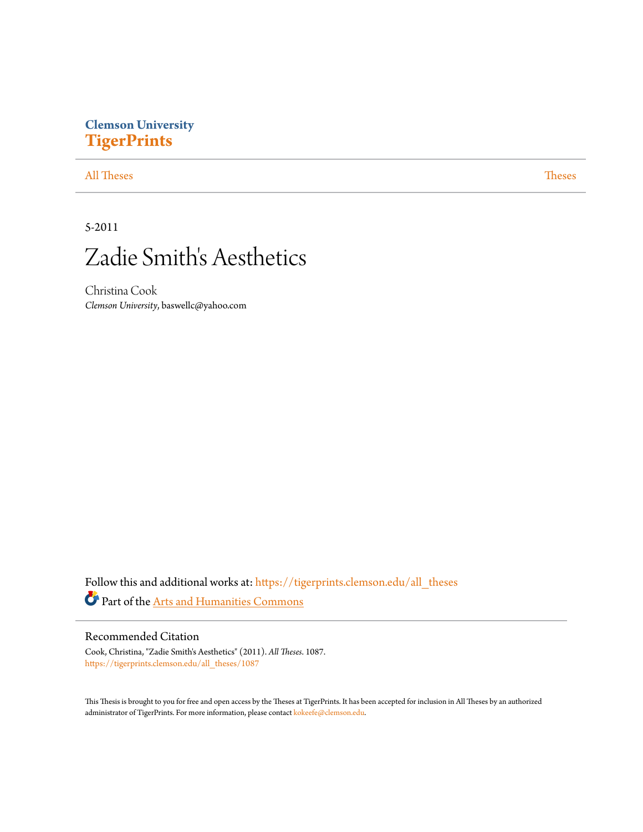# **Clemson University [TigerPrints](https://tigerprints.clemson.edu?utm_source=tigerprints.clemson.edu%2Fall_theses%2F1087&utm_medium=PDF&utm_campaign=PDFCoverPages)**

## [All Theses](https://tigerprints.clemson.edu/all_theses?utm_source=tigerprints.clemson.edu%2Fall_theses%2F1087&utm_medium=PDF&utm_campaign=PDFCoverPages) **[Theses](https://tigerprints.clemson.edu/theses?utm_source=tigerprints.clemson.edu%2Fall_theses%2F1087&utm_medium=PDF&utm_campaign=PDFCoverPages)**

# 5-2011



Christina Cook *Clemson University*, baswellc@yahoo.com

Follow this and additional works at: [https://tigerprints.clemson.edu/all\\_theses](https://tigerprints.clemson.edu/all_theses?utm_source=tigerprints.clemson.edu%2Fall_theses%2F1087&utm_medium=PDF&utm_campaign=PDFCoverPages) Part of the [Arts and Humanities Commons](http://network.bepress.com/hgg/discipline/438?utm_source=tigerprints.clemson.edu%2Fall_theses%2F1087&utm_medium=PDF&utm_campaign=PDFCoverPages)

### Recommended Citation

Cook, Christina, "Zadie Smith's Aesthetics" (2011). *All Theses*. 1087. [https://tigerprints.clemson.edu/all\\_theses/1087](https://tigerprints.clemson.edu/all_theses/1087?utm_source=tigerprints.clemson.edu%2Fall_theses%2F1087&utm_medium=PDF&utm_campaign=PDFCoverPages)

This Thesis is brought to you for free and open access by the Theses at TigerPrints. It has been accepted for inclusion in All Theses by an authorized administrator of TigerPrints. For more information, please contact [kokeefe@clemson.edu](mailto:kokeefe@clemson.edu).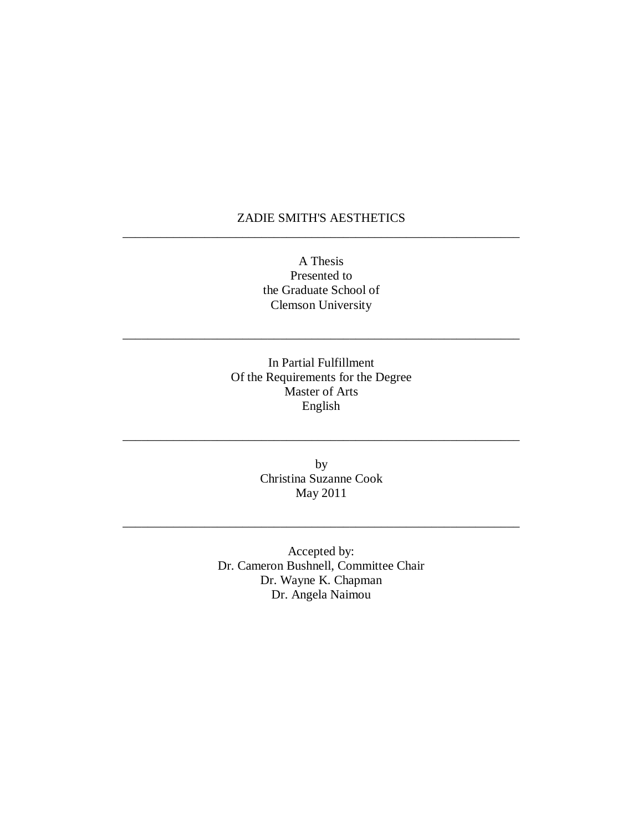## ZADIE SMITH'S AESTHETICS \_\_\_\_\_\_\_\_\_\_\_\_\_\_\_\_\_\_\_\_\_\_\_\_\_\_\_\_\_\_\_\_\_\_\_\_\_\_\_\_\_\_\_\_\_\_\_\_\_\_\_\_\_\_\_\_\_\_\_\_\_\_\_

A Thesis Presented to the Graduate School of Clemson University

\_\_\_\_\_\_\_\_\_\_\_\_\_\_\_\_\_\_\_\_\_\_\_\_\_\_\_\_\_\_\_\_\_\_\_\_\_\_\_\_\_\_\_\_\_\_\_\_\_\_\_\_\_\_\_\_\_\_\_\_\_\_\_

In Partial Fulfillment Of the Requirements for the Degree Master of Arts English

> by Christina Suzanne Cook May 2011

\_\_\_\_\_\_\_\_\_\_\_\_\_\_\_\_\_\_\_\_\_\_\_\_\_\_\_\_\_\_\_\_\_\_\_\_\_\_\_\_\_\_\_\_\_\_\_\_\_\_\_\_\_\_\_\_\_\_\_\_\_\_\_

\_\_\_\_\_\_\_\_\_\_\_\_\_\_\_\_\_\_\_\_\_\_\_\_\_\_\_\_\_\_\_\_\_\_\_\_\_\_\_\_\_\_\_\_\_\_\_\_\_\_\_\_\_\_\_\_\_\_\_\_\_\_\_

Accepted by: Dr. Cameron Bushnell, Committee Chair Dr. Wayne K. Chapman Dr. Angela Naimou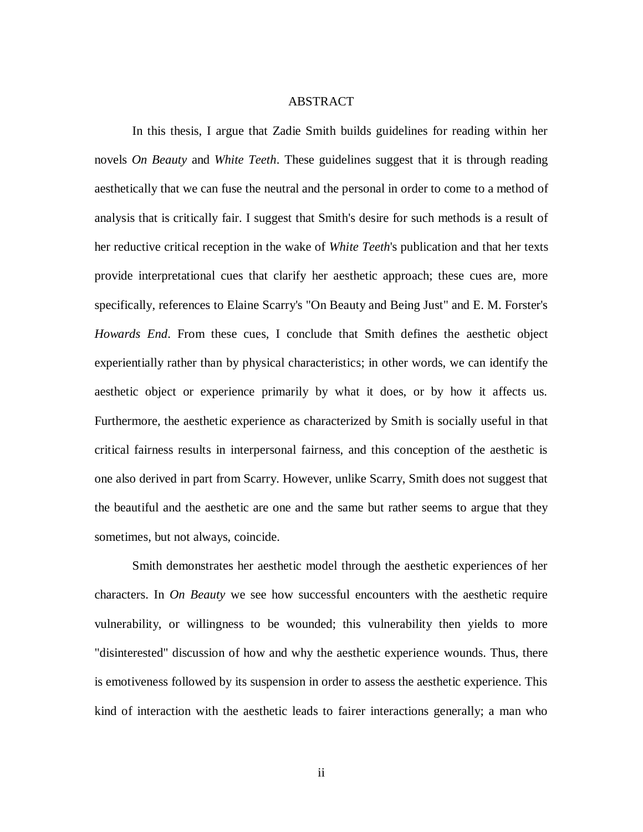#### **ABSTRACT**

In this thesis, I argue that Zadie Smith builds guidelines for reading within her novels *On Beauty* and *White Teeth*. These guidelines suggest that it is through reading aesthetically that we can fuse the neutral and the personal in order to come to a method of analysis that is critically fair. I suggest that Smith's desire for such methods is a result of her reductive critical reception in the wake of *White Teeth*'s publication and that her texts provide interpretational cues that clarify her aesthetic approach; these cues are, more specifically, references to Elaine Scarry's "On Beauty and Being Just" and E. M. Forster's *Howards End*. From these cues, I conclude that Smith defines the aesthetic object experientially rather than by physical characteristics; in other words, we can identify the aesthetic object or experience primarily by what it does, or by how it affects us. Furthermore, the aesthetic experience as characterized by Smith is socially useful in that critical fairness results in interpersonal fairness, and this conception of the aesthetic is one also derived in part from Scarry. However, unlike Scarry, Smith does not suggest that the beautiful and the aesthetic are one and the same but rather seems to argue that they sometimes, but not always, coincide.

Smith demonstrates her aesthetic model through the aesthetic experiences of her characters. In *On Beauty* we see how successful encounters with the aesthetic require vulnerability, or willingness to be wounded; this vulnerability then yields to more "disinterested" discussion of how and why the aesthetic experience wounds. Thus, there is emotiveness followed by its suspension in order to assess the aesthetic experience. This kind of interaction with the aesthetic leads to fairer interactions generally; a man who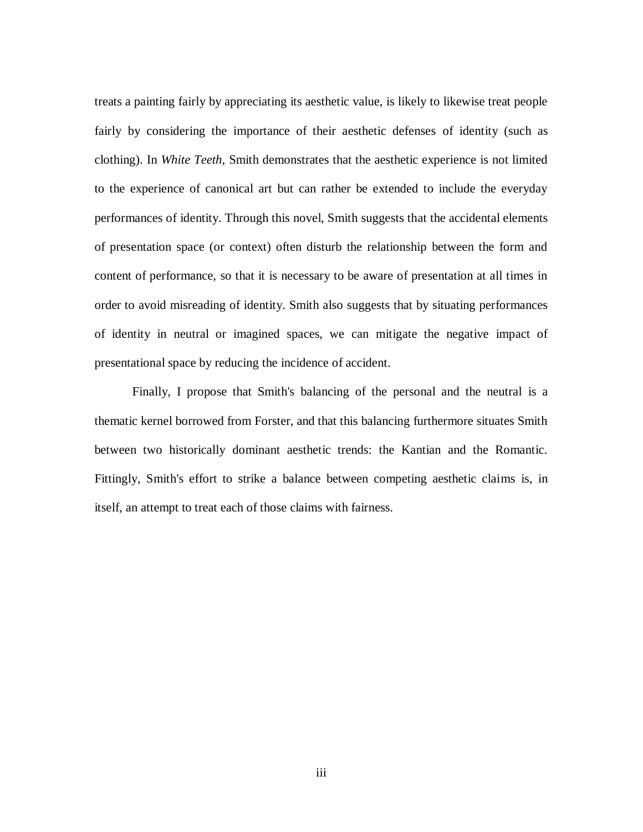treats a painting fairly by appreciating its aesthetic value, is likely to likewise treat people fairly by considering the importance of their aesthetic defenses of identity (such as clothing). In *White Teeth*, Smith demonstrates that the aesthetic experience is not limited to the experience of canonical art but can rather be extended to include the everyday performances of identity. Through this novel, Smith suggests that the accidental elements of presentation space (or context) often disturb the relationship between the form and content of performance, so that it is necessary to be aware of presentation at all times in order to avoid misreading of identity. Smith also suggests that by situating performances of identity in neutral or imagined spaces, we can mitigate the negative impact of presentational space by reducing the incidence of accident.

Finally, I propose that Smith's balancing of the personal and the neutral is a thematic kernel borrowed from Forster, and that this balancing furthermore situates Smith between two historically dominant aesthetic trends: the Kantian and the Romantic. Fittingly, Smith's effort to strike a balance between competing aesthetic claims is, in itself, an attempt to treat each of those claims with fairness.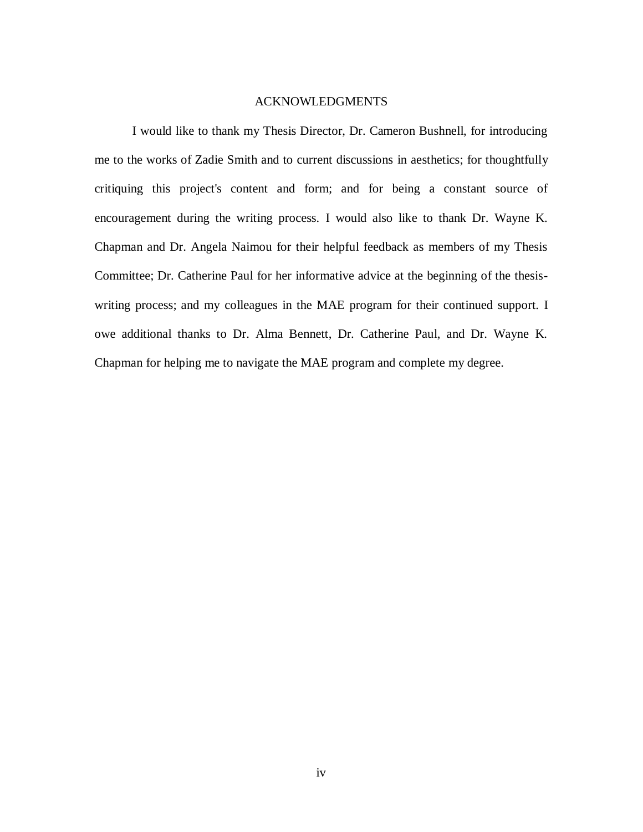#### ACKNOWLEDGMENTS

I would like to thank my Thesis Director, Dr. Cameron Bushnell, for introducing me to the works of Zadie Smith and to current discussions in aesthetics; for thoughtfully critiquing this project's content and form; and for being a constant source of encouragement during the writing process. I would also like to thank Dr. Wayne K. Chapman and Dr. Angela Naimou for their helpful feedback as members of my Thesis Committee; Dr. Catherine Paul for her informative advice at the beginning of the thesiswriting process; and my colleagues in the MAE program for their continued support. I owe additional thanks to Dr. Alma Bennett, Dr. Catherine Paul, and Dr. Wayne K. Chapman for helping me to navigate the MAE program and complete my degree.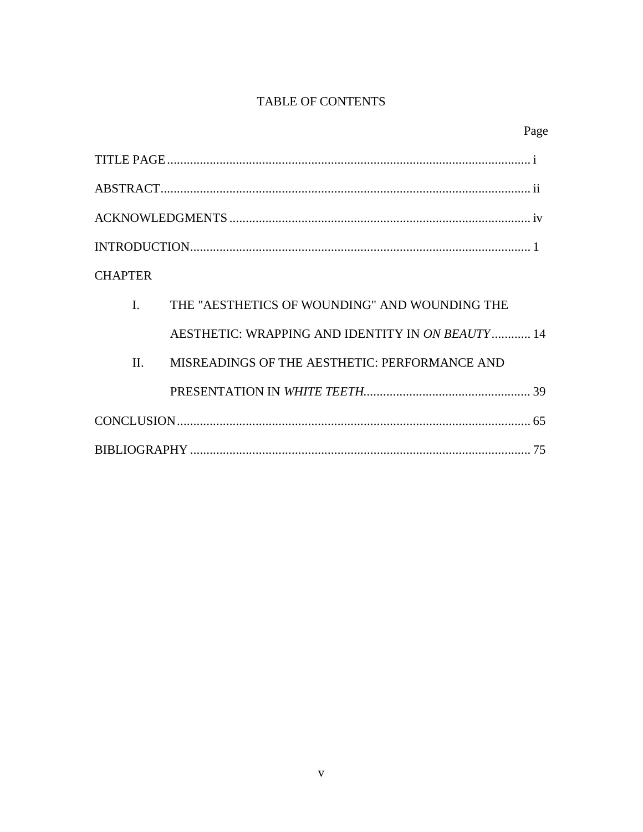# TABLE OF CONTENTS

| <b>CHAPTER</b> |                                                  |  |
|----------------|--------------------------------------------------|--|
| $\mathbf{I}$   | THE "AESTHETICS OF WOUNDING" AND WOUNDING THE    |  |
|                | AESTHETIC: WRAPPING AND IDENTITY IN ON BEAUTY 14 |  |
| $\Pi$          | MISREADINGS OF THE AESTHETIC: PERFORMANCE AND    |  |
|                |                                                  |  |
|                |                                                  |  |
|                |                                                  |  |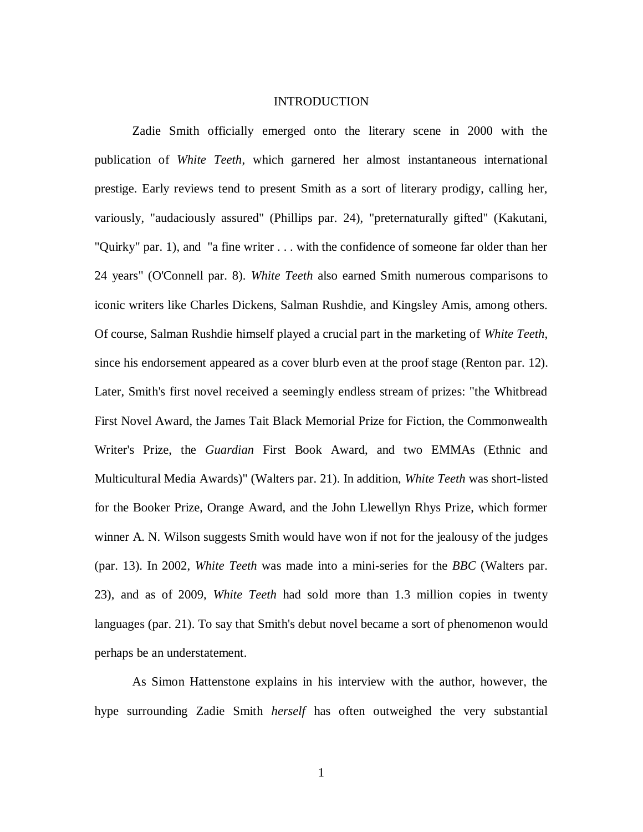#### INTRODUCTION

Zadie Smith officially emerged onto the literary scene in 2000 with the publication of *White Teeth*, which garnered her almost instantaneous international prestige. Early reviews tend to present Smith as a sort of literary prodigy, calling her, variously, "audaciously assured" (Phillips par. 24), "preternaturally gifted" (Kakutani, "Quirky" par. 1), and "a fine writer . . . with the confidence of someone far older than her 24 years" (O'Connell par. 8). *White Teeth* also earned Smith numerous comparisons to iconic writers like Charles Dickens, Salman Rushdie, and Kingsley Amis, among others. Of course, Salman Rushdie himself played a crucial part in the marketing of *White Teeth*, since his endorsement appeared as a cover blurb even at the proof stage (Renton par. 12). Later, Smith's first novel received a seemingly endless stream of prizes: "the Whitbread First Novel Award, the James Tait Black Memorial Prize for Fiction, the Commonwealth Writer's Prize, the *Guardian* First Book Award, and two EMMAs (Ethnic and Multicultural Media Awards)" (Walters par. 21). In addition, *White Teeth* was short-listed for the Booker Prize, Orange Award, and the John Llewellyn Rhys Prize, which former winner A. N. Wilson suggests Smith would have won if not for the jealousy of the judges (par. 13). In 2002, *White Teeth* was made into a mini-series for the *BBC* (Walters par. 23), and as of 2009, *White Teeth* had sold more than 1.3 million copies in twenty languages (par. 21). To say that Smith's debut novel became a sort of phenomenon would perhaps be an understatement.

As Simon Hattenstone explains in his interview with the author, however, the hype surrounding Zadie Smith *herself* has often outweighed the very substantial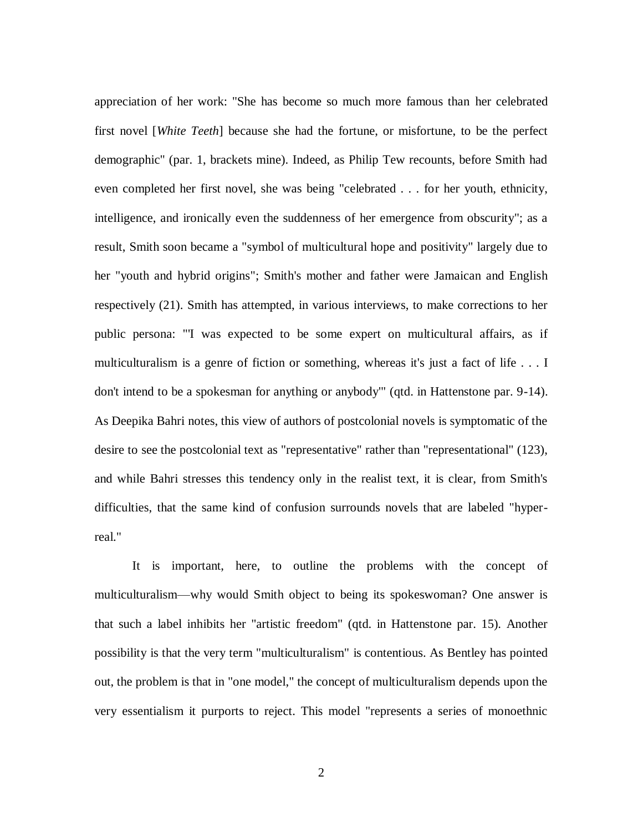appreciation of her work: "She has become so much more famous than her celebrated first novel [*White Teeth*] because she had the fortune, or misfortune, to be the perfect demographic" (par. 1, brackets mine). Indeed, as Philip Tew recounts, before Smith had even completed her first novel, she was being "celebrated . . . for her youth, ethnicity, intelligence, and ironically even the suddenness of her emergence from obscurity"; as a result, Smith soon became a "symbol of multicultural hope and positivity" largely due to her "youth and hybrid origins"; Smith's mother and father were Jamaican and English respectively (21). Smith has attempted, in various interviews, to make corrections to her public persona: "'I was expected to be some expert on multicultural affairs, as if multiculturalism is a genre of fiction or something, whereas it's just a fact of life . . . I don't intend to be a spokesman for anything or anybody'" (qtd. in Hattenstone par. 9-14). As Deepika Bahri notes, this view of authors of postcolonial novels is symptomatic of the desire to see the postcolonial text as "representative" rather than "representational" (123), and while Bahri stresses this tendency only in the realist text, it is clear, from Smith's difficulties, that the same kind of confusion surrounds novels that are labeled "hyperreal."

It is important, here, to outline the problems with the concept of multiculturalism—why would Smith object to being its spokeswoman? One answer is that such a label inhibits her "artistic freedom" (qtd. in Hattenstone par. 15). Another possibility is that the very term "multiculturalism" is contentious. As Bentley has pointed out, the problem is that in "one model," the concept of multiculturalism depends upon the very essentialism it purports to reject. This model "represents a series of monoethnic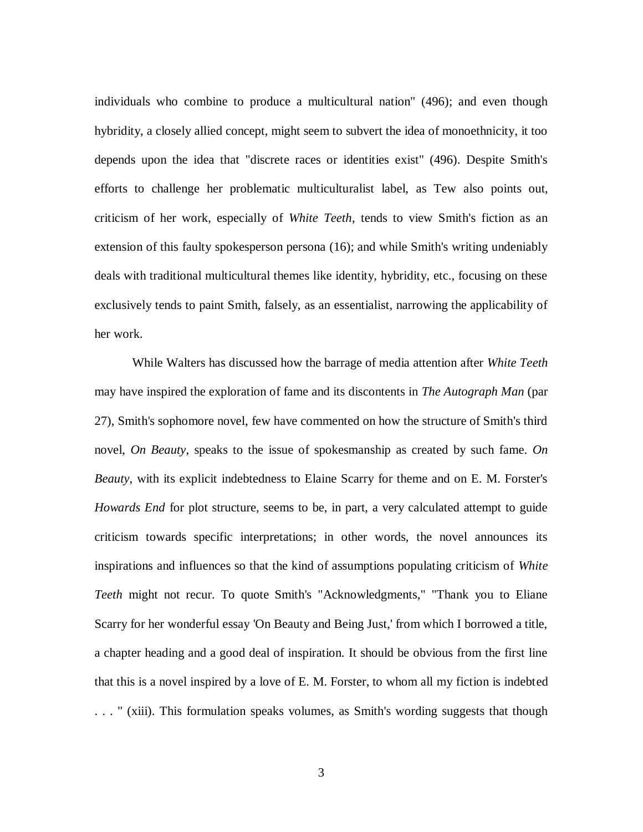individuals who combine to produce a multicultural nation" (496); and even though hybridity, a closely allied concept, might seem to subvert the idea of monoethnicity, it too depends upon the idea that "discrete races or identities exist" (496). Despite Smith's efforts to challenge her problematic multiculturalist label, as Tew also points out, criticism of her work, especially of *White Teeth*, tends to view Smith's fiction as an extension of this faulty spokesperson persona (16); and while Smith's writing undeniably deals with traditional multicultural themes like identity, hybridity, etc., focusing on these exclusively tends to paint Smith, falsely, as an essentialist, narrowing the applicability of her work.

While Walters has discussed how the barrage of media attention after *White Teeth* may have inspired the exploration of fame and its discontents in *The Autograph Man* (par 27), Smith's sophomore novel, few have commented on how the structure of Smith's third novel, *On Beauty*, speaks to the issue of spokesmanship as created by such fame. *On Beauty*, with its explicit indebtedness to Elaine Scarry for theme and on E. M. Forster's *Howards End* for plot structure, seems to be, in part, a very calculated attempt to guide criticism towards specific interpretations; in other words, the novel announces its inspirations and influences so that the kind of assumptions populating criticism of *White Teeth* might not recur. To quote Smith's "Acknowledgments," "Thank you to Eliane Scarry for her wonderful essay 'On Beauty and Being Just,' from which I borrowed a title, a chapter heading and a good deal of inspiration. It should be obvious from the first line that this is a novel inspired by a love of E. M. Forster, to whom all my fiction is indebted . . . " (xiii). This formulation speaks volumes, as Smith's wording suggests that though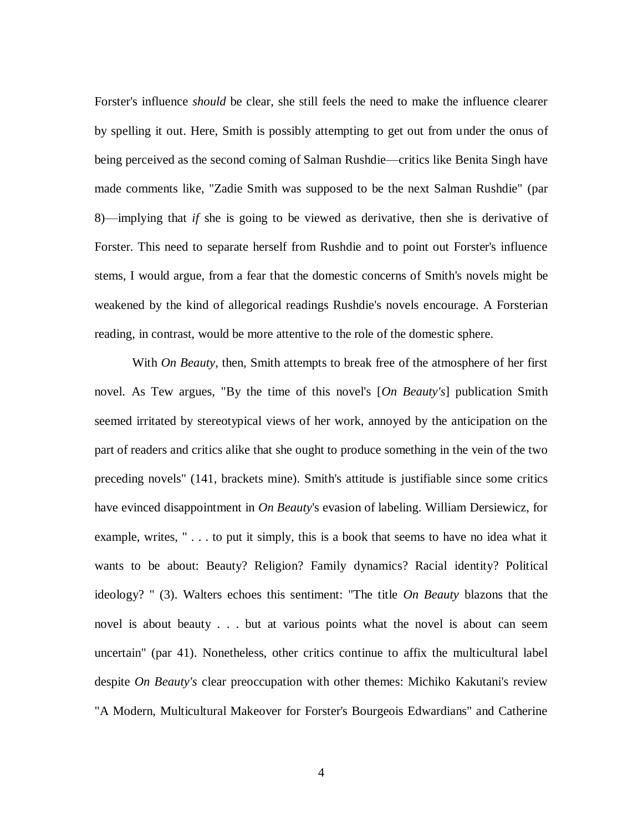Forster's influence *should* be clear, she still feels the need to make the influence clearer by spelling it out. Here, Smith is possibly attempting to get out from under the onus of being perceived as the second coming of Salman Rushdie—critics like Benita Singh have made comments like, "Zadie Smith was supposed to be the next Salman Rushdie" (par 8)—implying that *if* she is going to be viewed as derivative, then she is derivative of Forster. This need to separate herself from Rushdie and to point out Forster's influence stems, I would argue, from a fear that the domestic concerns of Smith's novels might be weakened by the kind of allegorical readings Rushdie's novels encourage. A Forsterian reading, in contrast, would be more attentive to the role of the domestic sphere.

With *On Beauty*, then, Smith attempts to break free of the atmosphere of her first novel. As Tew argues, "By the time of this novel's [*On Beauty's*] publication Smith seemed irritated by stereotypical views of her work, annoyed by the anticipation on the part of readers and critics alike that she ought to produce something in the vein of the two preceding novels" (141, brackets mine). Smith's attitude is justifiable since some critics have evinced disappointment in *On Beauty*'s evasion of labeling. William Dersiewicz, for example, writes, " . . . to put it simply, this is a book that seems to have no idea what it wants to be about: Beauty? Religion? Family dynamics? Racial identity? Political ideology? " (3). Walters echoes this sentiment: "The title *On Beauty* blazons that the novel is about beauty . . . but at various points what the novel is about can seem uncertain" (par 41). Nonetheless, other critics continue to affix the multicultural label despite *On Beauty's* clear preoccupation with other themes: Michiko Kakutani's review "A Modern, Multicultural Makeover for Forster's Bourgeois Edwardians" and Catherine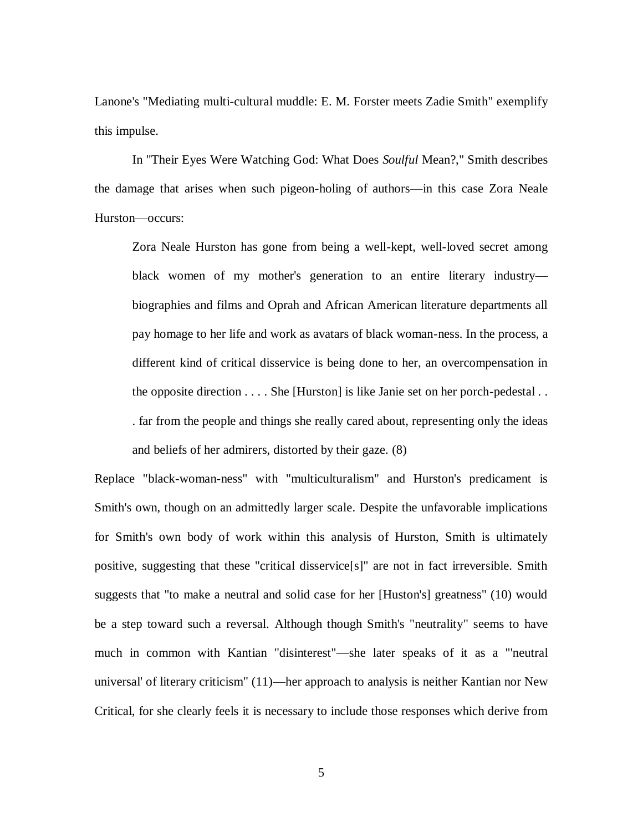Lanone's "Mediating multi-cultural muddle: E. M. Forster meets Zadie Smith" exemplify this impulse.

In "Their Eyes Were Watching God: What Does *Soulful* Mean?," Smith describes the damage that arises when such pigeon-holing of authors—in this case Zora Neale Hurston—occurs:

Zora Neale Hurston has gone from being a well-kept, well-loved secret among black women of my mother's generation to an entire literary industry biographies and films and Oprah and African American literature departments all pay homage to her life and work as avatars of black woman-ness. In the process, a different kind of critical disservice is being done to her, an overcompensation in the opposite direction . . . . She [Hurston] is like Janie set on her porch-pedestal . . . far from the people and things she really cared about, representing only the ideas and beliefs of her admirers, distorted by their gaze. (8)

Replace "black-woman-ness" with "multiculturalism" and Hurston's predicament is Smith's own, though on an admittedly larger scale. Despite the unfavorable implications for Smith's own body of work within this analysis of Hurston, Smith is ultimately positive, suggesting that these "critical disservice[s]" are not in fact irreversible. Smith suggests that "to make a neutral and solid case for her [Huston's] greatness" (10) would be a step toward such a reversal. Although though Smith's "neutrality" seems to have much in common with Kantian "disinterest"—she later speaks of it as a "'neutral universal' of literary criticism" (11)—her approach to analysis is neither Kantian nor New Critical, for she clearly feels it is necessary to include those responses which derive from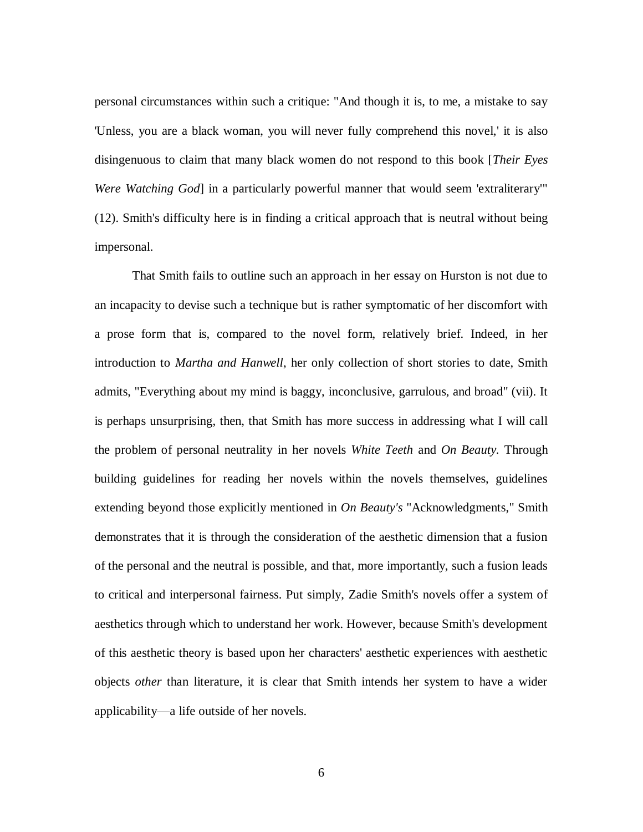personal circumstances within such a critique: "And though it is, to me, a mistake to say 'Unless, you are a black woman, you will never fully comprehend this novel,' it is also disingenuous to claim that many black women do not respond to this book [*Their Eyes Were Watching God* in a particularly powerful manner that would seem 'extraliterary'" (12). Smith's difficulty here is in finding a critical approach that is neutral without being impersonal.

That Smith fails to outline such an approach in her essay on Hurston is not due to an incapacity to devise such a technique but is rather symptomatic of her discomfort with a prose form that is, compared to the novel form, relatively brief. Indeed, in her introduction to *Martha and Hanwell*, her only collection of short stories to date, Smith admits, "Everything about my mind is baggy, inconclusive, garrulous, and broad" (vii). It is perhaps unsurprising, then, that Smith has more success in addressing what I will call the problem of personal neutrality in her novels *White Teeth* and *On Beauty.* Through building guidelines for reading her novels within the novels themselves, guidelines extending beyond those explicitly mentioned in *On Beauty's* "Acknowledgments," Smith demonstrates that it is through the consideration of the aesthetic dimension that a fusion of the personal and the neutral is possible, and that, more importantly, such a fusion leads to critical and interpersonal fairness. Put simply, Zadie Smith's novels offer a system of aesthetics through which to understand her work. However, because Smith's development of this aesthetic theory is based upon her characters' aesthetic experiences with aesthetic objects *other* than literature, it is clear that Smith intends her system to have a wider applicability—a life outside of her novels.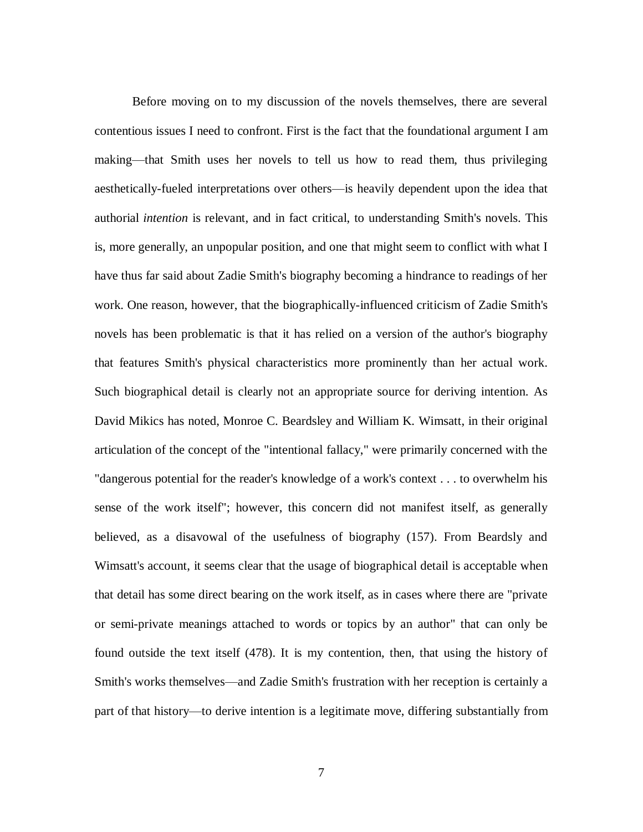Before moving on to my discussion of the novels themselves, there are several contentious issues I need to confront. First is the fact that the foundational argument I am making—that Smith uses her novels to tell us how to read them, thus privileging aesthetically-fueled interpretations over others—is heavily dependent upon the idea that authorial *intention* is relevant, and in fact critical, to understanding Smith's novels. This is, more generally, an unpopular position, and one that might seem to conflict with what I have thus far said about Zadie Smith's biography becoming a hindrance to readings of her work. One reason, however, that the biographically-influenced criticism of Zadie Smith's novels has been problematic is that it has relied on a version of the author's biography that features Smith's physical characteristics more prominently than her actual work. Such biographical detail is clearly not an appropriate source for deriving intention. As David Mikics has noted, Monroe C. Beardsley and William K. Wimsatt, in their original articulation of the concept of the "intentional fallacy," were primarily concerned with the "dangerous potential for the reader's knowledge of a work's context . . . to overwhelm his sense of the work itself"; however, this concern did not manifest itself, as generally believed, as a disavowal of the usefulness of biography (157). From Beardsly and Wimsatt's account, it seems clear that the usage of biographical detail is acceptable when that detail has some direct bearing on the work itself, as in cases where there are "private or semi-private meanings attached to words or topics by an author" that can only be found outside the text itself (478). It is my contention, then, that using the history of Smith's works themselves—and Zadie Smith's frustration with her reception is certainly a part of that history—to derive intention is a legitimate move, differing substantially from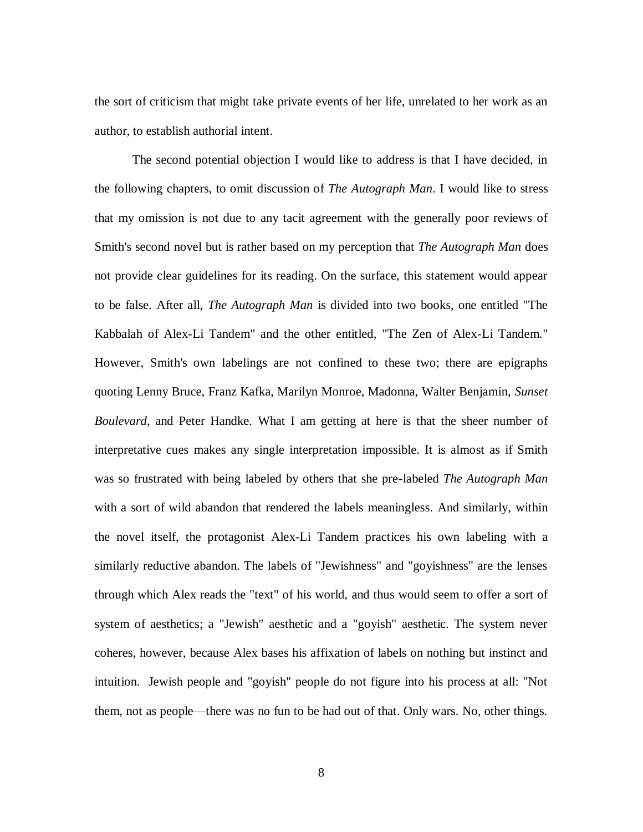the sort of criticism that might take private events of her life, unrelated to her work as an author, to establish authorial intent.

The second potential objection I would like to address is that I have decided, in the following chapters, to omit discussion of *The Autograph Man*. I would like to stress that my omission is not due to any tacit agreement with the generally poor reviews of Smith's second novel but is rather based on my perception that *The Autograph Man* does not provide clear guidelines for its reading. On the surface, this statement would appear to be false. After all, *The Autograph Man* is divided into two books, one entitled "The Kabbalah of Alex-Li Tandem" and the other entitled, "The Zen of Alex-Li Tandem." However, Smith's own labelings are not confined to these two; there are epigraphs quoting Lenny Bruce, Franz Kafka, Marilyn Monroe, Madonna, Walter Benjamin, *Sunset Boulevard*, and Peter Handke. What I am getting at here is that the sheer number of interpretative cues makes any single interpretation impossible. It is almost as if Smith was so frustrated with being labeled by others that she pre-labeled *The Autograph Man* with a sort of wild abandon that rendered the labels meaningless. And similarly, within the novel itself, the protagonist Alex-Li Tandem practices his own labeling with a similarly reductive abandon. The labels of "Jewishness" and "goyishness" are the lenses through which Alex reads the "text" of his world, and thus would seem to offer a sort of system of aesthetics; a "Jewish" aesthetic and a "goyish" aesthetic. The system never coheres, however, because Alex bases his affixation of labels on nothing but instinct and intuition. Jewish people and "goyish" people do not figure into his process at all: "Not them, not as people—there was no fun to be had out of that. Only wars. No, other things.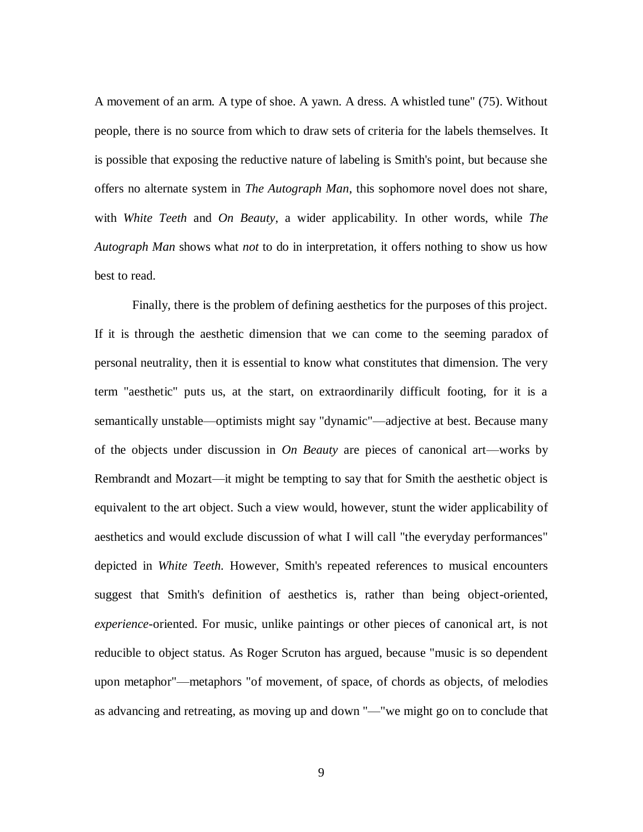A movement of an arm. A type of shoe. A yawn. A dress. A whistled tune" (75). Without people, there is no source from which to draw sets of criteria for the labels themselves. It is possible that exposing the reductive nature of labeling is Smith's point, but because she offers no alternate system in *The Autograph Man*, this sophomore novel does not share, with *White Teeth* and *On Beauty*, a wider applicability. In other words, while *The Autograph Man* shows what *not* to do in interpretation, it offers nothing to show us how best to read.

Finally, there is the problem of defining aesthetics for the purposes of this project. If it is through the aesthetic dimension that we can come to the seeming paradox of personal neutrality, then it is essential to know what constitutes that dimension. The very term "aesthetic" puts us, at the start, on extraordinarily difficult footing, for it is a semantically unstable—optimists might say "dynamic"—adjective at best. Because many of the objects under discussion in *On Beauty* are pieces of canonical art—works by Rembrandt and Mozart—it might be tempting to say that for Smith the aesthetic object is equivalent to the art object. Such a view would, however, stunt the wider applicability of aesthetics and would exclude discussion of what I will call "the everyday performances" depicted in *White Teeth.* However, Smith's repeated references to musical encounters suggest that Smith's definition of aesthetics is, rather than being object-oriented, *experience-*oriented. For music, unlike paintings or other pieces of canonical art, is not reducible to object status. As Roger Scruton has argued, because "music is so dependent upon metaphor"—metaphors "of movement, of space, of chords as objects, of melodies as advancing and retreating, as moving up and down "—"we might go on to conclude that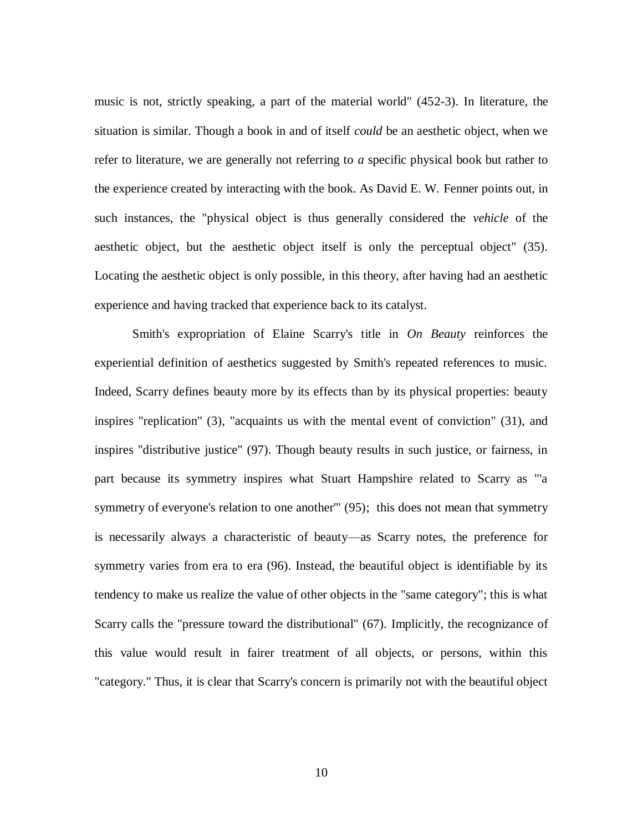music is not, strictly speaking, a part of the material world" (452-3). In literature, the situation is similar. Though a book in and of itself *could* be an aesthetic object, when we refer to literature, we are generally not referring to *a* specific physical book but rather to the experience created by interacting with the book. As David E. W. Fenner points out, in such instances, the "physical object is thus generally considered the *vehicle* of the aesthetic object, but the aesthetic object itself is only the perceptual object" (35). Locating the aesthetic object is only possible, in this theory, after having had an aesthetic experience and having tracked that experience back to its catalyst.

Smith's expropriation of Elaine Scarry's title in *On Beauty* reinforces the experiential definition of aesthetics suggested by Smith's repeated references to music. Indeed, Scarry defines beauty more by its effects than by its physical properties: beauty inspires "replication" (3), "acquaints us with the mental event of conviction" (31), and inspires "distributive justice" (97). Though beauty results in such justice, or fairness, in part because its symmetry inspires what Stuart Hampshire related to Scarry as "'a symmetry of everyone's relation to one another''' (95); this does not mean that symmetry is necessarily always a characteristic of beauty—as Scarry notes, the preference for symmetry varies from era to era (96). Instead, the beautiful object is identifiable by its tendency to make us realize the value of other objects in the "same category"; this is what Scarry calls the "pressure toward the distributional" (67). Implicitly, the recognizance of this value would result in fairer treatment of all objects, or persons, within this "category." Thus, it is clear that Scarry's concern is primarily not with the beautiful object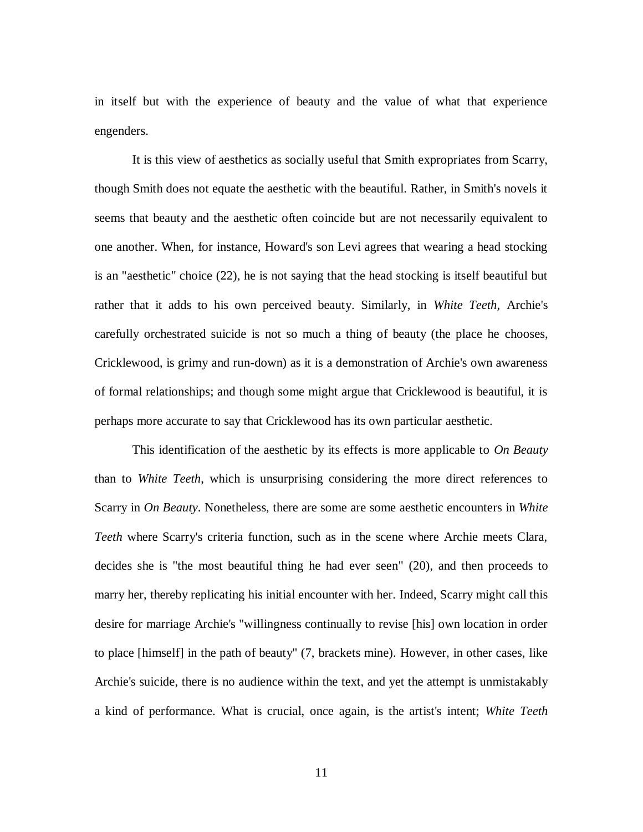in itself but with the experience of beauty and the value of what that experience engenders.

It is this view of aesthetics as socially useful that Smith expropriates from Scarry, though Smith does not equate the aesthetic with the beautiful. Rather, in Smith's novels it seems that beauty and the aesthetic often coincide but are not necessarily equivalent to one another. When, for instance, Howard's son Levi agrees that wearing a head stocking is an "aesthetic" choice (22), he is not saying that the head stocking is itself beautiful but rather that it adds to his own perceived beauty. Similarly, in *White Teeth,* Archie's carefully orchestrated suicide is not so much a thing of beauty (the place he chooses, Cricklewood, is grimy and run-down) as it is a demonstration of Archie's own awareness of formal relationships; and though some might argue that Cricklewood is beautiful, it is perhaps more accurate to say that Cricklewood has its own particular aesthetic.

This identification of the aesthetic by its effects is more applicable to *On Beauty* than to *White Teeth*, which is unsurprising considering the more direct references to Scarry in *On Beauty*. Nonetheless, there are some are some aesthetic encounters in *White Teeth* where Scarry's criteria function, such as in the scene where Archie meets Clara, decides she is "the most beautiful thing he had ever seen" (20), and then proceeds to marry her, thereby replicating his initial encounter with her. Indeed, Scarry might call this desire for marriage Archie's "willingness continually to revise [his] own location in order to place [himself] in the path of beauty" (7, brackets mine). However, in other cases, like Archie's suicide, there is no audience within the text, and yet the attempt is unmistakably a kind of performance. What is crucial, once again, is the artist's intent; *White Teeth*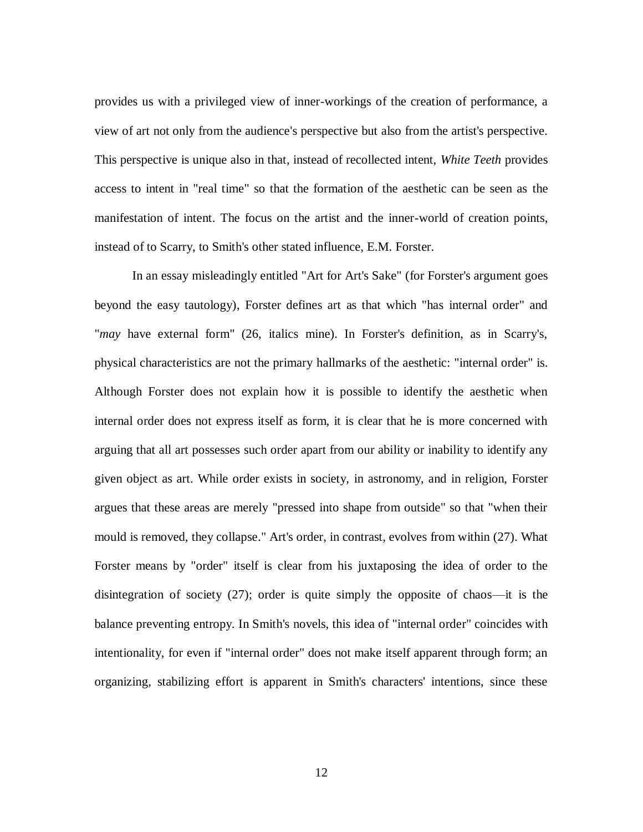provides us with a privileged view of inner-workings of the creation of performance, a view of art not only from the audience's perspective but also from the artist's perspective. This perspective is unique also in that, instead of recollected intent, *White Teeth* provides access to intent in "real time" so that the formation of the aesthetic can be seen as the manifestation of intent. The focus on the artist and the inner-world of creation points, instead of to Scarry, to Smith's other stated influence, E.M. Forster.

In an essay misleadingly entitled "Art for Art's Sake" (for Forster's argument goes beyond the easy tautology), Forster defines art as that which "has internal order" and "*may* have external form" (26, italics mine). In Forster's definition, as in Scarry's, physical characteristics are not the primary hallmarks of the aesthetic: "internal order" is. Although Forster does not explain how it is possible to identify the aesthetic when internal order does not express itself as form, it is clear that he is more concerned with arguing that all art possesses such order apart from our ability or inability to identify any given object as art. While order exists in society, in astronomy, and in religion, Forster argues that these areas are merely "pressed into shape from outside" so that "when their mould is removed, they collapse." Art's order, in contrast, evolves from within (27). What Forster means by "order" itself is clear from his juxtaposing the idea of order to the disintegration of society (27); order is quite simply the opposite of chaos—it is the balance preventing entropy. In Smith's novels, this idea of "internal order" coincides with intentionality, for even if "internal order" does not make itself apparent through form; an organizing, stabilizing effort is apparent in Smith's characters' intentions, since these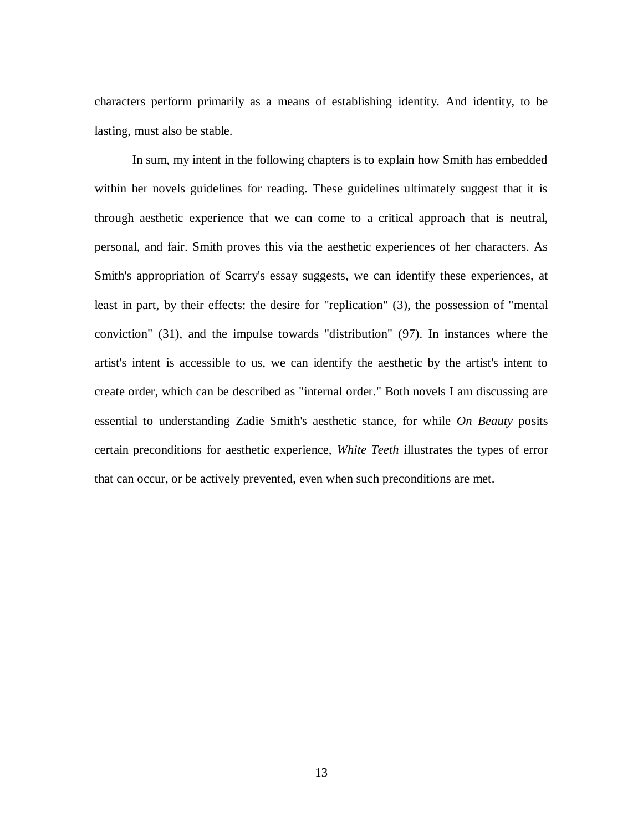characters perform primarily as a means of establishing identity. And identity, to be lasting, must also be stable.

In sum, my intent in the following chapters is to explain how Smith has embedded within her novels guidelines for reading. These guidelines ultimately suggest that it is through aesthetic experience that we can come to a critical approach that is neutral, personal, and fair. Smith proves this via the aesthetic experiences of her characters. As Smith's appropriation of Scarry's essay suggests, we can identify these experiences, at least in part, by their effects: the desire for "replication" (3), the possession of "mental conviction" (31), and the impulse towards "distribution" (97). In instances where the artist's intent is accessible to us, we can identify the aesthetic by the artist's intent to create order, which can be described as "internal order." Both novels I am discussing are essential to understanding Zadie Smith's aesthetic stance, for while *On Beauty* posits certain preconditions for aesthetic experience, *White Teeth* illustrates the types of error that can occur, or be actively prevented, even when such preconditions are met.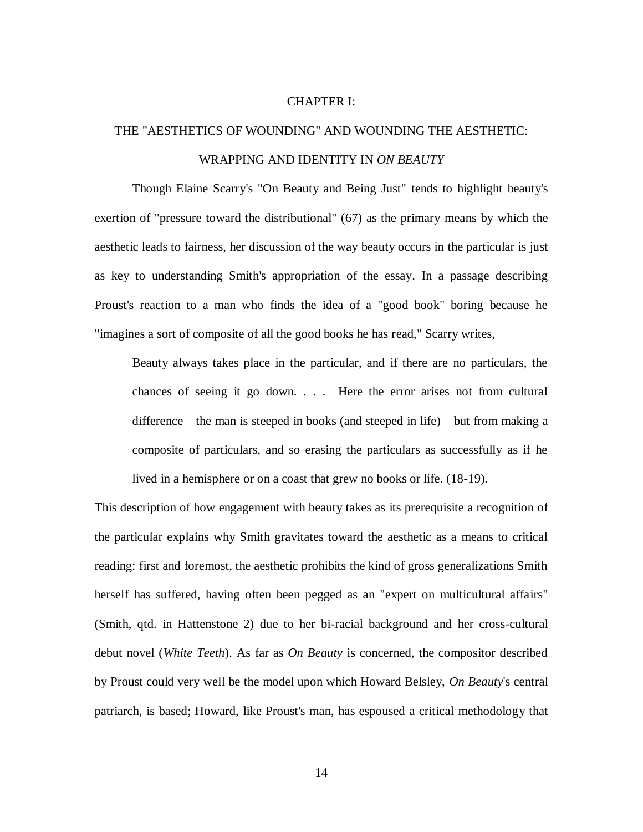#### CHAPTER I:

# THE "AESTHETICS OF WOUNDING" AND WOUNDING THE AESTHETIC: WRAPPING AND IDENTITY IN *ON BEAUTY*

Though Elaine Scarry's "On Beauty and Being Just" tends to highlight beauty's exertion of "pressure toward the distributional" (67) as the primary means by which the aesthetic leads to fairness, her discussion of the way beauty occurs in the particular is just as key to understanding Smith's appropriation of the essay. In a passage describing Proust's reaction to a man who finds the idea of a "good book" boring because he "imagines a sort of composite of all the good books he has read," Scarry writes,

Beauty always takes place in the particular, and if there are no particulars, the chances of seeing it go down. . . . Here the error arises not from cultural difference—the man is steeped in books (and steeped in life)—but from making a composite of particulars, and so erasing the particulars as successfully as if he lived in a hemisphere or on a coast that grew no books or life. (18-19).

This description of how engagement with beauty takes as its prerequisite a recognition of the particular explains why Smith gravitates toward the aesthetic as a means to critical reading: first and foremost, the aesthetic prohibits the kind of gross generalizations Smith herself has suffered, having often been pegged as an "expert on multicultural affairs" (Smith, qtd. in Hattenstone 2) due to her bi-racial background and her cross-cultural debut novel (*White Teeth*). As far as *On Beauty* is concerned, the compositor described by Proust could very well be the model upon which Howard Belsley, *On Beauty*'s central patriarch, is based; Howard, like Proust's man, has espoused a critical methodology that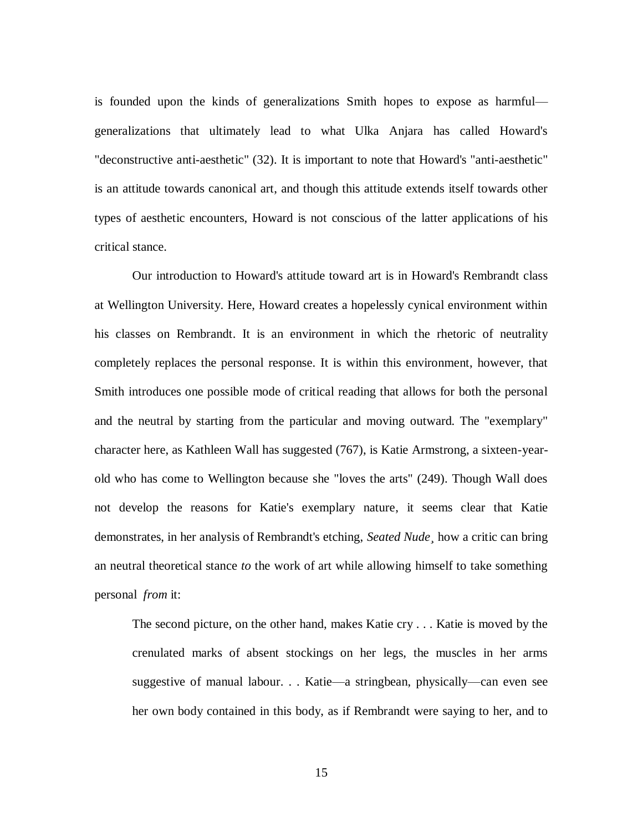is founded upon the kinds of generalizations Smith hopes to expose as harmful generalizations that ultimately lead to what Ulka Anjara has called Howard's "deconstructive anti-aesthetic" (32). It is important to note that Howard's "anti-aesthetic" is an attitude towards canonical art, and though this attitude extends itself towards other types of aesthetic encounters, Howard is not conscious of the latter applications of his critical stance.

Our introduction to Howard's attitude toward art is in Howard's Rembrandt class at Wellington University. Here, Howard creates a hopelessly cynical environment within his classes on Rembrandt. It is an environment in which the rhetoric of neutrality completely replaces the personal response. It is within this environment, however, that Smith introduces one possible mode of critical reading that allows for both the personal and the neutral by starting from the particular and moving outward. The "exemplary" character here, as Kathleen Wall has suggested (767), is Katie Armstrong, a sixteen-yearold who has come to Wellington because she "loves the arts" (249). Though Wall does not develop the reasons for Katie's exemplary nature, it seems clear that Katie demonstrates, in her analysis of Rembrandt's etching, *Seated Nude¸* how a critic can bring an neutral theoretical stance *to* the work of art while allowing himself to take something personal *from* it:

The second picture, on the other hand, makes Katie cry . . . Katie is moved by the crenulated marks of absent stockings on her legs, the muscles in her arms suggestive of manual labour. . . Katie—a stringbean, physically—can even see her own body contained in this body, as if Rembrandt were saying to her, and to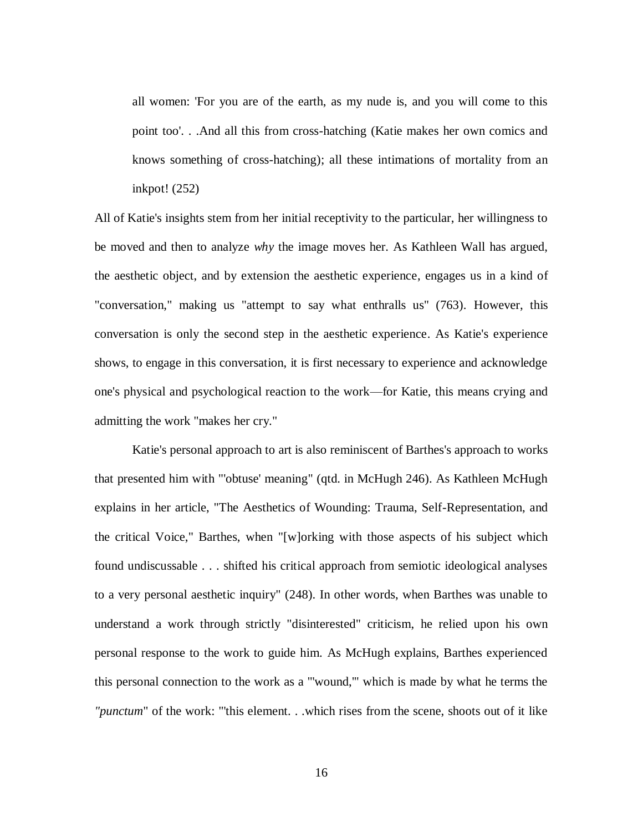all women: 'For you are of the earth, as my nude is, and you will come to this point too'. . .And all this from cross-hatching (Katie makes her own comics and knows something of cross-hatching); all these intimations of mortality from an inkpot! (252)

All of Katie's insights stem from her initial receptivity to the particular, her willingness to be moved and then to analyze *why* the image moves her. As Kathleen Wall has argued, the aesthetic object, and by extension the aesthetic experience, engages us in a kind of "conversation," making us "attempt to say what enthralls us" (763). However, this conversation is only the second step in the aesthetic experience. As Katie's experience shows, to engage in this conversation, it is first necessary to experience and acknowledge one's physical and psychological reaction to the work—for Katie, this means crying and admitting the work "makes her cry."

Katie's personal approach to art is also reminiscent of Barthes's approach to works that presented him with "'obtuse' meaning" (qtd. in McHugh 246). As Kathleen McHugh explains in her article, "The Aesthetics of Wounding: Trauma, Self-Representation, and the critical Voice," Barthes, when "[w]orking with those aspects of his subject which found undiscussable . . . shifted his critical approach from semiotic ideological analyses to a very personal aesthetic inquiry" (248). In other words, when Barthes was unable to understand a work through strictly "disinterested" criticism, he relied upon his own personal response to the work to guide him. As McHugh explains, Barthes experienced this personal connection to the work as a "'wound,'" which is made by what he terms the *"punctum*" of the work: "'this element. . .which rises from the scene, shoots out of it like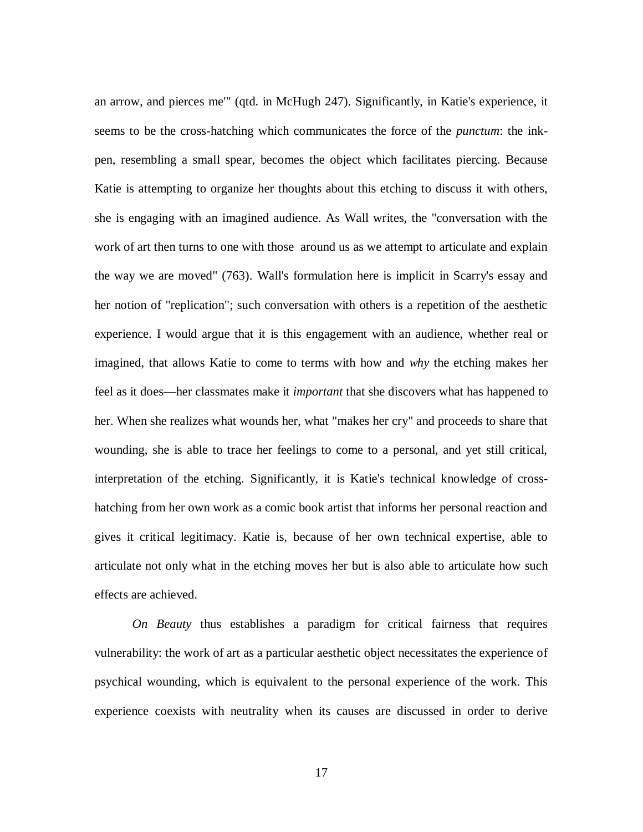an arrow, and pierces me'" (qtd. in McHugh 247). Significantly, in Katie's experience, it seems to be the cross-hatching which communicates the force of the *punctum*: the inkpen, resembling a small spear, becomes the object which facilitates piercing. Because Katie is attempting to organize her thoughts about this etching to discuss it with others, she is engaging with an imagined audience. As Wall writes, the "conversation with the work of art then turns to one with those around us as we attempt to articulate and explain the way we are moved" (763). Wall's formulation here is implicit in Scarry's essay and her notion of "replication"; such conversation with others is a repetition of the aesthetic experience. I would argue that it is this engagement with an audience, whether real or imagined, that allows Katie to come to terms with how and *why* the etching makes her feel as it does—her classmates make it *important* that she discovers what has happened to her. When she realizes what wounds her, what "makes her cry" and proceeds to share that wounding, she is able to trace her feelings to come to a personal, and yet still critical, interpretation of the etching. Significantly, it is Katie's technical knowledge of crosshatching from her own work as a comic book artist that informs her personal reaction and gives it critical legitimacy. Katie is, because of her own technical expertise, able to articulate not only what in the etching moves her but is also able to articulate how such effects are achieved.

*On Beauty* thus establishes a paradigm for critical fairness that requires vulnerability: the work of art as a particular aesthetic object necessitates the experience of psychical wounding, which is equivalent to the personal experience of the work. This experience coexists with neutrality when its causes are discussed in order to derive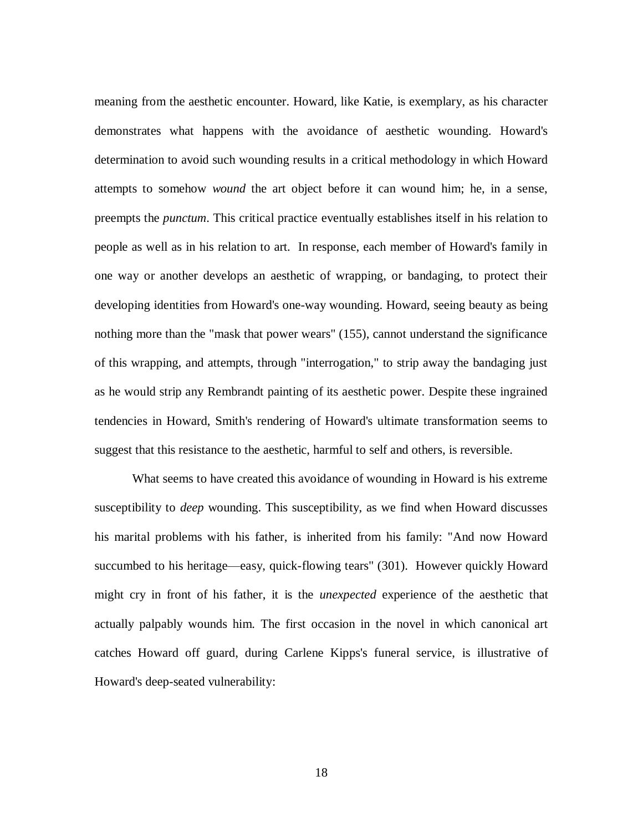meaning from the aesthetic encounter. Howard, like Katie, is exemplary, as his character demonstrates what happens with the avoidance of aesthetic wounding. Howard's determination to avoid such wounding results in a critical methodology in which Howard attempts to somehow *wound* the art object before it can wound him; he, in a sense, preempts the *punctum*. This critical practice eventually establishes itself in his relation to people as well as in his relation to art. In response, each member of Howard's family in one way or another develops an aesthetic of wrapping, or bandaging, to protect their developing identities from Howard's one-way wounding. Howard, seeing beauty as being nothing more than the "mask that power wears" (155), cannot understand the significance of this wrapping, and attempts, through "interrogation," to strip away the bandaging just as he would strip any Rembrandt painting of its aesthetic power. Despite these ingrained tendencies in Howard, Smith's rendering of Howard's ultimate transformation seems to suggest that this resistance to the aesthetic, harmful to self and others, is reversible.

What seems to have created this avoidance of wounding in Howard is his extreme susceptibility to *deep* wounding. This susceptibility, as we find when Howard discusses his marital problems with his father, is inherited from his family: "And now Howard succumbed to his heritage—easy, quick-flowing tears" (301). However quickly Howard might cry in front of his father, it is the *unexpected* experience of the aesthetic that actually palpably wounds him. The first occasion in the novel in which canonical art catches Howard off guard, during Carlene Kipps's funeral service, is illustrative of Howard's deep-seated vulnerability: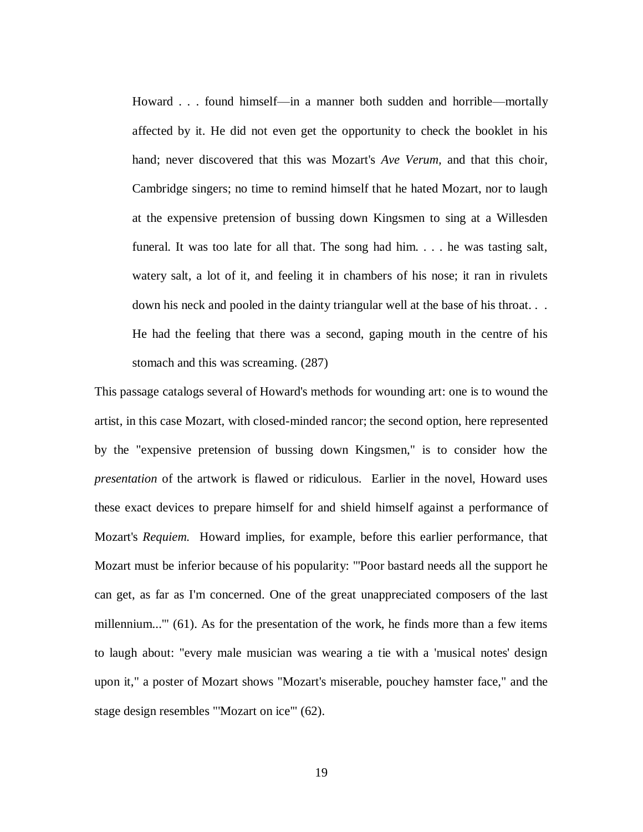Howard . . . found himself—in a manner both sudden and horrible—mortally affected by it. He did not even get the opportunity to check the booklet in his hand; never discovered that this was Mozart's *Ave Verum,* and that this choir, Cambridge singers; no time to remind himself that he hated Mozart, nor to laugh at the expensive pretension of bussing down Kingsmen to sing at a Willesden funeral. It was too late for all that. The song had him. . . . he was tasting salt, watery salt, a lot of it, and feeling it in chambers of his nose; it ran in rivulets down his neck and pooled in the dainty triangular well at the base of his throat. . . He had the feeling that there was a second, gaping mouth in the centre of his stomach and this was screaming. (287)

This passage catalogs several of Howard's methods for wounding art: one is to wound the artist, in this case Mozart, with closed-minded rancor; the second option, here represented by the "expensive pretension of bussing down Kingsmen," is to consider how the *presentation* of the artwork is flawed or ridiculous. Earlier in the novel, Howard uses these exact devices to prepare himself for and shield himself against a performance of Mozart's *Requiem.* Howard implies, for example, before this earlier performance, that Mozart must be inferior because of his popularity: "'Poor bastard needs all the support he can get, as far as I'm concerned. One of the great unappreciated composers of the last millennium...'" (61). As for the presentation of the work, he finds more than a few items to laugh about: "every male musician was wearing a tie with a 'musical notes' design upon it," a poster of Mozart shows "Mozart's miserable, pouchey hamster face," and the stage design resembles "'Mozart on ice'" (62).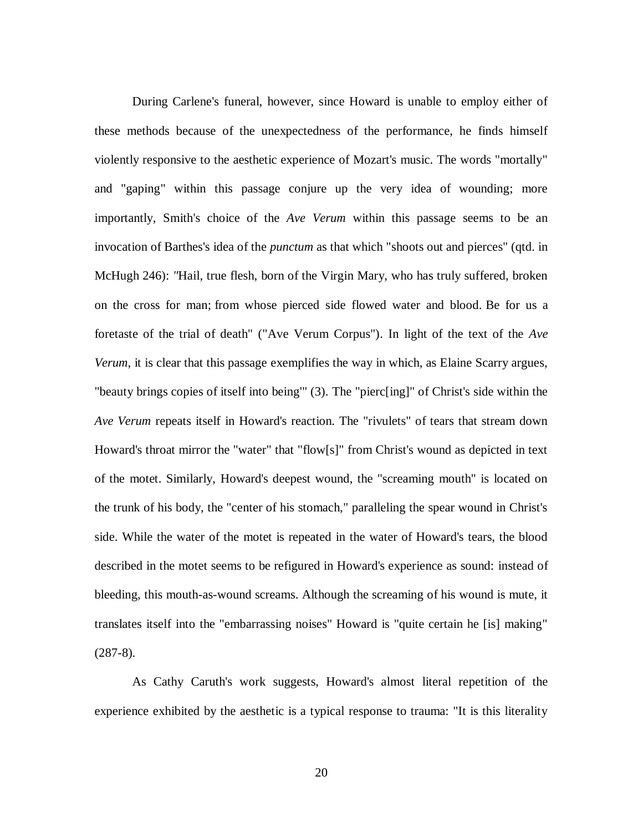During Carlene's funeral, however, since Howard is unable to employ either of these methods because of the unexpectedness of the performance, he finds himself violently responsive to the aesthetic experience of Mozart's music. The words "mortally" and "gaping" within this passage conjure up the very idea of wounding; more importantly, Smith's choice of the *Ave Verum* within this passage seems to be an invocation of Barthes's idea of the *punctum* as that which "shoots out and pierces" (qtd. in McHugh 246): *"*Hail, true flesh, born of the Virgin Mary, who has truly suffered, broken on the cross for man; from whose pierced side flowed water and blood. Be for us a foretaste of the trial of death" ("Ave Verum Corpus"). In light of the text of the *Ave Verum*, it is clear that this passage exemplifies the way in which, as Elaine Scarry argues, "beauty brings copies of itself into being'" (3). The "pierc[ing]" of Christ's side within the *Ave Verum* repeats itself in Howard's reaction. The "rivulets" of tears that stream down Howard's throat mirror the "water" that "flow[s]" from Christ's wound as depicted in text of the motet. Similarly, Howard's deepest wound, the "screaming mouth" is located on the trunk of his body, the "center of his stomach," paralleling the spear wound in Christ's side. While the water of the motet is repeated in the water of Howard's tears, the blood described in the motet seems to be refigured in Howard's experience as sound: instead of bleeding, this mouth-as-wound screams. Although the screaming of his wound is mute, it translates itself into the "embarrassing noises" Howard is "quite certain he [is] making"  $(287-8).$ 

As Cathy Caruth's work suggests, Howard's almost literal repetition of the experience exhibited by the aesthetic is a typical response to trauma: "It is this literality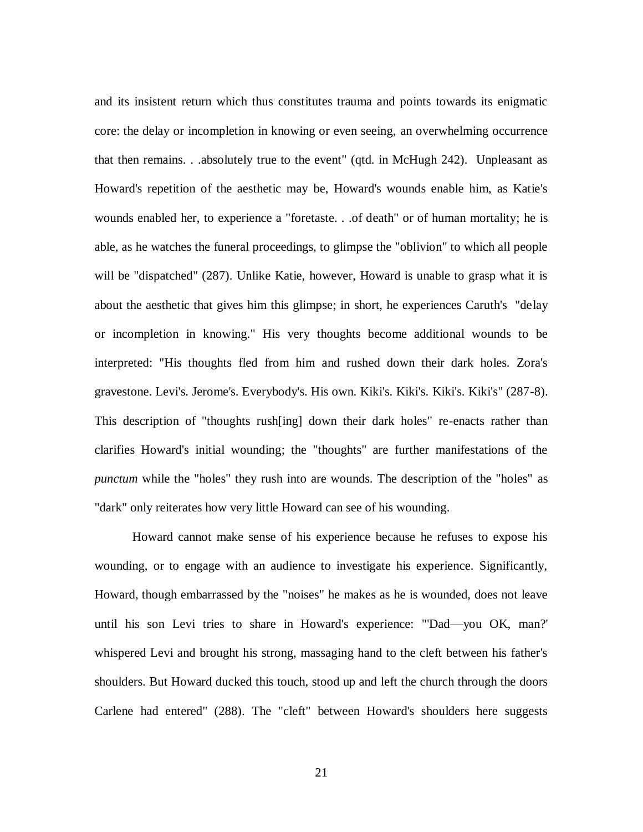and its insistent return which thus constitutes trauma and points towards its enigmatic core: the delay or incompletion in knowing or even seeing, an overwhelming occurrence that then remains. . .absolutely true to the event" (qtd. in McHugh 242). Unpleasant as Howard's repetition of the aesthetic may be, Howard's wounds enable him, as Katie's wounds enabled her, to experience a "foretaste. . .of death" or of human mortality; he is able, as he watches the funeral proceedings, to glimpse the "oblivion" to which all people will be "dispatched" (287). Unlike Katie, however, Howard is unable to grasp what it is about the aesthetic that gives him this glimpse; in short, he experiences Caruth's "delay or incompletion in knowing." His very thoughts become additional wounds to be interpreted: "His thoughts fled from him and rushed down their dark holes. Zora's gravestone. Levi's. Jerome's. Everybody's. His own. Kiki's. Kiki's. Kiki's. Kiki's" (287-8). This description of "thoughts rush[ing] down their dark holes" re-enacts rather than clarifies Howard's initial wounding; the "thoughts" are further manifestations of the *punctum* while the "holes" they rush into are wounds. The description of the "holes" as "dark" only reiterates how very little Howard can see of his wounding.

Howard cannot make sense of his experience because he refuses to expose his wounding, or to engage with an audience to investigate his experience. Significantly, Howard, though embarrassed by the "noises" he makes as he is wounded, does not leave until his son Levi tries to share in Howard's experience: "'Dad—you OK, man?' whispered Levi and brought his strong, massaging hand to the cleft between his father's shoulders. But Howard ducked this touch, stood up and left the church through the doors Carlene had entered" (288). The "cleft" between Howard's shoulders here suggests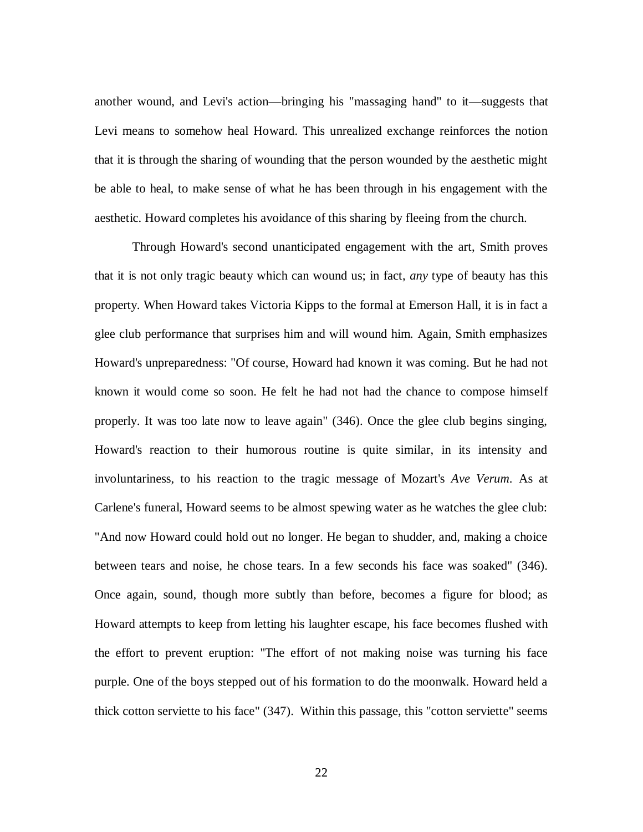another wound, and Levi's action—bringing his "massaging hand" to it—suggests that Levi means to somehow heal Howard. This unrealized exchange reinforces the notion that it is through the sharing of wounding that the person wounded by the aesthetic might be able to heal, to make sense of what he has been through in his engagement with the aesthetic. Howard completes his avoidance of this sharing by fleeing from the church.

Through Howard's second unanticipated engagement with the art, Smith proves that it is not only tragic beauty which can wound us; in fact, *any* type of beauty has this property. When Howard takes Victoria Kipps to the formal at Emerson Hall, it is in fact a glee club performance that surprises him and will wound him. Again, Smith emphasizes Howard's unpreparedness: "Of course, Howard had known it was coming. But he had not known it would come so soon. He felt he had not had the chance to compose himself properly. It was too late now to leave again" (346). Once the glee club begins singing, Howard's reaction to their humorous routine is quite similar, in its intensity and involuntariness, to his reaction to the tragic message of Mozart's *Ave Verum*. As at Carlene's funeral, Howard seems to be almost spewing water as he watches the glee club: "And now Howard could hold out no longer. He began to shudder, and, making a choice between tears and noise, he chose tears. In a few seconds his face was soaked" (346). Once again, sound, though more subtly than before, becomes a figure for blood; as Howard attempts to keep from letting his laughter escape, his face becomes flushed with the effort to prevent eruption: "The effort of not making noise was turning his face purple. One of the boys stepped out of his formation to do the moonwalk. Howard held a thick cotton serviette to his face" (347). Within this passage, this "cotton serviette" seems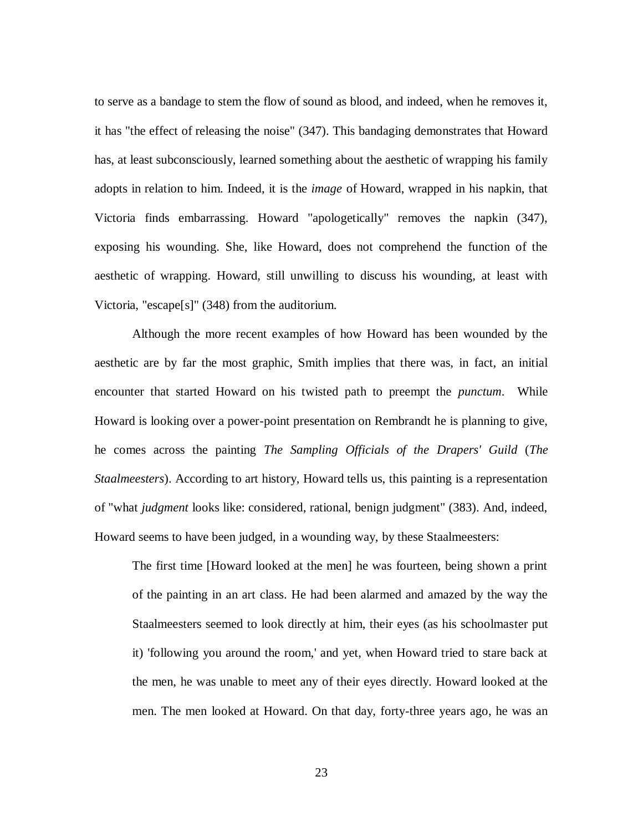to serve as a bandage to stem the flow of sound as blood, and indeed, when he removes it, it has "the effect of releasing the noise" (347). This bandaging demonstrates that Howard has, at least subconsciously, learned something about the aesthetic of wrapping his family adopts in relation to him. Indeed, it is the *image* of Howard, wrapped in his napkin, that Victoria finds embarrassing. Howard "apologetically" removes the napkin (347), exposing his wounding. She, like Howard, does not comprehend the function of the aesthetic of wrapping. Howard, still unwilling to discuss his wounding, at least with Victoria, "escape[s]" (348) from the auditorium.

Although the more recent examples of how Howard has been wounded by the aesthetic are by far the most graphic, Smith implies that there was, in fact, an initial encounter that started Howard on his twisted path to preempt the *punctum*. While Howard is looking over a power-point presentation on Rembrandt he is planning to give, he comes across the painting *The Sampling Officials of the Drapers' Guild* (*The Staalmeesters*). According to art history, Howard tells us, this painting is a representation of "what *judgment* looks like: considered, rational, benign judgment" (383). And, indeed, Howard seems to have been judged, in a wounding way, by these Staalmeesters:

The first time [Howard looked at the men] he was fourteen, being shown a print of the painting in an art class. He had been alarmed and amazed by the way the Staalmeesters seemed to look directly at him, their eyes (as his schoolmaster put it) 'following you around the room,' and yet, when Howard tried to stare back at the men, he was unable to meet any of their eyes directly. Howard looked at the men. The men looked at Howard. On that day, forty-three years ago, he was an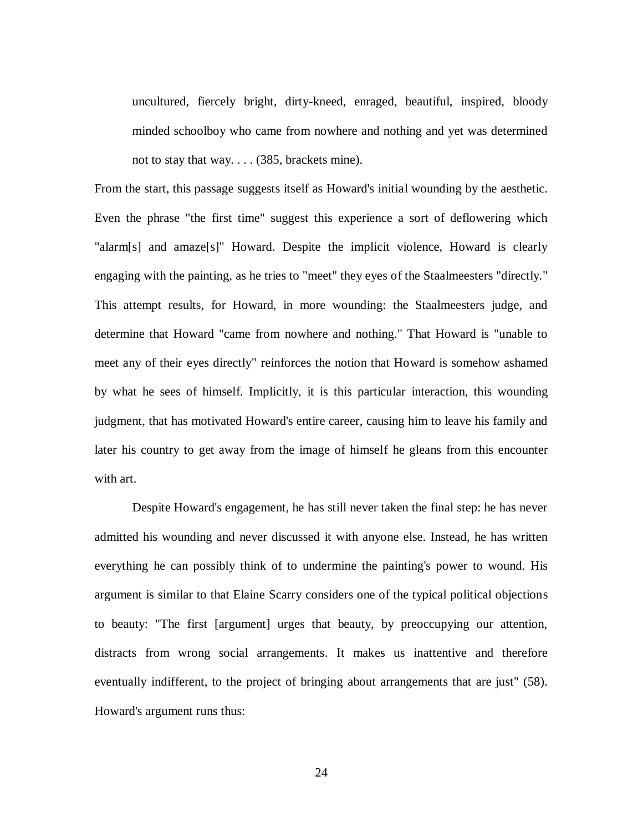uncultured, fiercely bright, dirty-kneed, enraged, beautiful, inspired, bloody minded schoolboy who came from nowhere and nothing and yet was determined not to stay that way. . . . (385, brackets mine).

From the start, this passage suggests itself as Howard's initial wounding by the aesthetic. Even the phrase "the first time" suggest this experience a sort of deflowering which "alarm[s] and amaze[s]" Howard. Despite the implicit violence, Howard is clearly engaging with the painting, as he tries to "meet" they eyes of the Staalmeesters "directly." This attempt results, for Howard, in more wounding: the Staalmeesters judge, and determine that Howard "came from nowhere and nothing." That Howard is "unable to meet any of their eyes directly" reinforces the notion that Howard is somehow ashamed by what he sees of himself. Implicitly, it is this particular interaction, this wounding judgment, that has motivated Howard's entire career, causing him to leave his family and later his country to get away from the image of himself he gleans from this encounter with art.

Despite Howard's engagement, he has still never taken the final step: he has never admitted his wounding and never discussed it with anyone else. Instead, he has written everything he can possibly think of to undermine the painting's power to wound. His argument is similar to that Elaine Scarry considers one of the typical political objections to beauty: "The first [argument] urges that beauty, by preoccupying our attention, distracts from wrong social arrangements. It makes us inattentive and therefore eventually indifferent, to the project of bringing about arrangements that are just" (58). Howard's argument runs thus: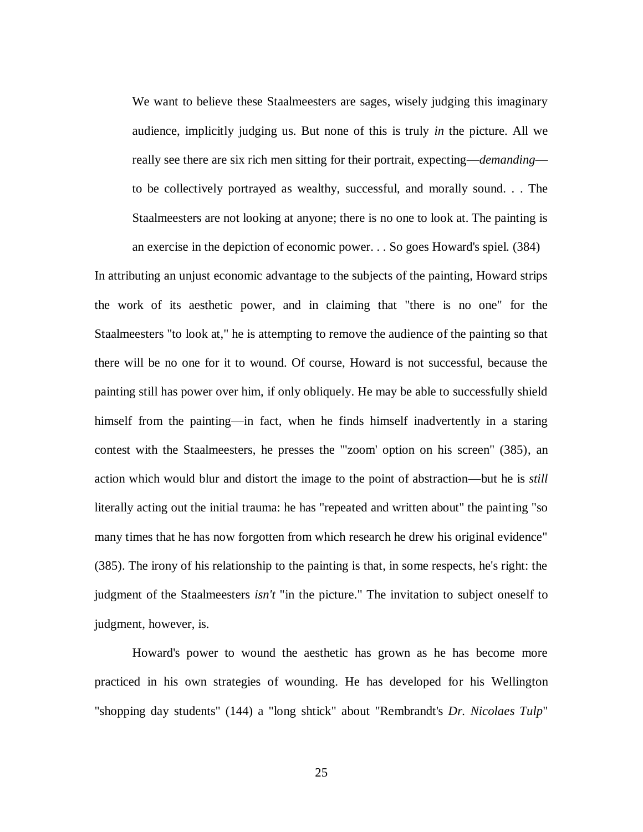We want to believe these Staalmeesters are sages, wisely judging this imaginary audience, implicitly judging us. But none of this is truly *in* the picture. All we really see there are six rich men sitting for their portrait, expecting—*demanding* to be collectively portrayed as wealthy, successful, and morally sound. . . The Staalmeesters are not looking at anyone; there is no one to look at. The painting is an exercise in the depiction of economic power. . . So goes Howard's spiel. (384)

In attributing an unjust economic advantage to the subjects of the painting, Howard strips the work of its aesthetic power, and in claiming that "there is no one" for the Staalmeesters "to look at," he is attempting to remove the audience of the painting so that there will be no one for it to wound. Of course, Howard is not successful, because the painting still has power over him, if only obliquely. He may be able to successfully shield himself from the painting—in fact, when he finds himself inadvertently in a staring contest with the Staalmeesters, he presses the "'zoom' option on his screen" (385), an action which would blur and distort the image to the point of abstraction—but he is *still* literally acting out the initial trauma: he has "repeated and written about" the painting "so many times that he has now forgotten from which research he drew his original evidence" (385). The irony of his relationship to the painting is that, in some respects, he's right: the judgment of the Staalmeesters *isn't* "in the picture." The invitation to subject oneself to judgment, however, is.

Howard's power to wound the aesthetic has grown as he has become more practiced in his own strategies of wounding. He has developed for his Wellington "shopping day students" (144) a "long shtick" about "Rembrandt's *Dr. Nicolaes Tulp*"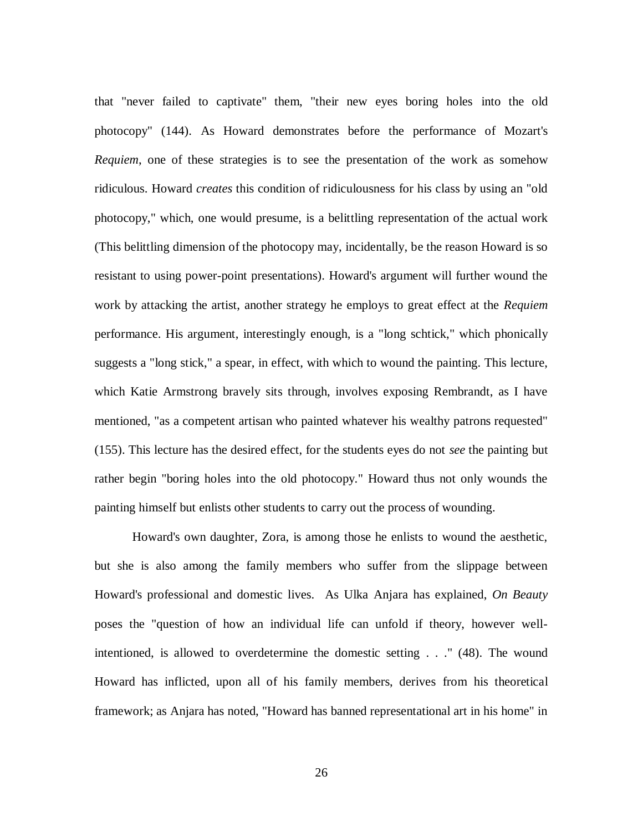that "never failed to captivate" them, "their new eyes boring holes into the old photocopy" (144). As Howard demonstrates before the performance of Mozart's *Requiem*, one of these strategies is to see the presentation of the work as somehow ridiculous. Howard *creates* this condition of ridiculousness for his class by using an "old photocopy," which, one would presume, is a belittling representation of the actual work (This belittling dimension of the photocopy may, incidentally, be the reason Howard is so resistant to using power-point presentations). Howard's argument will further wound the work by attacking the artist, another strategy he employs to great effect at the *Requiem*  performance. His argument, interestingly enough, is a "long schtick," which phonically suggests a "long stick," a spear, in effect, with which to wound the painting. This lecture, which Katie Armstrong bravely sits through, involves exposing Rembrandt, as I have mentioned, "as a competent artisan who painted whatever his wealthy patrons requested" (155). This lecture has the desired effect, for the students eyes do not *see* the painting but rather begin "boring holes into the old photocopy." Howard thus not only wounds the painting himself but enlists other students to carry out the process of wounding.

Howard's own daughter, Zora, is among those he enlists to wound the aesthetic, but she is also among the family members who suffer from the slippage between Howard's professional and domestic lives. As Ulka Anjara has explained, *On Beauty*  poses the "question of how an individual life can unfold if theory, however wellintentioned, is allowed to overdetermine the domestic setting . . ." (48). The wound Howard has inflicted, upon all of his family members, derives from his theoretical framework; as Anjara has noted, "Howard has banned representational art in his home" in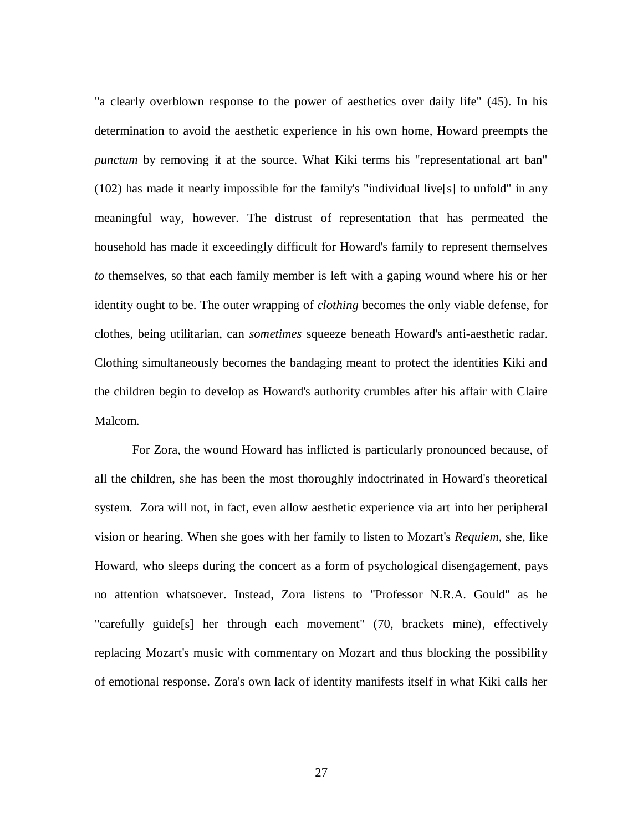"a clearly overblown response to the power of aesthetics over daily life" (45). In his determination to avoid the aesthetic experience in his own home, Howard preempts the *punctum* by removing it at the source. What Kiki terms his "representational art ban" (102) has made it nearly impossible for the family's "individual live[s] to unfold" in any meaningful way, however. The distrust of representation that has permeated the household has made it exceedingly difficult for Howard's family to represent themselves *to* themselves, so that each family member is left with a gaping wound where his or her identity ought to be. The outer wrapping of *clothing* becomes the only viable defense, for clothes, being utilitarian, can *sometimes* squeeze beneath Howard's anti-aesthetic radar. Clothing simultaneously becomes the bandaging meant to protect the identities Kiki and the children begin to develop as Howard's authority crumbles after his affair with Claire Malcom.

For Zora, the wound Howard has inflicted is particularly pronounced because, of all the children, she has been the most thoroughly indoctrinated in Howard's theoretical system. Zora will not, in fact, even allow aesthetic experience via art into her peripheral vision or hearing. When she goes with her family to listen to Mozart's *Requiem*, she, like Howard, who sleeps during the concert as a form of psychological disengagement, pays no attention whatsoever. Instead, Zora listens to "Professor N.R.A. Gould" as he "carefully guide[s] her through each movement" (70, brackets mine), effectively replacing Mozart's music with commentary on Mozart and thus blocking the possibility of emotional response. Zora's own lack of identity manifests itself in what Kiki calls her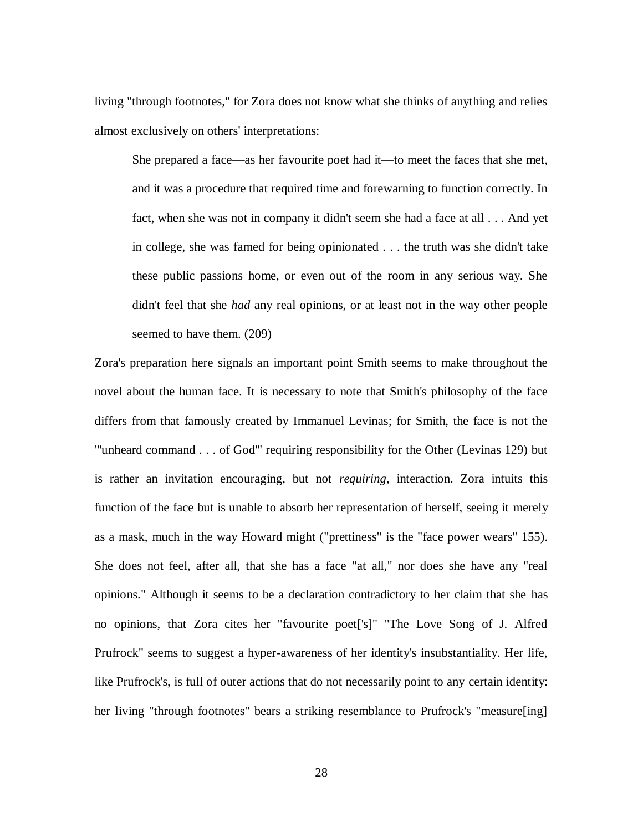living "through footnotes," for Zora does not know what she thinks of anything and relies almost exclusively on others' interpretations:

She prepared a face—as her favourite poet had it—to meet the faces that she met, and it was a procedure that required time and forewarning to function correctly. In fact, when she was not in company it didn't seem she had a face at all . . . And yet in college, she was famed for being opinionated . . . the truth was she didn't take these public passions home, or even out of the room in any serious way. She didn't feel that she *had* any real opinions, or at least not in the way other people seemed to have them. (209)

Zora's preparation here signals an important point Smith seems to make throughout the novel about the human face. It is necessary to note that Smith's philosophy of the face differs from that famously created by Immanuel Levinas; for Smith, the face is not the "'unheard command . . . of God'" requiring responsibility for the Other (Levinas 129) but is rather an invitation encouraging, but not *requiring*, interaction. Zora intuits this function of the face but is unable to absorb her representation of herself, seeing it merely as a mask, much in the way Howard might ("prettiness" is the "face power wears" 155). She does not feel, after all, that she has a face "at all," nor does she have any "real opinions." Although it seems to be a declaration contradictory to her claim that she has no opinions, that Zora cites her "favourite poet['s]" "The Love Song of J. Alfred Prufrock" seems to suggest a hyper-awareness of her identity's insubstantiality. Her life, like Prufrock's, is full of outer actions that do not necessarily point to any certain identity: her living "through footnotes" bears a striking resemblance to Prufrock's "measure[ing]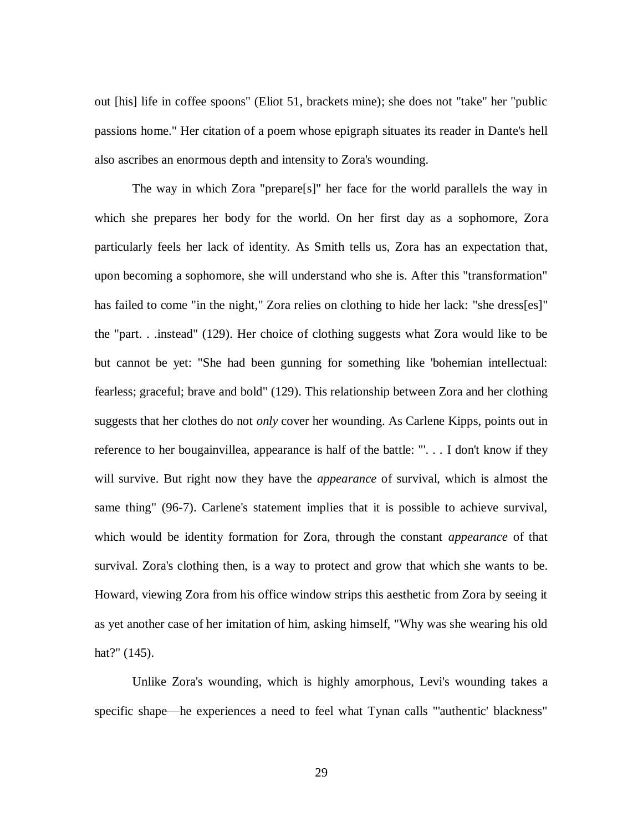out [his] life in coffee spoons" (Eliot 51, brackets mine); she does not "take" her "public passions home." Her citation of a poem whose epigraph situates its reader in Dante's hell also ascribes an enormous depth and intensity to Zora's wounding.

The way in which Zora "prepare[s]" her face for the world parallels the way in which she prepares her body for the world. On her first day as a sophomore, Zora particularly feels her lack of identity. As Smith tells us, Zora has an expectation that, upon becoming a sophomore, she will understand who she is. After this "transformation" has failed to come "in the night," Zora relies on clothing to hide her lack: "she dress[es]" the "part. . .instead" (129). Her choice of clothing suggests what Zora would like to be but cannot be yet: "She had been gunning for something like 'bohemian intellectual: fearless; graceful; brave and bold" (129). This relationship between Zora and her clothing suggests that her clothes do not *only* cover her wounding. As Carlene Kipps, points out in reference to her bougainvillea, appearance is half of the battle: "'. . . I don't know if they will survive. But right now they have the *appearance* of survival, which is almost the same thing" (96-7). Carlene's statement implies that it is possible to achieve survival, which would be identity formation for Zora, through the constant *appearance* of that survival. Zora's clothing then, is a way to protect and grow that which she wants to be. Howard, viewing Zora from his office window strips this aesthetic from Zora by seeing it as yet another case of her imitation of him, asking himself, "Why was she wearing his old hat?" (145).

Unlike Zora's wounding, which is highly amorphous, Levi's wounding takes a specific shape—he experiences a need to feel what Tynan calls "'authentic' blackness"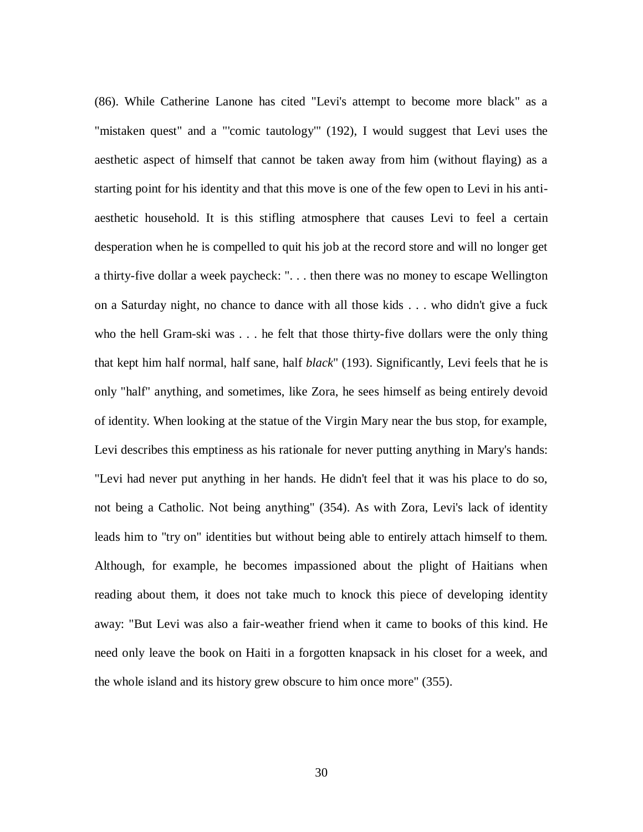(86). While Catherine Lanone has cited "Levi's attempt to become more black" as a "mistaken quest" and a "'comic tautology'" (192), I would suggest that Levi uses the aesthetic aspect of himself that cannot be taken away from him (without flaying) as a starting point for his identity and that this move is one of the few open to Levi in his antiaesthetic household. It is this stifling atmosphere that causes Levi to feel a certain desperation when he is compelled to quit his job at the record store and will no longer get a thirty-five dollar a week paycheck: ". . . then there was no money to escape Wellington on a Saturday night, no chance to dance with all those kids . . . who didn't give a fuck who the hell Gram-ski was . . . he felt that those thirty-five dollars were the only thing that kept him half normal, half sane, half *black*" (193). Significantly, Levi feels that he is only "half" anything, and sometimes, like Zora, he sees himself as being entirely devoid of identity. When looking at the statue of the Virgin Mary near the bus stop, for example, Levi describes this emptiness as his rationale for never putting anything in Mary's hands: "Levi had never put anything in her hands. He didn't feel that it was his place to do so, not being a Catholic. Not being anything" (354). As with Zora, Levi's lack of identity leads him to "try on" identities but without being able to entirely attach himself to them. Although, for example, he becomes impassioned about the plight of Haitians when reading about them, it does not take much to knock this piece of developing identity away: "But Levi was also a fair-weather friend when it came to books of this kind. He need only leave the book on Haiti in a forgotten knapsack in his closet for a week, and the whole island and its history grew obscure to him once more" (355).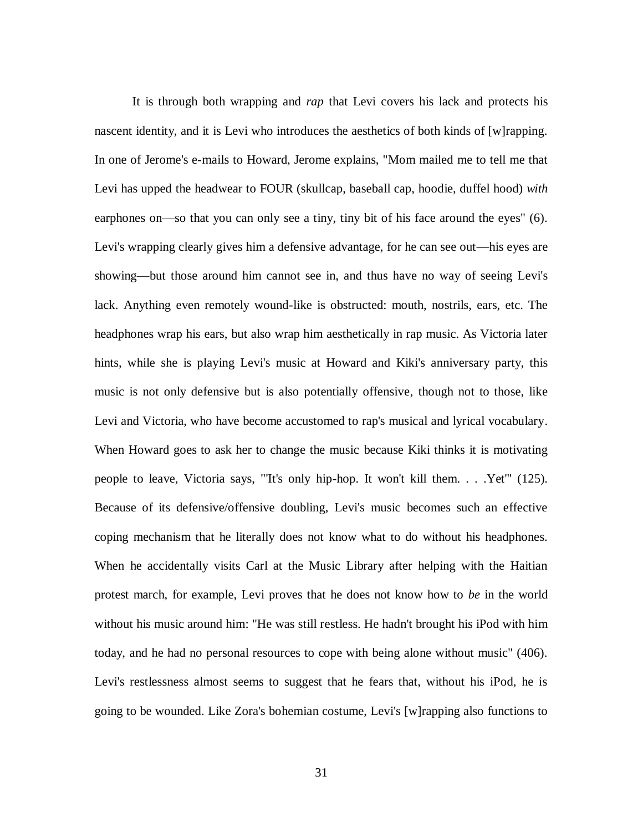It is through both wrapping and *rap* that Levi covers his lack and protects his nascent identity, and it is Levi who introduces the aesthetics of both kinds of [w]rapping. In one of Jerome's e-mails to Howard, Jerome explains, "Mom mailed me to tell me that Levi has upped the headwear to FOUR (skullcap, baseball cap, hoodie, duffel hood) *with*  earphones on—so that you can only see a tiny, tiny bit of his face around the eyes" (6). Levi's wrapping clearly gives him a defensive advantage, for he can see out—his eyes are showing—but those around him cannot see in, and thus have no way of seeing Levi's lack. Anything even remotely wound-like is obstructed: mouth, nostrils, ears, etc. The headphones wrap his ears, but also wrap him aesthetically in rap music. As Victoria later hints, while she is playing Levi's music at Howard and Kiki's anniversary party, this music is not only defensive but is also potentially offensive, though not to those, like Levi and Victoria, who have become accustomed to rap's musical and lyrical vocabulary. When Howard goes to ask her to change the music because Kiki thinks it is motivating people to leave, Victoria says, "'It's only hip-hop. It won't kill them. . . .Yet'" (125). Because of its defensive/offensive doubling, Levi's music becomes such an effective coping mechanism that he literally does not know what to do without his headphones. When he accidentally visits Carl at the Music Library after helping with the Haitian protest march, for example, Levi proves that he does not know how to *be* in the world without his music around him: "He was still restless. He hadn't brought his iPod with him today, and he had no personal resources to cope with being alone without music" (406). Levi's restlessness almost seems to suggest that he fears that, without his iPod, he is going to be wounded. Like Zora's bohemian costume, Levi's [w]rapping also functions to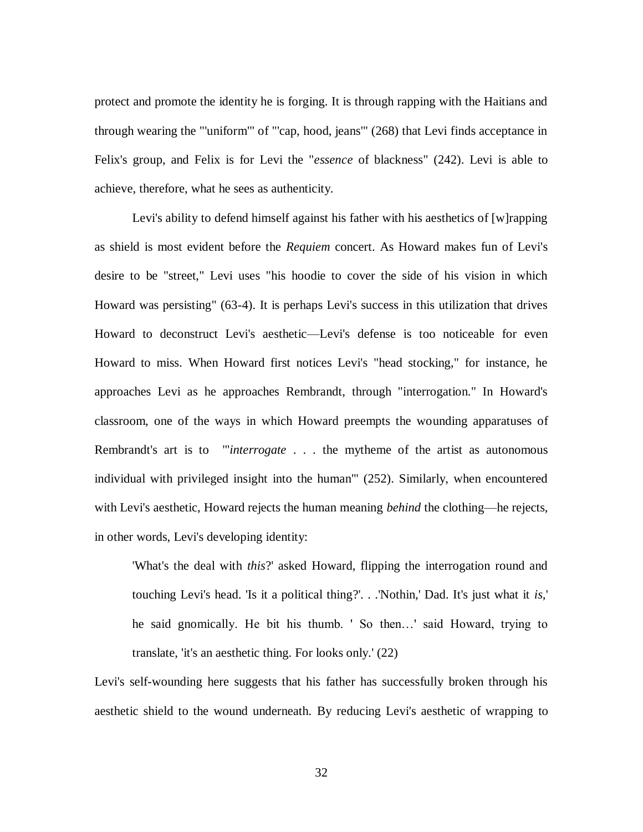protect and promote the identity he is forging. It is through rapping with the Haitians and through wearing the "'uniform'" of "'cap, hood, jeans'" (268) that Levi finds acceptance in Felix's group, and Felix is for Levi the "*essence* of blackness" (242). Levi is able to achieve, therefore, what he sees as authenticity.

Levi's ability to defend himself against his father with his aesthetics of  $[w]$ rapping as shield is most evident before the *Requiem* concert. As Howard makes fun of Levi's desire to be "street," Levi uses "his hoodie to cover the side of his vision in which Howard was persisting" (63-4). It is perhaps Levi's success in this utilization that drives Howard to deconstruct Levi's aesthetic—Levi's defense is too noticeable for even Howard to miss. When Howard first notices Levi's "head stocking," for instance, he approaches Levi as he approaches Rembrandt, through "interrogation." In Howard's classroom, one of the ways in which Howard preempts the wounding apparatuses of Rembrandt's art is to "'*interrogate* . . . the mytheme of the artist as autonomous individual with privileged insight into the human'" (252). Similarly, when encountered with Levi's aesthetic, Howard rejects the human meaning *behind* the clothing—he rejects, in other words, Levi's developing identity:

'What's the deal with *this*?' asked Howard, flipping the interrogation round and touching Levi's head. 'Is it a political thing?'. . .'Nothin,' Dad. It's just what it *is,*' he said gnomically. He bit his thumb. ' So then…' said Howard, trying to translate, 'it's an aesthetic thing. For looks only.' (22)

Levi's self-wounding here suggests that his father has successfully broken through his aesthetic shield to the wound underneath. By reducing Levi's aesthetic of wrapping to

32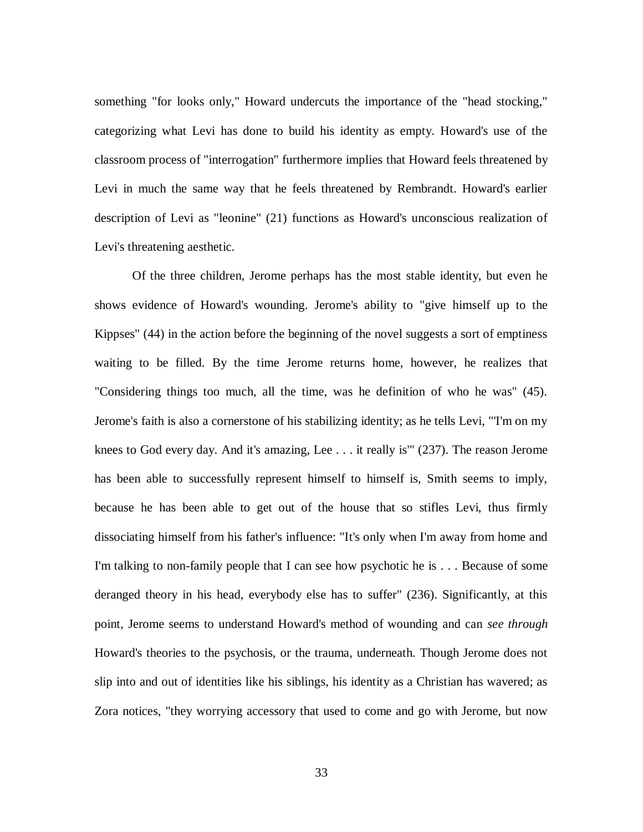something "for looks only," Howard undercuts the importance of the "head stocking," categorizing what Levi has done to build his identity as empty. Howard's use of the classroom process of "interrogation" furthermore implies that Howard feels threatened by Levi in much the same way that he feels threatened by Rembrandt. Howard's earlier description of Levi as "leonine" (21) functions as Howard's unconscious realization of Levi's threatening aesthetic.

Of the three children, Jerome perhaps has the most stable identity, but even he shows evidence of Howard's wounding. Jerome's ability to "give himself up to the Kippses" (44) in the action before the beginning of the novel suggests a sort of emptiness waiting to be filled. By the time Jerome returns home, however, he realizes that "Considering things too much, all the time, was he definition of who he was" (45). Jerome's faith is also a cornerstone of his stabilizing identity; as he tells Levi, "'I'm on my knees to God every day. And it's amazing, Lee . . . it really is'" (237). The reason Jerome has been able to successfully represent himself to himself is, Smith seems to imply, because he has been able to get out of the house that so stifles Levi, thus firmly dissociating himself from his father's influence: "It's only when I'm away from home and I'm talking to non-family people that I can see how psychotic he is . . . Because of some deranged theory in his head, everybody else has to suffer" (236). Significantly, at this point, Jerome seems to understand Howard's method of wounding and can *see through* Howard's theories to the psychosis, or the trauma, underneath. Though Jerome does not slip into and out of identities like his siblings, his identity as a Christian has wavered; as Zora notices, "they worrying accessory that used to come and go with Jerome, but now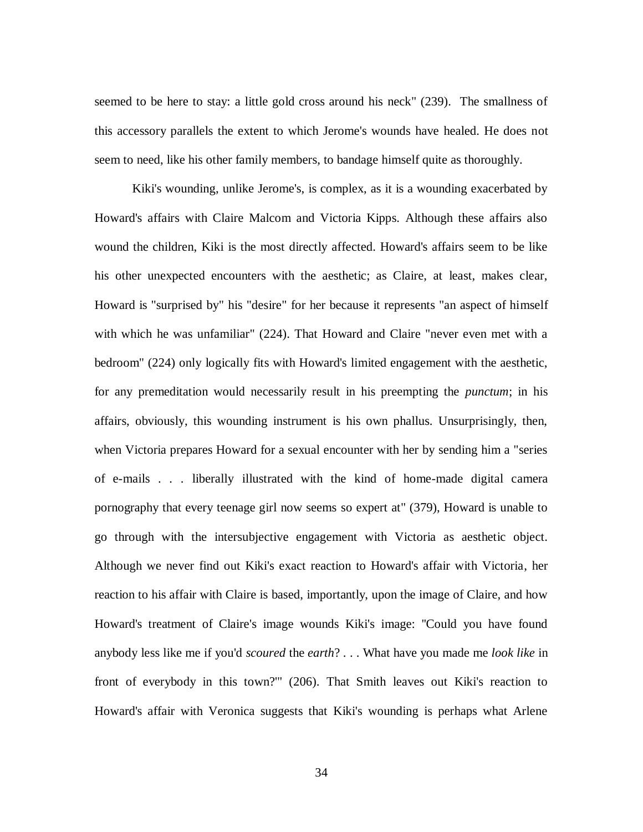seemed to be here to stay: a little gold cross around his neck" (239). The smallness of this accessory parallels the extent to which Jerome's wounds have healed. He does not seem to need, like his other family members, to bandage himself quite as thoroughly.

Kiki's wounding, unlike Jerome's, is complex, as it is a wounding exacerbated by Howard's affairs with Claire Malcom and Victoria Kipps. Although these affairs also wound the children, Kiki is the most directly affected. Howard's affairs seem to be like his other unexpected encounters with the aesthetic; as Claire, at least, makes clear, Howard is "surprised by" his "desire" for her because it represents "an aspect of himself with which he was unfamiliar" (224). That Howard and Claire "never even met with a bedroom" (224) only logically fits with Howard's limited engagement with the aesthetic, for any premeditation would necessarily result in his preempting the *punctum*; in his affairs, obviously, this wounding instrument is his own phallus. Unsurprisingly, then, when Victoria prepares Howard for a sexual encounter with her by sending him a "series of e-mails . . . liberally illustrated with the kind of home-made digital camera pornography that every teenage girl now seems so expert at" (379), Howard is unable to go through with the intersubjective engagement with Victoria as aesthetic object. Although we never find out Kiki's exact reaction to Howard's affair with Victoria, her reaction to his affair with Claire is based, importantly, upon the image of Claire, and how Howard's treatment of Claire's image wounds Kiki's image: ''Could you have found anybody less like me if you'd *scoured* the *earth*? . . . What have you made me *look like* in front of everybody in this town?'" (206). That Smith leaves out Kiki's reaction to Howard's affair with Veronica suggests that Kiki's wounding is perhaps what Arlene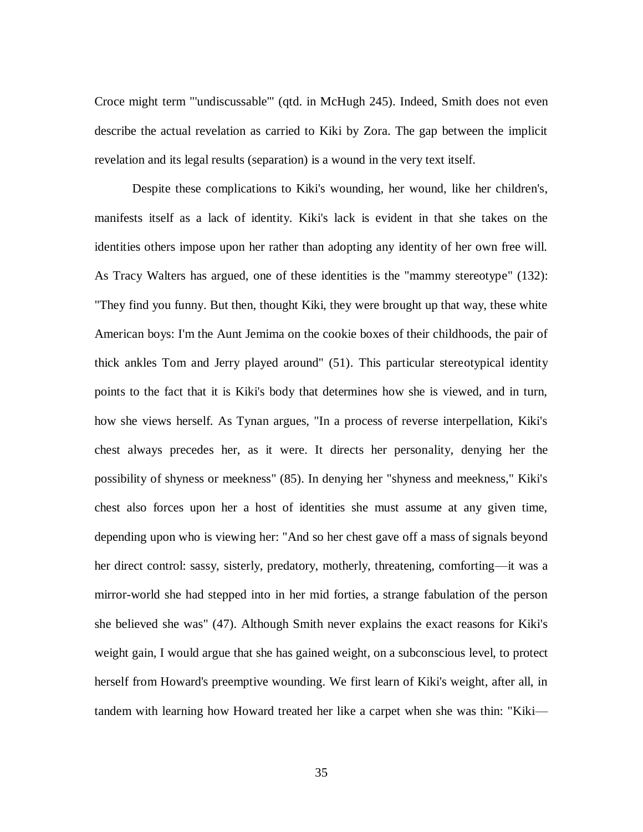Croce might term "'undiscussable'" (qtd. in McHugh 245). Indeed, Smith does not even describe the actual revelation as carried to Kiki by Zora. The gap between the implicit revelation and its legal results (separation) is a wound in the very text itself.

Despite these complications to Kiki's wounding, her wound, like her children's, manifests itself as a lack of identity. Kiki's lack is evident in that she takes on the identities others impose upon her rather than adopting any identity of her own free will. As Tracy Walters has argued, one of these identities is the "mammy stereotype" (132): "They find you funny. But then, thought Kiki, they were brought up that way, these white American boys: I'm the Aunt Jemima on the cookie boxes of their childhoods, the pair of thick ankles Tom and Jerry played around" (51). This particular stereotypical identity points to the fact that it is Kiki's body that determines how she is viewed, and in turn, how she views herself. As Tynan argues, "In a process of reverse interpellation, Kiki's chest always precedes her, as it were. It directs her personality, denying her the possibility of shyness or meekness" (85). In denying her "shyness and meekness," Kiki's chest also forces upon her a host of identities she must assume at any given time, depending upon who is viewing her: "And so her chest gave off a mass of signals beyond her direct control: sassy, sisterly, predatory, motherly, threatening, comforting—it was a mirror-world she had stepped into in her mid forties, a strange fabulation of the person she believed she was" (47). Although Smith never explains the exact reasons for Kiki's weight gain, I would argue that she has gained weight, on a subconscious level, to protect herself from Howard's preemptive wounding. We first learn of Kiki's weight, after all, in tandem with learning how Howard treated her like a carpet when she was thin: "Kiki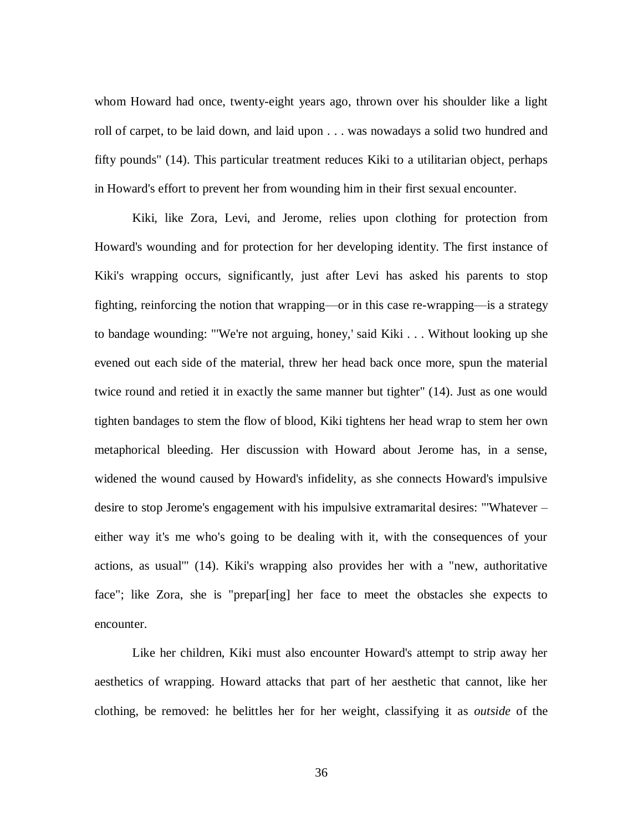whom Howard had once, twenty-eight years ago, thrown over his shoulder like a light roll of carpet, to be laid down, and laid upon . . . was nowadays a solid two hundred and fifty pounds" (14). This particular treatment reduces Kiki to a utilitarian object, perhaps in Howard's effort to prevent her from wounding him in their first sexual encounter.

Kiki, like Zora, Levi, and Jerome, relies upon clothing for protection from Howard's wounding and for protection for her developing identity. The first instance of Kiki's wrapping occurs, significantly, just after Levi has asked his parents to stop fighting, reinforcing the notion that wrapping—or in this case re-wrapping—is a strategy to bandage wounding: "'We're not arguing, honey,' said Kiki . . . Without looking up she evened out each side of the material, threw her head back once more, spun the material twice round and retied it in exactly the same manner but tighter" (14). Just as one would tighten bandages to stem the flow of blood, Kiki tightens her head wrap to stem her own metaphorical bleeding. Her discussion with Howard about Jerome has, in a sense, widened the wound caused by Howard's infidelity, as she connects Howard's impulsive desire to stop Jerome's engagement with his impulsive extramarital desires: "'Whatever – either way it's me who's going to be dealing with it, with the consequences of your actions, as usual'" (14). Kiki's wrapping also provides her with a "new, authoritative face"; like Zora, she is "prepar[ing] her face to meet the obstacles she expects to encounter.

Like her children, Kiki must also encounter Howard's attempt to strip away her aesthetics of wrapping. Howard attacks that part of her aesthetic that cannot, like her clothing, be removed: he belittles her for her weight, classifying it as *outside* of the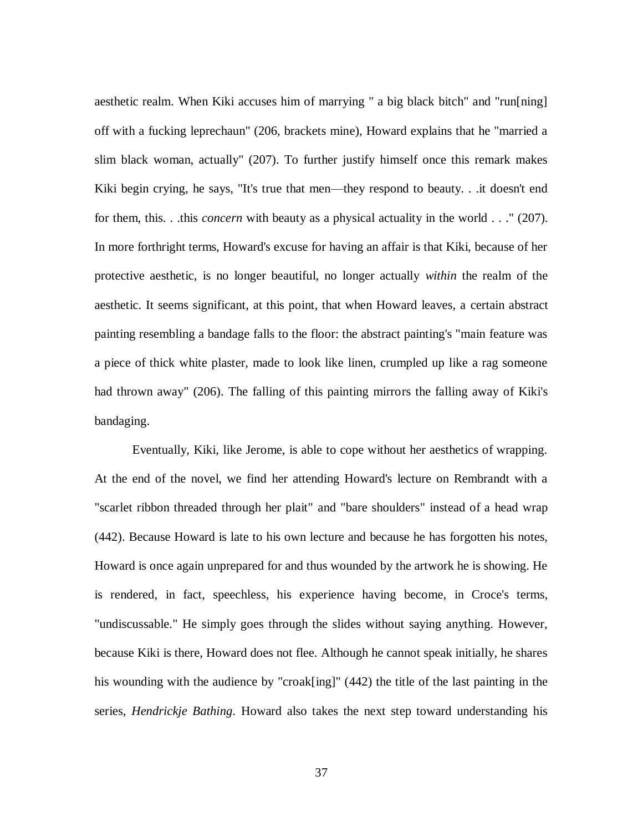aesthetic realm. When Kiki accuses him of marrying " a big black bitch" and "run[ning] off with a fucking leprechaun" (206, brackets mine), Howard explains that he "married a slim black woman, actually" (207). To further justify himself once this remark makes Kiki begin crying, he says, "It's true that men—they respond to beauty. . .it doesn't end for them, this. . .this *concern* with beauty as a physical actuality in the world . . ." (207). In more forthright terms, Howard's excuse for having an affair is that Kiki, because of her protective aesthetic, is no longer beautiful, no longer actually *within* the realm of the aesthetic. It seems significant, at this point, that when Howard leaves, a certain abstract painting resembling a bandage falls to the floor: the abstract painting's "main feature was a piece of thick white plaster, made to look like linen, crumpled up like a rag someone had thrown away" (206). The falling of this painting mirrors the falling away of Kiki's bandaging.

Eventually, Kiki, like Jerome, is able to cope without her aesthetics of wrapping. At the end of the novel, we find her attending Howard's lecture on Rembrandt with a "scarlet ribbon threaded through her plait" and "bare shoulders" instead of a head wrap (442). Because Howard is late to his own lecture and because he has forgotten his notes, Howard is once again unprepared for and thus wounded by the artwork he is showing. He is rendered, in fact, speechless, his experience having become, in Croce's terms, "undiscussable." He simply goes through the slides without saying anything. However, because Kiki is there, Howard does not flee. Although he cannot speak initially, he shares his wounding with the audience by "croak[ing]" (442) the title of the last painting in the series, *Hendrickje Bathing*. Howard also takes the next step toward understanding his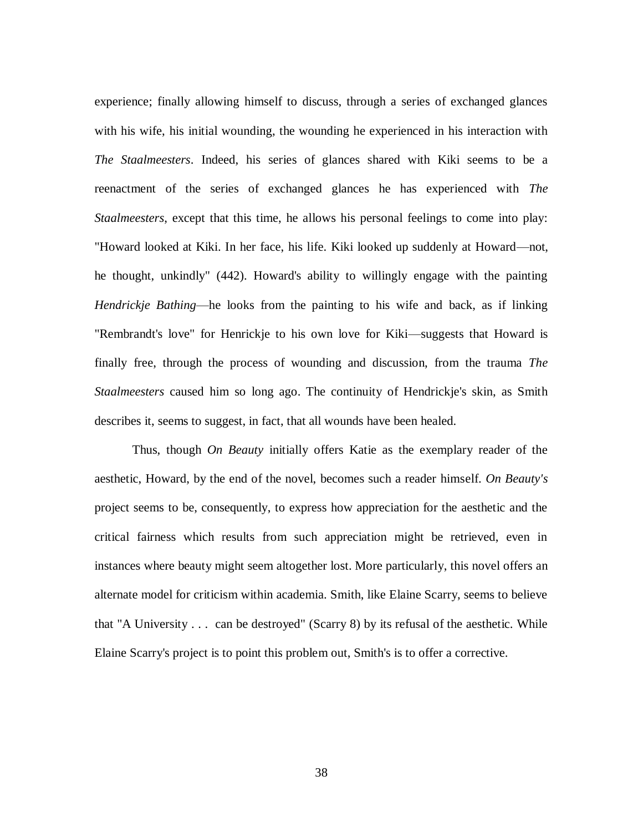experience; finally allowing himself to discuss, through a series of exchanged glances with his wife, his initial wounding, the wounding he experienced in his interaction with *The Staalmeesters*. Indeed, his series of glances shared with Kiki seems to be a reenactment of the series of exchanged glances he has experienced with *The Staalmeesters*, except that this time, he allows his personal feelings to come into play: "Howard looked at Kiki. In her face, his life. Kiki looked up suddenly at Howard—not, he thought, unkindly" (442). Howard's ability to willingly engage with the painting *Hendrickje Bathing*—he looks from the painting to his wife and back, as if linking "Rembrandt's love" for Henrickje to his own love for Kiki—suggests that Howard is finally free, through the process of wounding and discussion, from the trauma *The Staalmeesters* caused him so long ago. The continuity of Hendrickje's skin, as Smith describes it, seems to suggest, in fact, that all wounds have been healed.

Thus, though *On Beauty* initially offers Katie as the exemplary reader of the aesthetic, Howard, by the end of the novel, becomes such a reader himself. *On Beauty's*  project seems to be, consequently, to express how appreciation for the aesthetic and the critical fairness which results from such appreciation might be retrieved, even in instances where beauty might seem altogether lost. More particularly, this novel offers an alternate model for criticism within academia. Smith, like Elaine Scarry, seems to believe that "A University . . . can be destroyed" (Scarry 8) by its refusal of the aesthetic. While Elaine Scarry's project is to point this problem out, Smith's is to offer a corrective.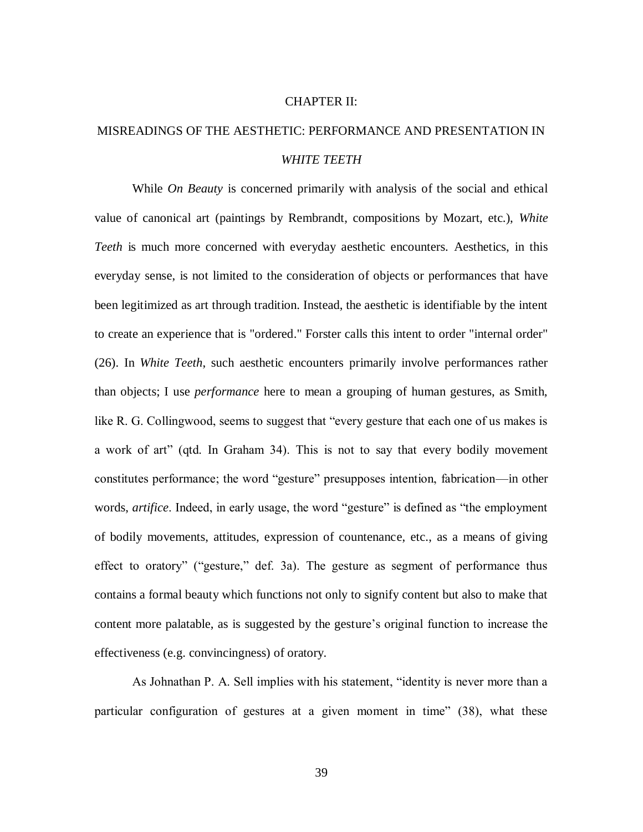## CHAPTER II:

## MISREADINGS OF THE AESTHETIC: PERFORMANCE AND PRESENTATION IN *WHITE TEETH*

While *On Beauty* is concerned primarily with analysis of the social and ethical value of canonical art (paintings by Rembrandt, compositions by Mozart, etc.), *White Teeth* is much more concerned with everyday aesthetic encounters. Aesthetics, in this everyday sense, is not limited to the consideration of objects or performances that have been legitimized as art through tradition. Instead, the aesthetic is identifiable by the intent to create an experience that is "ordered." Forster calls this intent to order "internal order" (26). In *White Teeth*, such aesthetic encounters primarily involve performances rather than objects; I use *performance* here to mean a grouping of human gestures, as Smith, like R. G. Collingwood, seems to suggest that "every gesture that each one of us makes is a work of art" (qtd. In Graham 34). This is not to say that every bodily movement constitutes performance; the word "gesture" presupposes intention, fabrication—in other words, *artifice*. Indeed, in early usage, the word "gesture" is defined as "the employment of bodily movements, attitudes, expression of countenance, etc., as a means of giving effect to oratory" ("gesture," def. 3a). The gesture as segment of performance thus contains a formal beauty which functions not only to signify content but also to make that content more palatable, as is suggested by the gesture's original function to increase the effectiveness (e.g. convincingness) of oratory.

As Johnathan P. A. Sell implies with his statement, "identity is never more than a particular configuration of gestures at a given moment in time" (38), what these

39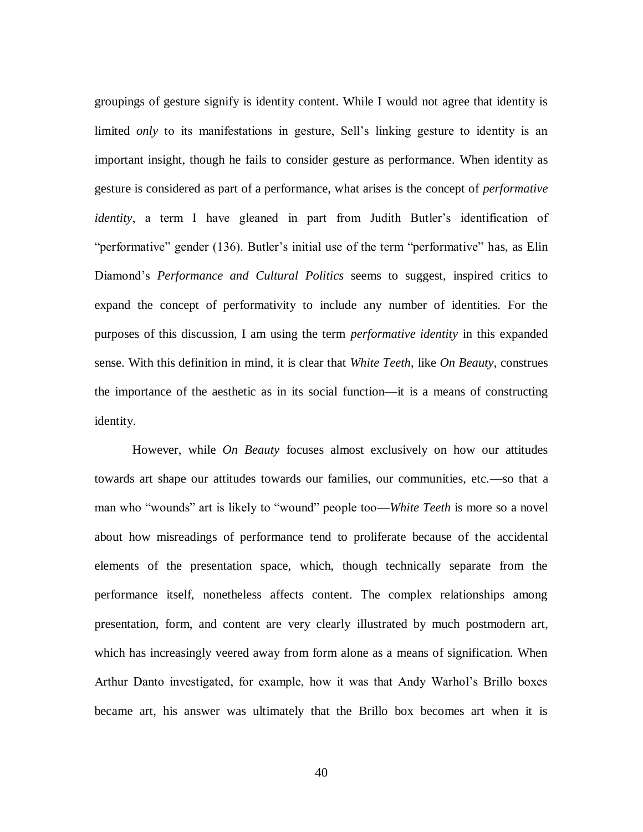groupings of gesture signify is identity content. While I would not agree that identity is limited *only* to its manifestations in gesture, Sell's linking gesture to identity is an important insight, though he fails to consider gesture as performance. When identity as gesture is considered as part of a performance, what arises is the concept of *performative identity*, a term I have gleaned in part from Judith Butler's identification of "performative" gender (136). Butler's initial use of the term "performative" has, as Elin Diamond's *Performance and Cultural Politics* seems to suggest, inspired critics to expand the concept of performativity to include any number of identities. For the purposes of this discussion, I am using the term *performative identity* in this expanded sense. With this definition in mind, it is clear that *White Teeth*, like *On Beauty*, construes the importance of the aesthetic as in its social function—it is a means of constructing identity.

However, while *On Beauty* focuses almost exclusively on how our attitudes towards art shape our attitudes towards our families, our communities, etc.—so that a man who "wounds" art is likely to "wound" people too—*White Teeth* is more so a novel about how misreadings of performance tend to proliferate because of the accidental elements of the presentation space, which, though technically separate from the performance itself, nonetheless affects content. The complex relationships among presentation, form, and content are very clearly illustrated by much postmodern art, which has increasingly veered away from form alone as a means of signification. When Arthur Danto investigated, for example, how it was that Andy Warhol's Brillo boxes became art, his answer was ultimately that the Brillo box becomes art when it is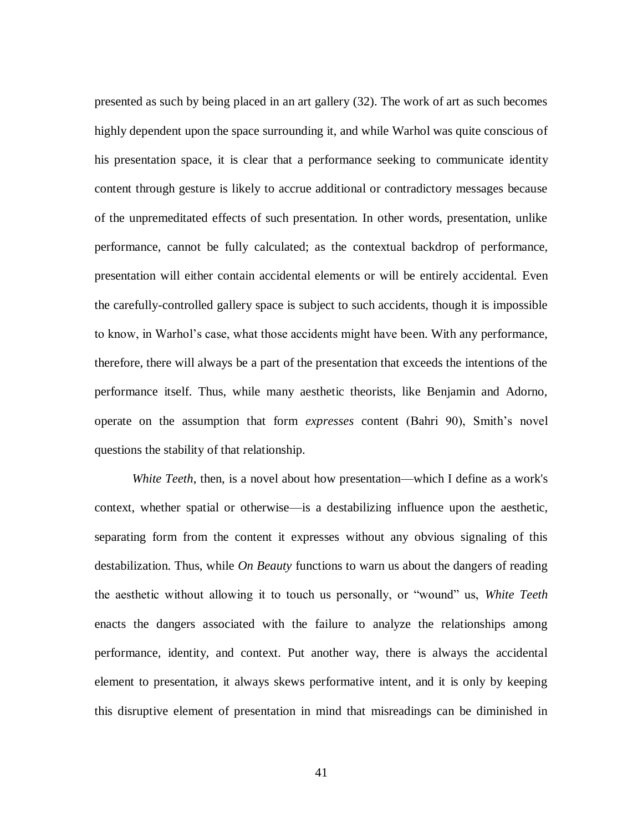presented as such by being placed in an art gallery (32). The work of art as such becomes highly dependent upon the space surrounding it, and while Warhol was quite conscious of his presentation space, it is clear that a performance seeking to communicate identity content through gesture is likely to accrue additional or contradictory messages because of the unpremeditated effects of such presentation. In other words, presentation, unlike performance, cannot be fully calculated; as the contextual backdrop of performance, presentation will either contain accidental elements or will be entirely accidental. Even the carefully-controlled gallery space is subject to such accidents, though it is impossible to know, in Warhol's case, what those accidents might have been. With any performance, therefore, there will always be a part of the presentation that exceeds the intentions of the performance itself. Thus, while many aesthetic theorists, like Benjamin and Adorno, operate on the assumption that form *expresses* content (Bahri 90), Smith's novel questions the stability of that relationship.

*White Teeth*, then, is a novel about how presentation—which I define as a work's context, whether spatial or otherwise—is a destabilizing influence upon the aesthetic, separating form from the content it expresses without any obvious signaling of this destabilization. Thus, while *On Beauty* functions to warn us about the dangers of reading the aesthetic without allowing it to touch us personally, or "wound" us, White Teeth enacts the dangers associated with the failure to analyze the relationships among performance, identity, and context. Put another way, there is always the accidental element to presentation, it always skews performative intent, and it is only by keeping this disruptive element of presentation in mind that misreadings can be diminished in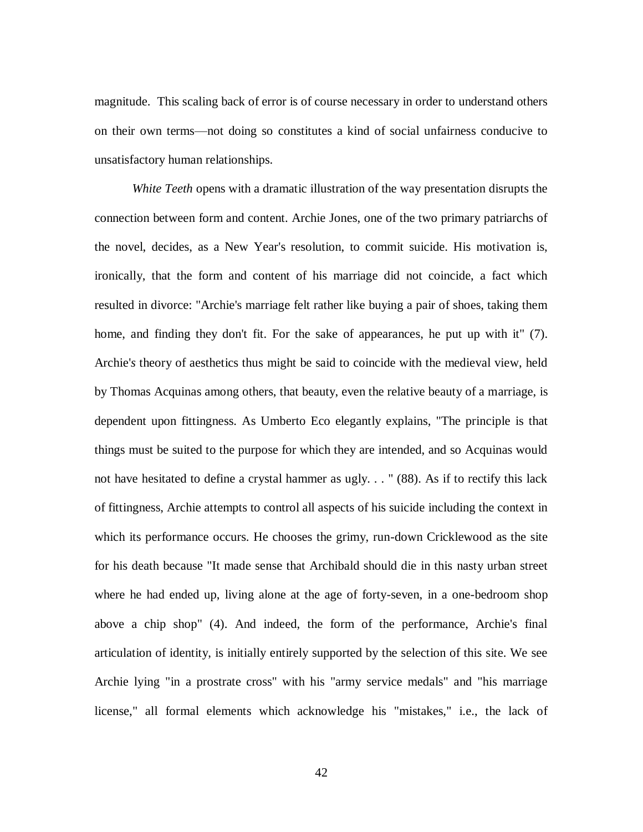magnitude. This scaling back of error is of course necessary in order to understand others on their own terms—not doing so constitutes a kind of social unfairness conducive to unsatisfactory human relationships.

*White Teeth* opens with a dramatic illustration of the way presentation disrupts the connection between form and content. Archie Jones, one of the two primary patriarchs of the novel, decides, as a New Year's resolution, to commit suicide. His motivation is, ironically, that the form and content of his marriage did not coincide, a fact which resulted in divorce: "Archie's marriage felt rather like buying a pair of shoes, taking them home, and finding they don't fit. For the sake of appearances, he put up with it" (7). Archie'*s* theory of aesthetics thus might be said to coincide with the medieval view, held by Thomas Acquinas among others, that beauty, even the relative beauty of a marriage, is dependent upon fittingness. As Umberto Eco elegantly explains, "The principle is that things must be suited to the purpose for which they are intended, and so Acquinas would not have hesitated to define a crystal hammer as ugly. . . " (88). As if to rectify this lack of fittingness, Archie attempts to control all aspects of his suicide including the context in which its performance occurs. He chooses the grimy, run-down Cricklewood as the site for his death because "It made sense that Archibald should die in this nasty urban street where he had ended up, living alone at the age of forty-seven, in a one-bedroom shop above a chip shop" (4). And indeed, the form of the performance, Archie's final articulation of identity, is initially entirely supported by the selection of this site. We see Archie lying "in a prostrate cross" with his "army service medals" and "his marriage license," all formal elements which acknowledge his "mistakes," i.e., the lack of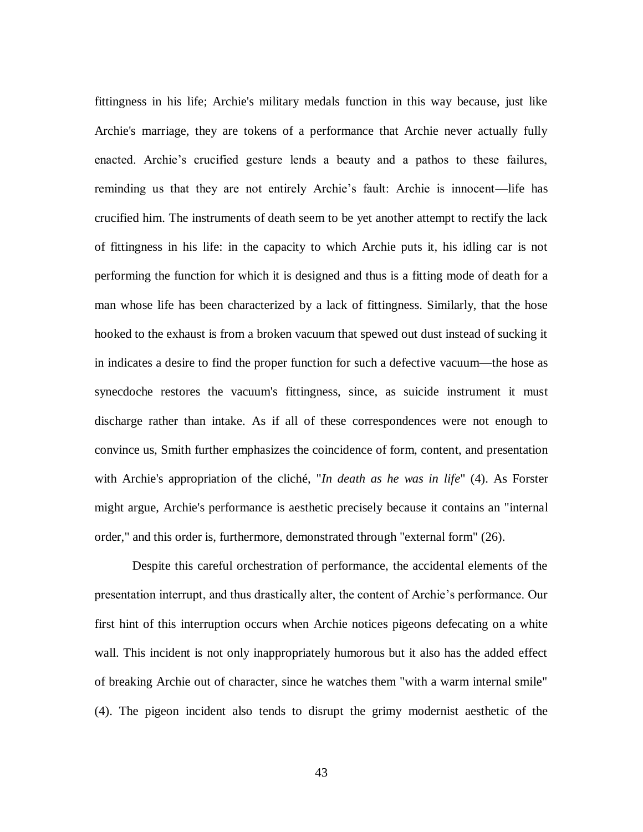fittingness in his life; Archie's military medals function in this way because, just like Archie's marriage, they are tokens of a performance that Archie never actually fully enacted. Archie's crucified gesture lends a beauty and a pathos to these failures, reminding us that they are not entirely Archie's fault: Archie is innocent—life has crucified him. The instruments of death seem to be yet another attempt to rectify the lack of fittingness in his life: in the capacity to which Archie puts it, his idling car is not performing the function for which it is designed and thus is a fitting mode of death for a man whose life has been characterized by a lack of fittingness. Similarly, that the hose hooked to the exhaust is from a broken vacuum that spewed out dust instead of sucking it in indicates a desire to find the proper function for such a defective vacuum—the hose as synecdoche restores the vacuum's fittingness, since, as suicide instrument it must discharge rather than intake. As if all of these correspondences were not enough to convince us, Smith further emphasizes the coincidence of form, content, and presentation with Archie's appropriation of the cliché, "*In death as he was in life*" (4). As Forster might argue, Archie's performance is aesthetic precisely because it contains an "internal order," and this order is, furthermore, demonstrated through "external form" (26).

Despite this careful orchestration of performance, the accidental elements of the presentation interrupt, and thus drastically alter, the content of Archie's performance. Our first hint of this interruption occurs when Archie notices pigeons defecating on a white wall. This incident is not only inappropriately humorous but it also has the added effect of breaking Archie out of character, since he watches them "with a warm internal smile" (4). The pigeon incident also tends to disrupt the grimy modernist aesthetic of the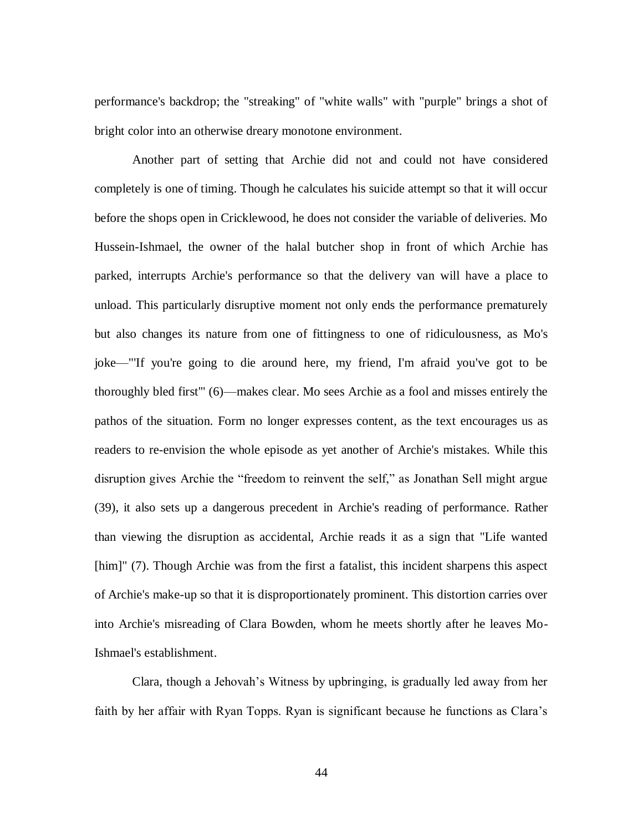performance's backdrop; the "streaking" of "white walls" with "purple" brings a shot of bright color into an otherwise dreary monotone environment.

Another part of setting that Archie did not and could not have considered completely is one of timing. Though he calculates his suicide attempt so that it will occur before the shops open in Cricklewood, he does not consider the variable of deliveries. Mo Hussein-Ishmael, the owner of the halal butcher shop in front of which Archie has parked, interrupts Archie's performance so that the delivery van will have a place to unload. This particularly disruptive moment not only ends the performance prematurely but also changes its nature from one of fittingness to one of ridiculousness, as Mo's joke—"'If you're going to die around here, my friend, I'm afraid you've got to be thoroughly bled first'" (6)—makes clear. Mo sees Archie as a fool and misses entirely the pathos of the situation. Form no longer expresses content, as the text encourages us as readers to re-envision the whole episode as yet another of Archie's mistakes. While this disruption gives Archie the "freedom to reinvent the self," as Jonathan Sell might argue (39), it also sets up a dangerous precedent in Archie's reading of performance. Rather than viewing the disruption as accidental, Archie reads it as a sign that "Life wanted [him]" (7). Though Archie was from the first a fatalist, this incident sharpens this aspect of Archie's make-up so that it is disproportionately prominent. This distortion carries over into Archie's misreading of Clara Bowden, whom he meets shortly after he leaves Mo-Ishmael's establishment.

Clara, though a Jehovah's Witness by upbringing, is gradually led away from her faith by her affair with Ryan Topps. Ryan is significant because he functions as Clara's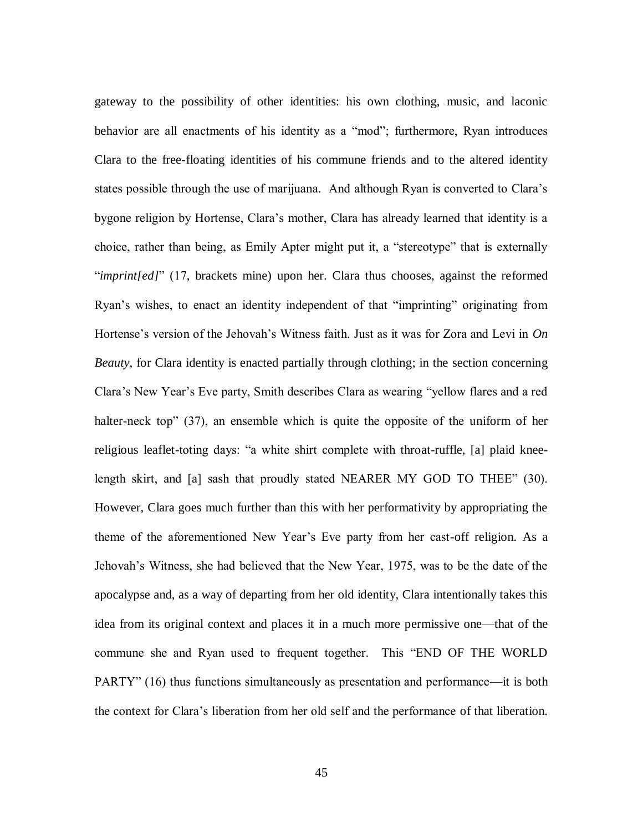gateway to the possibility of other identities: his own clothing, music, and laconic behavior are all enactments of his identity as a "mod"; furthermore, Ryan introduces Clara to the free-floating identities of his commune friends and to the altered identity states possible through the use of marijuana. And although Ryan is converted to Clara's bygone religion by Hortense, Clara's mother, Clara has already learned that identity is a choice, rather than being, as Emily Apter might put it, a "stereotype" that is externally "*imprint[ed]*" (17, brackets mine) upon her. Clara thus chooses, against the reformed Ryan's wishes, to enact an identity independent of that "imprinting" originating from Hortense's version of the Jehovah's Witness faith. Just as it was for Zora and Levi in *On Beauty*, for Clara identity is enacted partially through clothing; in the section concerning Clara's New Year's Eve party, Smith describes Clara as wearing "yellow flares and a red halter-neck top"  $(37)$ , an ensemble which is quite the opposite of the uniform of her religious leaflet-toting days: "a white shirt complete with throat-ruffle, [a] plaid kneelength skirt, and [a] sash that proudly stated NEARER MY GOD TO THEE" (30). However, Clara goes much further than this with her performativity by appropriating the theme of the aforementioned New Year's Eve party from her cast-off religion. As a Jehovah's Witness, she had believed that the New Year, 1975, was to be the date of the apocalypse and, as a way of departing from her old identity, Clara intentionally takes this idea from its original context and places it in a much more permissive one—that of the commune she and Ryan used to frequent together. This "END OF THE WORLD PARTY" (16) thus functions simultaneously as presentation and performance—it is both the context for Clara's liberation from her old self and the performance of that liberation.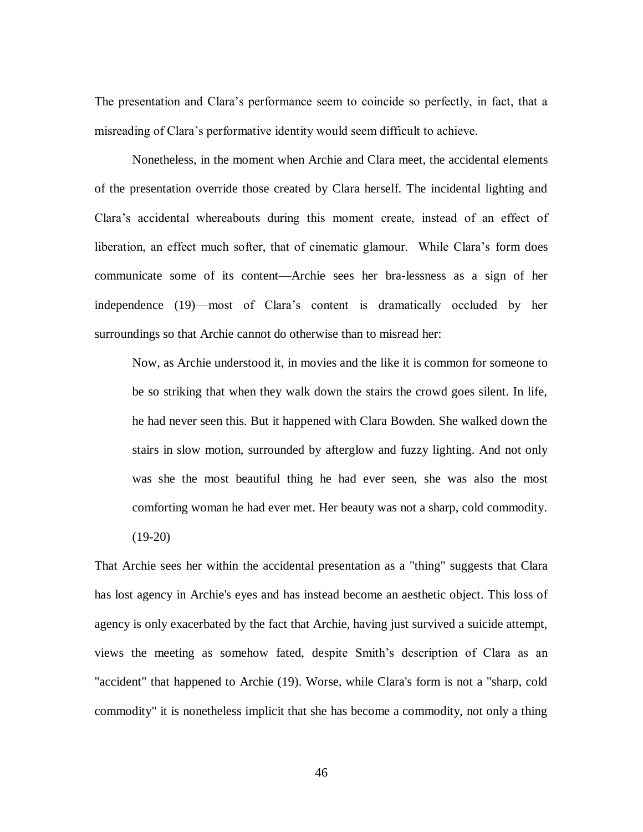The presentation and Clara's performance seem to coincide so perfectly, in fact, that a misreading of Clara's performative identity would seem difficult to achieve.

Nonetheless, in the moment when Archie and Clara meet, the accidental elements of the presentation override those created by Clara herself. The incidental lighting and Clara's accidental whereabouts during this moment create, instead of an effect of liberation, an effect much softer, that of cinematic glamour. While Clara's form does communicate some of its content—Archie sees her bra-lessness as a sign of her independence (19)—most of Clara's content is dramatically occluded by her surroundings so that Archie cannot do otherwise than to misread her:

Now, as Archie understood it, in movies and the like it is common for someone to be so striking that when they walk down the stairs the crowd goes silent. In life, he had never seen this. But it happened with Clara Bowden. She walked down the stairs in slow motion, surrounded by afterglow and fuzzy lighting. And not only was she the most beautiful thing he had ever seen, she was also the most comforting woman he had ever met. Her beauty was not a sharp, cold commodity.

 $(19-20)$ 

That Archie sees her within the accidental presentation as a "thing" suggests that Clara has lost agency in Archie's eyes and has instead become an aesthetic object. This loss of agency is only exacerbated by the fact that Archie, having just survived a suicide attempt, views the meeting as somehow fated, despite Smith's description of Clara as an "accident" that happened to Archie (19). Worse, while Clara's form is not a "sharp, cold commodity" it is nonetheless implicit that she has become a commodity, not only a thing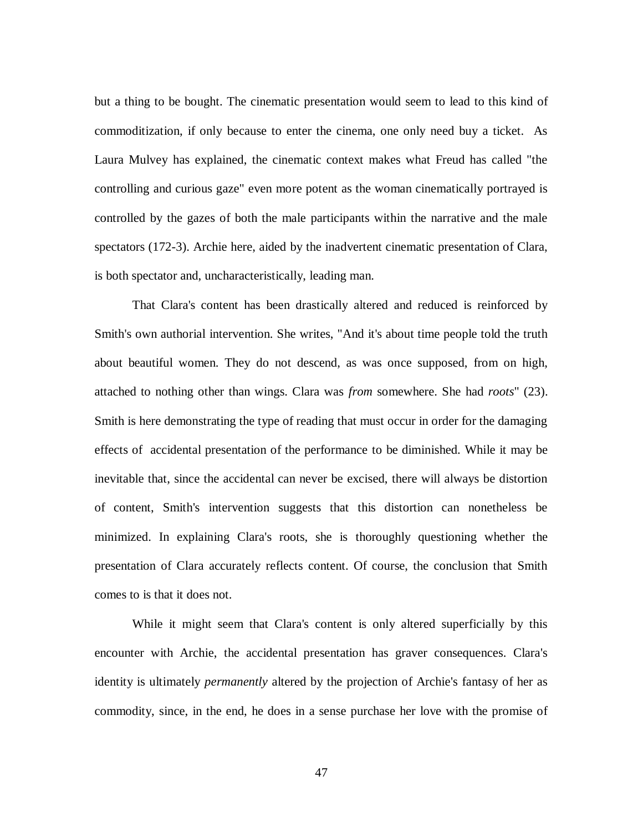but a thing to be bought. The cinematic presentation would seem to lead to this kind of commoditization, if only because to enter the cinema, one only need buy a ticket. As Laura Mulvey has explained, the cinematic context makes what Freud has called "the controlling and curious gaze" even more potent as the woman cinematically portrayed is controlled by the gazes of both the male participants within the narrative and the male spectators (172-3). Archie here, aided by the inadvertent cinematic presentation of Clara, is both spectator and, uncharacteristically, leading man.

That Clara's content has been drastically altered and reduced is reinforced by Smith's own authorial intervention. She writes, "And it's about time people told the truth about beautiful women. They do not descend, as was once supposed, from on high, attached to nothing other than wings. Clara was *from* somewhere. She had *roots*" (23). Smith is here demonstrating the type of reading that must occur in order for the damaging effects of accidental presentation of the performance to be diminished. While it may be inevitable that, since the accidental can never be excised, there will always be distortion of content, Smith's intervention suggests that this distortion can nonetheless be minimized. In explaining Clara's roots, she is thoroughly questioning whether the presentation of Clara accurately reflects content. Of course, the conclusion that Smith comes to is that it does not.

While it might seem that Clara's content is only altered superficially by this encounter with Archie, the accidental presentation has graver consequences. Clara's identity is ultimately *permanently* altered by the projection of Archie's fantasy of her as commodity, since, in the end, he does in a sense purchase her love with the promise of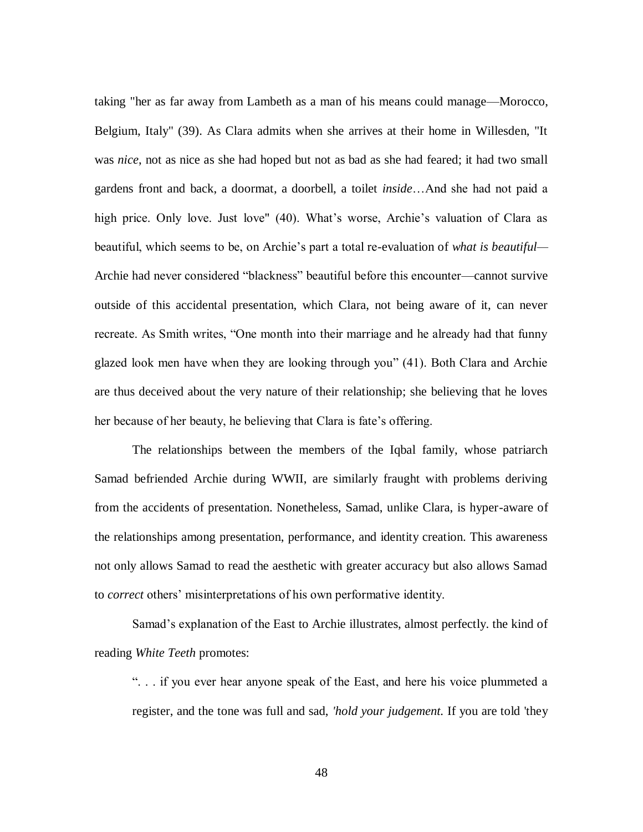taking "her as far away from Lambeth as a man of his means could manage—Morocco, Belgium, Italy" (39). As Clara admits when she arrives at their home in Willesden, "It was *nice*, not as nice as she had hoped but not as bad as she had feared; it had two small gardens front and back, a doormat, a doorbell, a toilet *inside*…And she had not paid a high price. Only love. Just love" (40). What's worse, Archie's valuation of Clara as beautiful, which seems to be, on Archie's part a total re-evaluation of *what is beautiful—* Archie had never considered "blackness" beautiful before this encounter—cannot survive outside of this accidental presentation, which Clara, not being aware of it, can never recreate. As Smith writes, "One month into their marriage and he already had that funny glazed look men have when they are looking through you‖ (41). Both Clara and Archie are thus deceived about the very nature of their relationship; she believing that he loves her because of her beauty, he believing that Clara is fate's offering.

The relationships between the members of the Iqbal family, whose patriarch Samad befriended Archie during WWII, are similarly fraught with problems deriving from the accidents of presentation. Nonetheless, Samad, unlike Clara, is hyper-aware of the relationships among presentation, performance, and identity creation. This awareness not only allows Samad to read the aesthetic with greater accuracy but also allows Samad to *correct* others' misinterpretations of his own performative identity.

Samad's explanation of the East to Archie illustrates, almost perfectly. the kind of reading *White Teeth* promotes:

―. . . if you ever hear anyone speak of the East, and here his voice plummeted a register, and the tone was full and sad, *'hold your judgement.* If you are told 'they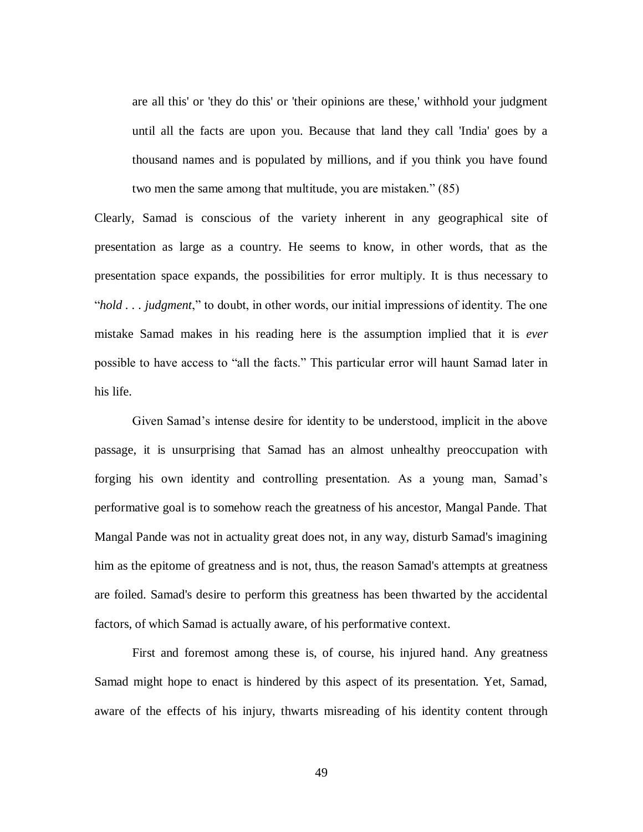are all this' or 'they do this' or 'their opinions are these,' withhold your judgment until all the facts are upon you. Because that land they call 'India' goes by a thousand names and is populated by millions, and if you think you have found two men the same among that multitude, you are mistaken." (85)

Clearly, Samad is conscious of the variety inherent in any geographical site of presentation as large as a country. He seems to know, in other words, that as the presentation space expands, the possibilities for error multiply. It is thus necessary to "*hold . . . judgment*," to doubt, in other words, our initial impressions of identity. The one mistake Samad makes in his reading here is the assumption implied that it is *ever* possible to have access to "all the facts." This particular error will haunt Samad later in his life.

Given Samad's intense desire for identity to be understood, implicit in the above passage, it is unsurprising that Samad has an almost unhealthy preoccupation with forging his own identity and controlling presentation. As a young man, Samad's performative goal is to somehow reach the greatness of his ancestor, Mangal Pande. That Mangal Pande was not in actuality great does not, in any way, disturb Samad's imagining him as the epitome of greatness and is not, thus, the reason Samad's attempts at greatness are foiled. Samad's desire to perform this greatness has been thwarted by the accidental factors, of which Samad is actually aware, of his performative context.

First and foremost among these is, of course, his injured hand. Any greatness Samad might hope to enact is hindered by this aspect of its presentation. Yet, Samad, aware of the effects of his injury, thwarts misreading of his identity content through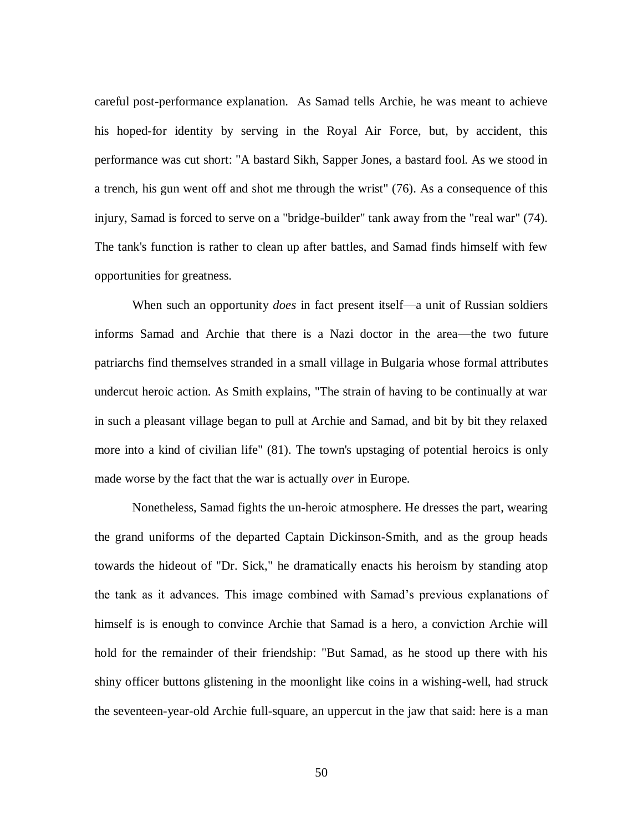careful post-performance explanation. As Samad tells Archie, he was meant to achieve his hoped-for identity by serving in the Royal Air Force, but, by accident, this performance was cut short: "A bastard Sikh, Sapper Jones, a bastard fool. As we stood in a trench, his gun went off and shot me through the wrist" (76). As a consequence of this injury, Samad is forced to serve on a "bridge-builder" tank away from the "real war" (74). The tank's function is rather to clean up after battles, and Samad finds himself with few opportunities for greatness.

When such an opportunity *does* in fact present itself—a unit of Russian soldiers informs Samad and Archie that there is a Nazi doctor in the area—the two future patriarchs find themselves stranded in a small village in Bulgaria whose formal attributes undercut heroic action. As Smith explains, "The strain of having to be continually at war in such a pleasant village began to pull at Archie and Samad, and bit by bit they relaxed more into a kind of civilian life" (81). The town's upstaging of potential heroics is only made worse by the fact that the war is actually *over* in Europe.

Nonetheless, Samad fights the un-heroic atmosphere. He dresses the part, wearing the grand uniforms of the departed Captain Dickinson-Smith, and as the group heads towards the hideout of "Dr. Sick," he dramatically enacts his heroism by standing atop the tank as it advances. This image combined with Samad's previous explanations of himself is is enough to convince Archie that Samad is a hero, a conviction Archie will hold for the remainder of their friendship: "But Samad, as he stood up there with his shiny officer buttons glistening in the moonlight like coins in a wishing-well, had struck the seventeen-year-old Archie full-square, an uppercut in the jaw that said: here is a man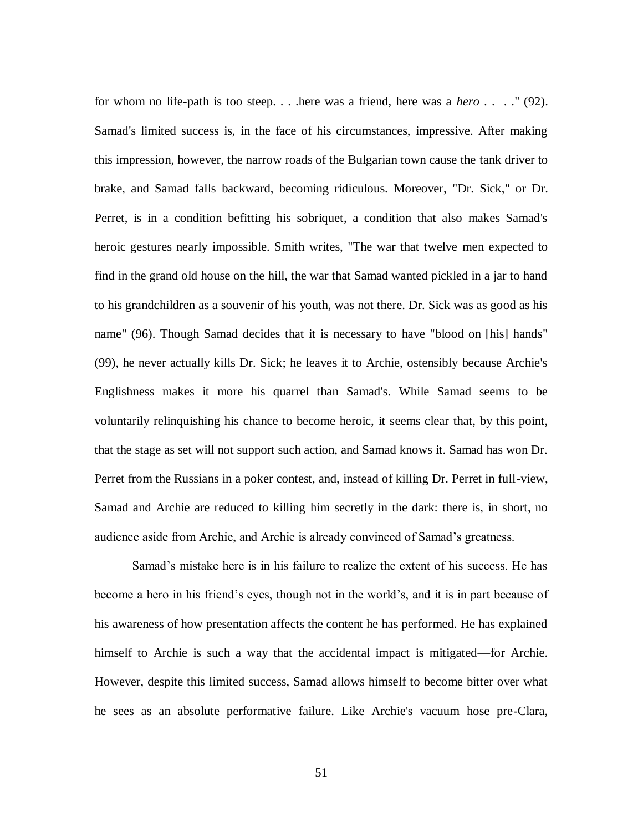for whom no life-path is too steep. . . .here was a friend, here was a *hero* . . . ." (92). Samad's limited success is, in the face of his circumstances, impressive. After making this impression, however, the narrow roads of the Bulgarian town cause the tank driver to brake, and Samad falls backward, becoming ridiculous. Moreover, "Dr. Sick," or Dr. Perret, is in a condition befitting his sobriquet, a condition that also makes Samad's heroic gestures nearly impossible. Smith writes, "The war that twelve men expected to find in the grand old house on the hill, the war that Samad wanted pickled in a jar to hand to his grandchildren as a souvenir of his youth, was not there. Dr. Sick was as good as his name" (96). Though Samad decides that it is necessary to have "blood on [his] hands" (99), he never actually kills Dr. Sick; he leaves it to Archie, ostensibly because Archie's Englishness makes it more his quarrel than Samad's. While Samad seems to be voluntarily relinquishing his chance to become heroic, it seems clear that, by this point, that the stage as set will not support such action, and Samad knows it. Samad has won Dr. Perret from the Russians in a poker contest, and, instead of killing Dr. Perret in full-view, Samad and Archie are reduced to killing him secretly in the dark: there is, in short, no audience aside from Archie, and Archie is already convinced of Samad's greatness.

Samad's mistake here is in his failure to realize the extent of his success. He has become a hero in his friend's eyes, though not in the world's, and it is in part because of his awareness of how presentation affects the content he has performed. He has explained himself to Archie is such a way that the accidental impact is mitigated—for Archie. However, despite this limited success, Samad allows himself to become bitter over what he sees as an absolute performative failure. Like Archie's vacuum hose pre-Clara,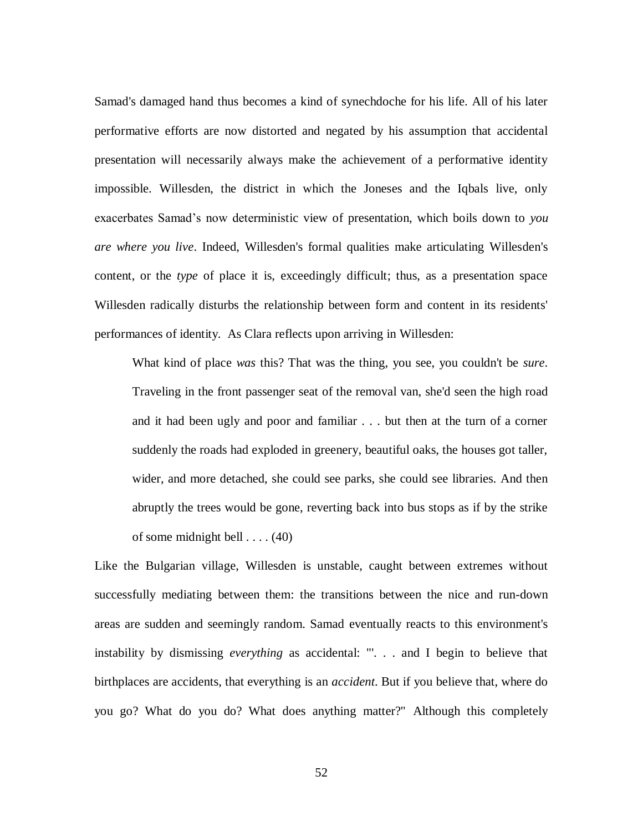Samad's damaged hand thus becomes a kind of synechdoche for his life. All of his later performative efforts are now distorted and negated by his assumption that accidental presentation will necessarily always make the achievement of a performative identity impossible. Willesden, the district in which the Joneses and the Iqbals live, only exacerbates Samad's now deterministic view of presentation, which boils down to *you are where you live*. Indeed, Willesden's formal qualities make articulating Willesden's content, or the *type* of place it is, exceedingly difficult; thus, as a presentation space Willesden radically disturbs the relationship between form and content in its residents' performances of identity. As Clara reflects upon arriving in Willesden:

What kind of place *was* this? That was the thing, you see, you couldn't be *sure*. Traveling in the front passenger seat of the removal van, she'd seen the high road and it had been ugly and poor and familiar . . . but then at the turn of a corner suddenly the roads had exploded in greenery, beautiful oaks, the houses got taller, wider, and more detached, she could see parks, she could see libraries. And then abruptly the trees would be gone, reverting back into bus stops as if by the strike of some midnight bell  $\dots$  (40)

Like the Bulgarian village, Willesden is unstable, caught between extremes without successfully mediating between them: the transitions between the nice and run-down areas are sudden and seemingly random. Samad eventually reacts to this environment's instability by dismissing *everything* as accidental: "'. . . and I begin to believe that birthplaces are accidents, that everything is an *accident*. But if you believe that, where do you go? What do you do? What does anything matter?" Although this completely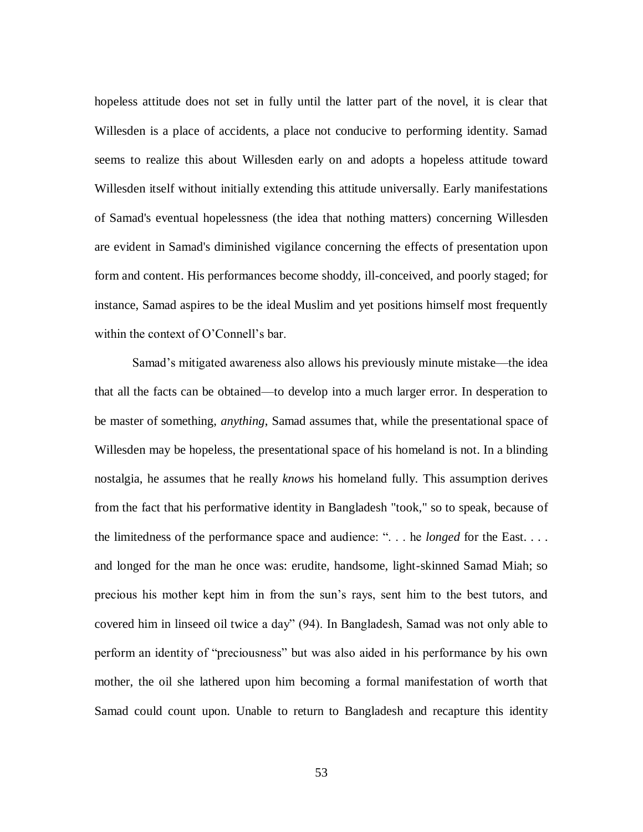hopeless attitude does not set in fully until the latter part of the novel, it is clear that Willesden is a place of accidents, a place not conducive to performing identity. Samad seems to realize this about Willesden early on and adopts a hopeless attitude toward Willesden itself without initially extending this attitude universally. Early manifestations of Samad's eventual hopelessness (the idea that nothing matters) concerning Willesden are evident in Samad's diminished vigilance concerning the effects of presentation upon form and content. His performances become shoddy, ill-conceived, and poorly staged; for instance, Samad aspires to be the ideal Muslim and yet positions himself most frequently within the context of O'Connell's bar.

Samad's mitigated awareness also allows his previously minute mistake—the idea that all the facts can be obtained—to develop into a much larger error. In desperation to be master of something, *anything*, Samad assumes that, while the presentational space of Willesden may be hopeless, the presentational space of his homeland is not. In a blinding nostalgia, he assumes that he really *knows* his homeland fully. This assumption derives from the fact that his performative identity in Bangladesh "took," so to speak, because of the limitedness of the performance space and audience: "... he *longed* for the East.... and longed for the man he once was: erudite, handsome, light-skinned Samad Miah; so precious his mother kept him in from the sun's rays, sent him to the best tutors, and covered him in linseed oil twice a day" (94). In Bangladesh, Samad was not only able to perform an identity of "preciousness" but was also aided in his performance by his own mother, the oil she lathered upon him becoming a formal manifestation of worth that Samad could count upon. Unable to return to Bangladesh and recapture this identity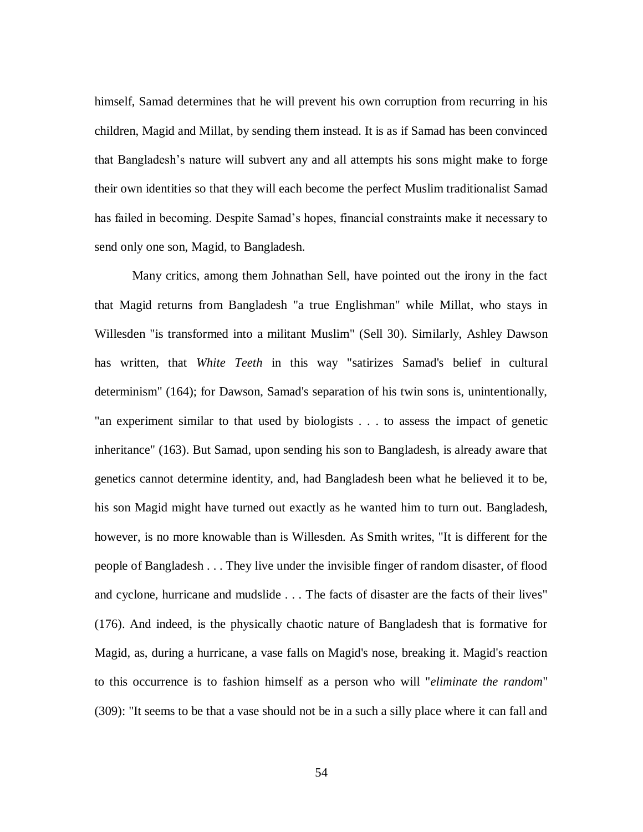himself, Samad determines that he will prevent his own corruption from recurring in his children, Magid and Millat, by sending them instead. It is as if Samad has been convinced that Bangladesh's nature will subvert any and all attempts his sons might make to forge their own identities so that they will each become the perfect Muslim traditionalist Samad has failed in becoming. Despite Samad's hopes, financial constraints make it necessary to send only one son, Magid, to Bangladesh.

Many critics, among them Johnathan Sell, have pointed out the irony in the fact that Magid returns from Bangladesh "a true Englishman" while Millat, who stays in Willesden "is transformed into a militant Muslim" (Sell 30). Similarly, Ashley Dawson has written, that *White Teeth* in this way "satirizes Samad's belief in cultural determinism" (164); for Dawson, Samad's separation of his twin sons is, unintentionally, "an experiment similar to that used by biologists . . . to assess the impact of genetic inheritance" (163). But Samad, upon sending his son to Bangladesh, is already aware that genetics cannot determine identity, and, had Bangladesh been what he believed it to be, his son Magid might have turned out exactly as he wanted him to turn out. Bangladesh, however, is no more knowable than is Willesden. As Smith writes, "It is different for the people of Bangladesh . . . They live under the invisible finger of random disaster, of flood and cyclone, hurricane and mudslide . . . The facts of disaster are the facts of their lives" (176). And indeed, is the physically chaotic nature of Bangladesh that is formative for Magid, as, during a hurricane, a vase falls on Magid's nose, breaking it. Magid's reaction to this occurrence is to fashion himself as a person who will "*eliminate the random*" (309): "It seems to be that a vase should not be in a such a silly place where it can fall and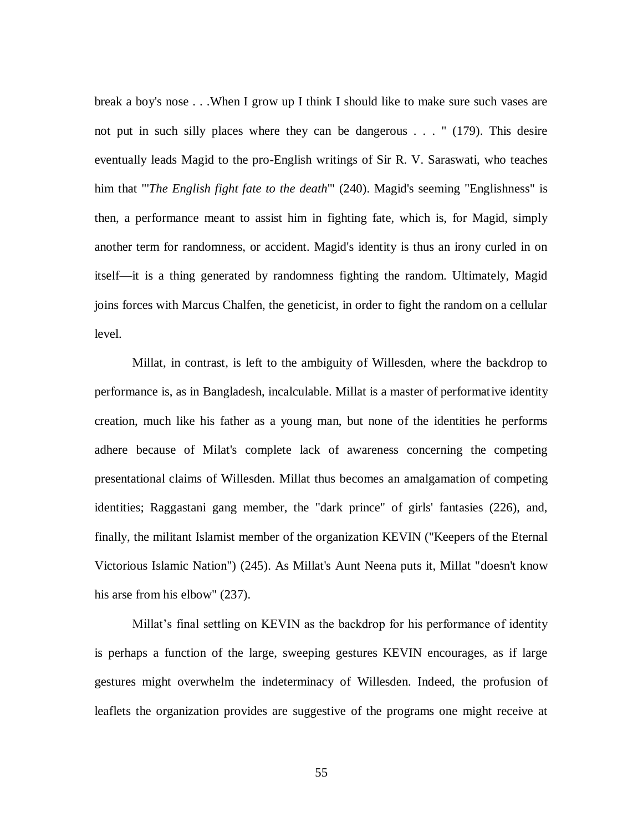break a boy's nose . . .When I grow up I think I should like to make sure such vases are not put in such silly places where they can be dangerous . . . " (179). This desire eventually leads Magid to the pro-English writings of Sir R. V. Saraswati, who teaches him that "'*The English fight fate to the death*'" (240). Magid's seeming "Englishness" is then, a performance meant to assist him in fighting fate, which is, for Magid, simply another term for randomness, or accident. Magid's identity is thus an irony curled in on itself—it is a thing generated by randomness fighting the random. Ultimately, Magid joins forces with Marcus Chalfen, the geneticist, in order to fight the random on a cellular level.

Millat, in contrast, is left to the ambiguity of Willesden, where the backdrop to performance is, as in Bangladesh, incalculable. Millat is a master of performative identity creation, much like his father as a young man, but none of the identities he performs adhere because of Milat's complete lack of awareness concerning the competing presentational claims of Willesden. Millat thus becomes an amalgamation of competing identities; Raggastani gang member, the "dark prince" of girls' fantasies (226), and, finally, the militant Islamist member of the organization KEVIN ("Keepers of the Eternal Victorious Islamic Nation") (245). As Millat's Aunt Neena puts it, Millat "doesn't know his arse from his elbow" (237).

Millat's final settling on KEVIN as the backdrop for his performance of identity is perhaps a function of the large, sweeping gestures KEVIN encourages, as if large gestures might overwhelm the indeterminacy of Willesden. Indeed, the profusion of leaflets the organization provides are suggestive of the programs one might receive at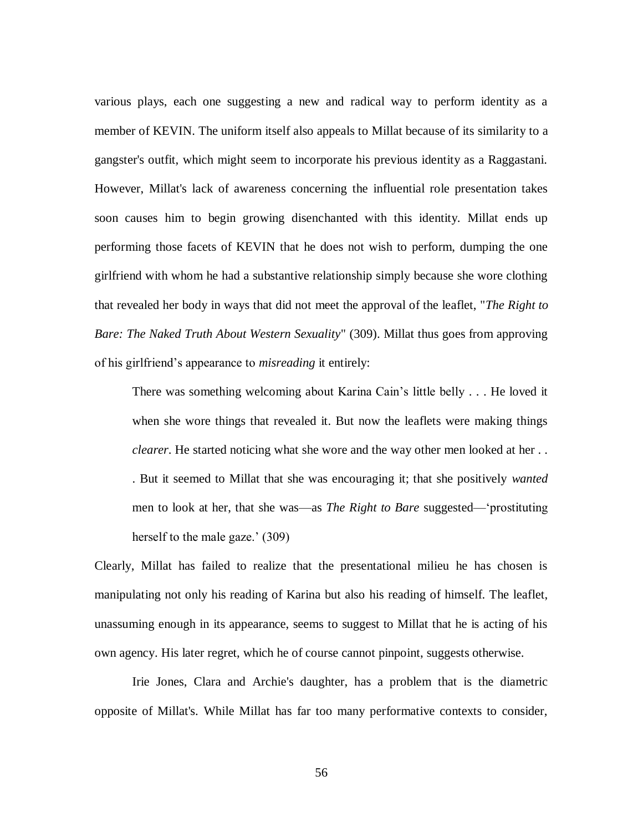various plays, each one suggesting a new and radical way to perform identity as a member of KEVIN. The uniform itself also appeals to Millat because of its similarity to a gangster's outfit, which might seem to incorporate his previous identity as a Raggastani. However, Millat's lack of awareness concerning the influential role presentation takes soon causes him to begin growing disenchanted with this identity. Millat ends up performing those facets of KEVIN that he does not wish to perform, dumping the one girlfriend with whom he had a substantive relationship simply because she wore clothing that revealed her body in ways that did not meet the approval of the leaflet, "*The Right to Bare: The Naked Truth About Western Sexuality*" (309). Millat thus goes from approving of his girlfriend's appearance to *misreading* it entirely:

There was something welcoming about Karina Cain's little belly . . . He loved it when she wore things that revealed it. But now the leaflets were making things *clearer*. He started noticing what she wore and the way other men looked at her . . . But it seemed to Millat that she was encouraging it; that she positively *wanted* men to look at her, that she was—as *The Right to Bare* suggested—‗prostituting herself to the male gaze.' (309)

Clearly, Millat has failed to realize that the presentational milieu he has chosen is manipulating not only his reading of Karina but also his reading of himself. The leaflet, unassuming enough in its appearance, seems to suggest to Millat that he is acting of his own agency. His later regret, which he of course cannot pinpoint, suggests otherwise.

Irie Jones, Clara and Archie's daughter, has a problem that is the diametric opposite of Millat's. While Millat has far too many performative contexts to consider,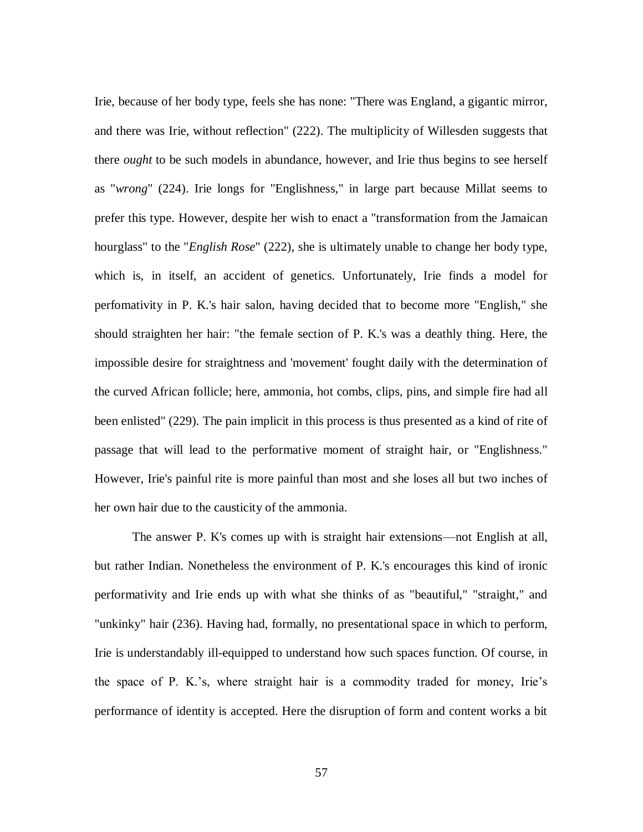Irie, because of her body type, feels she has none: "There was England, a gigantic mirror, and there was Irie, without reflection" (222). The multiplicity of Willesden suggests that there *ought* to be such models in abundance, however, and Irie thus begins to see herself as "*wrong*" (224). Irie longs for "Englishness," in large part because Millat seems to prefer this type. However, despite her wish to enact a "transformation from the Jamaican hourglass" to the "*English Rose*" (222), she is ultimately unable to change her body type, which is, in itself, an accident of genetics. Unfortunately, Irie finds a model for perfomativity in P. K.'s hair salon, having decided that to become more "English," she should straighten her hair: "the female section of P. K.'s was a deathly thing. Here, the impossible desire for straightness and 'movement' fought daily with the determination of the curved African follicle; here, ammonia, hot combs, clips, pins, and simple fire had all been enlisted" (229). The pain implicit in this process is thus presented as a kind of rite of passage that will lead to the performative moment of straight hair, or "Englishness." However, Irie's painful rite is more painful than most and she loses all but two inches of her own hair due to the causticity of the ammonia.

The answer P. K's comes up with is straight hair extensions—not English at all, but rather Indian. Nonetheless the environment of P. K.'s encourages this kind of ironic performativity and Irie ends up with what she thinks of as "beautiful," "straight," and "unkinky" hair (236). Having had, formally, no presentational space in which to perform, Irie is understandably ill-equipped to understand how such spaces function. Of course, in the space of P. K.'s, where straight hair is a commodity traded for money, Irie's performance of identity is accepted. Here the disruption of form and content works a bit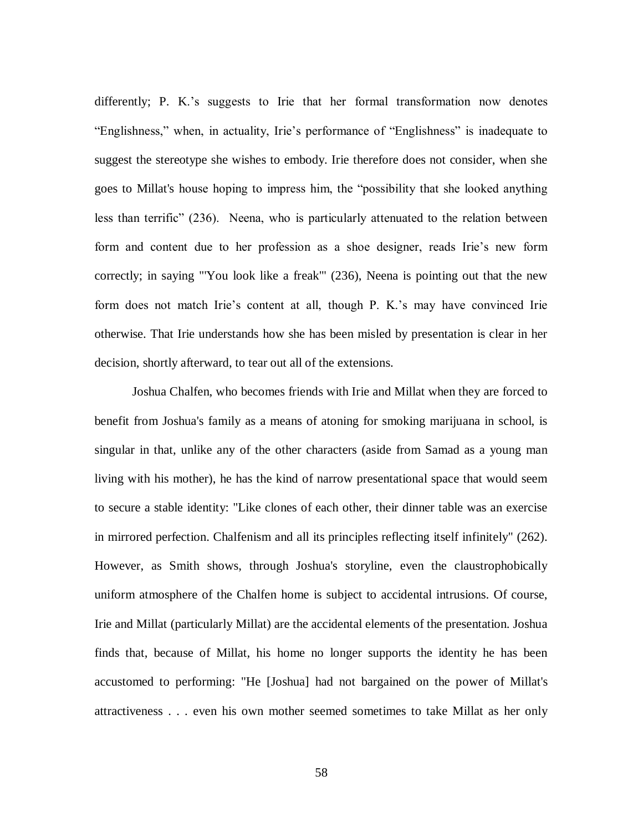differently; P. K.'s suggests to Irie that her formal transformation now denotes "Englishness," when, in actuality, Irie's performance of "Englishness" is inadequate to suggest the stereotype she wishes to embody. Irie therefore does not consider, when she goes to Millat's house hoping to impress him, the "possibility that she looked anything less than terrific" (236). Neena, who is particularly attenuated to the relation between form and content due to her profession as a shoe designer, reads Irie's new form correctly; in saying "'You look like a freak'" (236), Neena is pointing out that the new form does not match Irie's content at all, though P. K.'s may have convinced Irie otherwise. That Irie understands how she has been misled by presentation is clear in her decision, shortly afterward, to tear out all of the extensions.

Joshua Chalfen, who becomes friends with Irie and Millat when they are forced to benefit from Joshua's family as a means of atoning for smoking marijuana in school, is singular in that, unlike any of the other characters (aside from Samad as a young man living with his mother), he has the kind of narrow presentational space that would seem to secure a stable identity: "Like clones of each other, their dinner table was an exercise in mirrored perfection. Chalfenism and all its principles reflecting itself infinitely" (262). However, as Smith shows, through Joshua's storyline, even the claustrophobically uniform atmosphere of the Chalfen home is subject to accidental intrusions. Of course, Irie and Millat (particularly Millat) are the accidental elements of the presentation. Joshua finds that, because of Millat, his home no longer supports the identity he has been accustomed to performing: "He [Joshua] had not bargained on the power of Millat's attractiveness . . . even his own mother seemed sometimes to take Millat as her only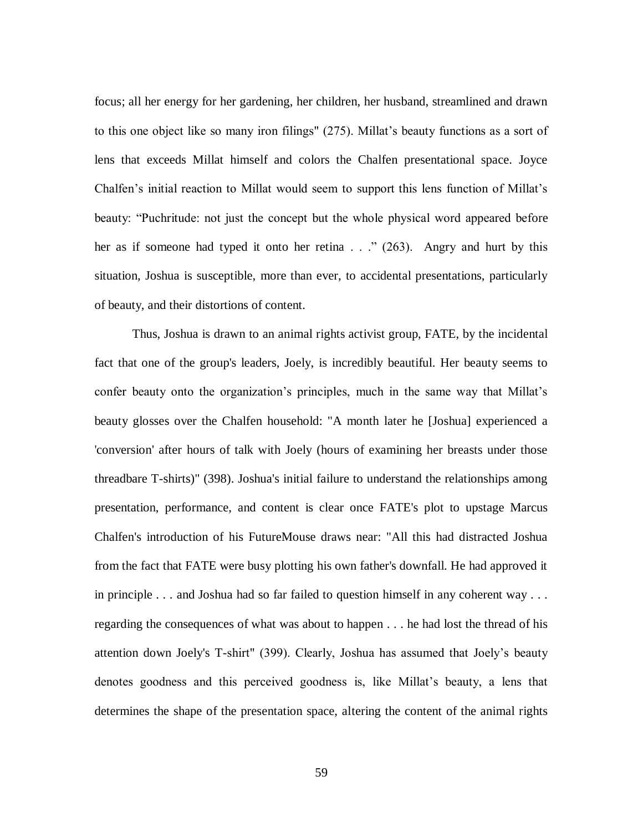focus; all her energy for her gardening, her children, her husband, streamlined and drawn to this one object like so many iron filings" (275). Millat's beauty functions as a sort of lens that exceeds Millat himself and colors the Chalfen presentational space. Joyce Chalfen's initial reaction to Millat would seem to support this lens function of Millat's beauty: "Puchritude: not just the concept but the whole physical word appeared before her as if someone had typed it onto her retina  $\ldots$  (263). Angry and hurt by this situation, Joshua is susceptible, more than ever, to accidental presentations, particularly of beauty, and their distortions of content.

Thus, Joshua is drawn to an animal rights activist group, FATE, by the incidental fact that one of the group's leaders, Joely, is incredibly beautiful. Her beauty seems to confer beauty onto the organization's principles, much in the same way that Millat's beauty glosses over the Chalfen household: "A month later he [Joshua] experienced a 'conversion' after hours of talk with Joely (hours of examining her breasts under those threadbare T-shirts)" (398). Joshua's initial failure to understand the relationships among presentation, performance, and content is clear once FATE's plot to upstage Marcus Chalfen's introduction of his FutureMouse draws near: "All this had distracted Joshua from the fact that FATE were busy plotting his own father's downfall. He had approved it in principle . . . and Joshua had so far failed to question himself in any coherent way . . . regarding the consequences of what was about to happen . . . he had lost the thread of his attention down Joely's T-shirt" (399). Clearly, Joshua has assumed that Joely's beauty denotes goodness and this perceived goodness is, like Millat's beauty, a lens that determines the shape of the presentation space, altering the content of the animal rights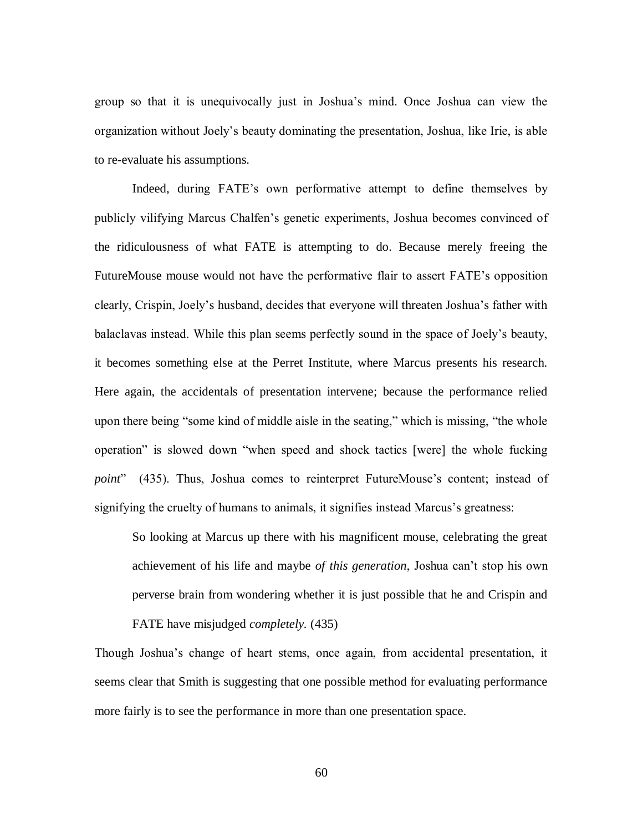group so that it is unequivocally just in Joshua's mind. Once Joshua can view the organization without Joely's beauty dominating the presentation, Joshua, like Irie, is able to re-evaluate his assumptions.

Indeed, during FATE's own performative attempt to define themselves by publicly vilifying Marcus Chalfen's genetic experiments, Joshua becomes convinced of the ridiculousness of what FATE is attempting to do. Because merely freeing the FutureMouse mouse would not have the performative flair to assert FATE's opposition clearly, Crispin, Joely's husband, decides that everyone will threaten Joshua's father with balaclavas instead. While this plan seems perfectly sound in the space of Joely's beauty, it becomes something else at the Perret Institute, where Marcus presents his research. Here again, the accidentals of presentation intervene; because the performance relied upon there being "some kind of middle aisle in the seating," which is missing, "the whole operation" is slowed down "when speed and shock tactics [were] the whole fucking *point*" (435). Thus, Joshua comes to reinterpret FutureMouse's content; instead of signifying the cruelty of humans to animals, it signifies instead Marcus's greatness:

So looking at Marcus up there with his magnificent mouse, celebrating the great achievement of his life and maybe *of this generation*, Joshua can't stop his own perverse brain from wondering whether it is just possible that he and Crispin and FATE have misjudged *completely.* (435)

Though Joshua's change of heart stems, once again, from accidental presentation, it seems clear that Smith is suggesting that one possible method for evaluating performance more fairly is to see the performance in more than one presentation space.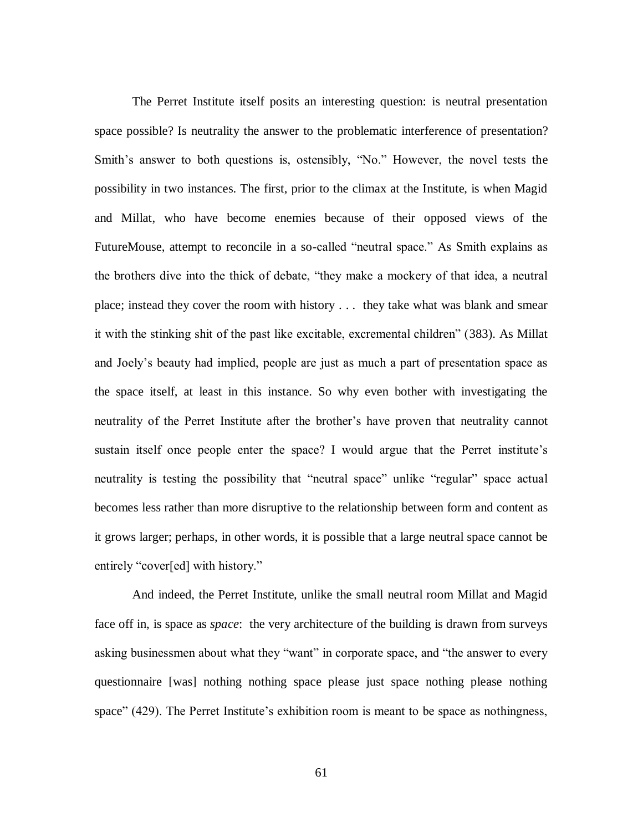The Perret Institute itself posits an interesting question: is neutral presentation space possible? Is neutrality the answer to the problematic interference of presentation? Smith's answer to both questions is, ostensibly, "No." However, the novel tests the possibility in two instances. The first, prior to the climax at the Institute, is when Magid and Millat, who have become enemies because of their opposed views of the FutureMouse, attempt to reconcile in a so-called "neutral space." As Smith explains as the brothers dive into the thick of debate, "they make a mockery of that idea, a neutral place; instead they cover the room with history . . . they take what was blank and smear it with the stinking shit of the past like excitable, excremental children" (383). As Millat and Joely's beauty had implied, people are just as much a part of presentation space as the space itself, at least in this instance. So why even bother with investigating the neutrality of the Perret Institute after the brother's have proven that neutrality cannot sustain itself once people enter the space? I would argue that the Perret institute's neutrality is testing the possibility that "neutral space" unlike "regular" space actual becomes less rather than more disruptive to the relationship between form and content as it grows larger; perhaps, in other words, it is possible that a large neutral space cannot be entirely "cover[ed] with history."

And indeed, the Perret Institute, unlike the small neutral room Millat and Magid face off in, is space as *space*: the very architecture of the building is drawn from surveys asking businessmen about what they "want" in corporate space, and "the answer to every questionnaire [was] nothing nothing space please just space nothing please nothing space" (429). The Perret Institute's exhibition room is meant to be space as nothingness,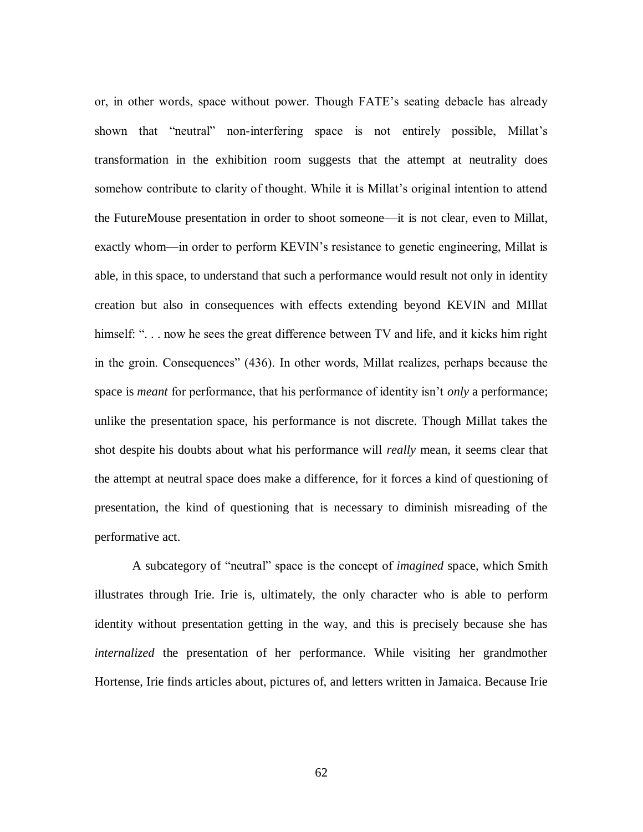or, in other words, space without power. Though FATE's seating debacle has already shown that "neutral" non-interfering space is not entirely possible, Millat's transformation in the exhibition room suggests that the attempt at neutrality does somehow contribute to clarity of thought. While it is Millat's original intention to attend the FutureMouse presentation in order to shoot someone—it is not clear, even to Millat, exactly whom—in order to perform KEVIN's resistance to genetic engineering, Millat is able, in this space, to understand that such a performance would result not only in identity creation but also in consequences with effects extending beyond KEVIN and MIllat himself: "... now he sees the great difference between TV and life, and it kicks him right in the groin. Consequences" (436). In other words, Millat realizes, perhaps because the space is *meant* for performance, that his performance of identity isn't *only* a performance; unlike the presentation space, his performance is not discrete. Though Millat takes the shot despite his doubts about what his performance will *really* mean, it seems clear that the attempt at neutral space does make a difference, for it forces a kind of questioning of presentation, the kind of questioning that is necessary to diminish misreading of the performative act.

A subcategory of "neutral" space is the concept of *imagined* space, which Smith illustrates through Irie. Irie is, ultimately, the only character who is able to perform identity without presentation getting in the way, and this is precisely because she has *internalized* the presentation of her performance. While visiting her grandmother Hortense, Irie finds articles about, pictures of, and letters written in Jamaica. Because Irie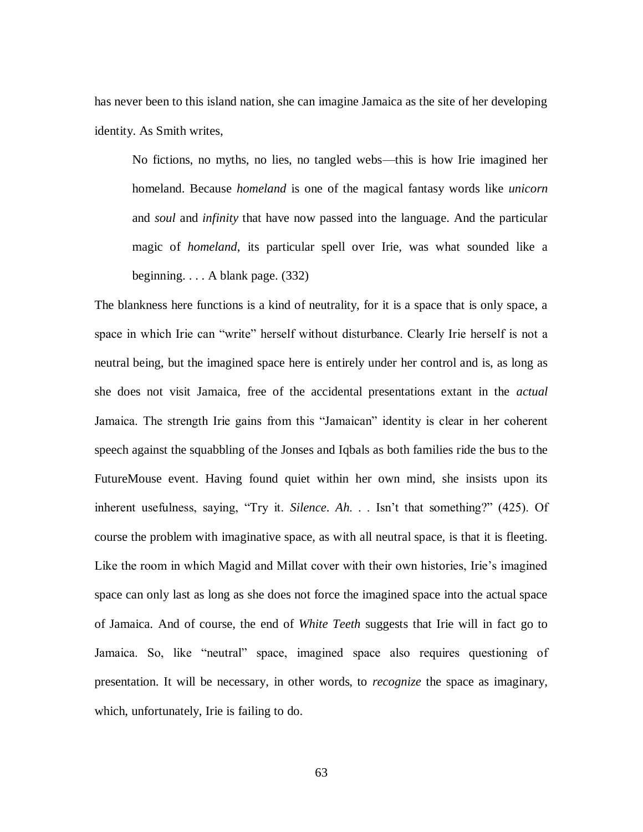has never been to this island nation, she can imagine Jamaica as the site of her developing identity. As Smith writes,

No fictions, no myths, no lies, no tangled webs—this is how Irie imagined her homeland. Because *homeland* is one of the magical fantasy words like *unicorn* and *soul* and *infinity* that have now passed into the language. And the particular magic of *homeland*, its particular spell over Irie, was what sounded like a beginning. . . . A blank page. (332)

The blankness here functions is a kind of neutrality, for it is a space that is only space, a space in which Irie can "write" herself without disturbance. Clearly Irie herself is not a neutral being, but the imagined space here is entirely under her control and is, as long as she does not visit Jamaica, free of the accidental presentations extant in the *actual*  Jamaica. The strength Irie gains from this "Jamaican" identity is clear in her coherent speech against the squabbling of the Jonses and Iqbals as both families ride the bus to the FutureMouse event. Having found quiet within her own mind, she insists upon its inherent usefulness, saying, "Try it. *Silence*. *Ah.* . . Isn't that something?" (425). Of course the problem with imaginative space, as with all neutral space, is that it is fleeting. Like the room in which Magid and Millat cover with their own histories, Irie's imagined space can only last as long as she does not force the imagined space into the actual space of Jamaica. And of course, the end of *White Teeth* suggests that Irie will in fact go to Jamaica. So, like "neutral" space, imagined space also requires questioning of presentation. It will be necessary, in other words, to *recognize* the space as imaginary, which, unfortunately, Irie is failing to do.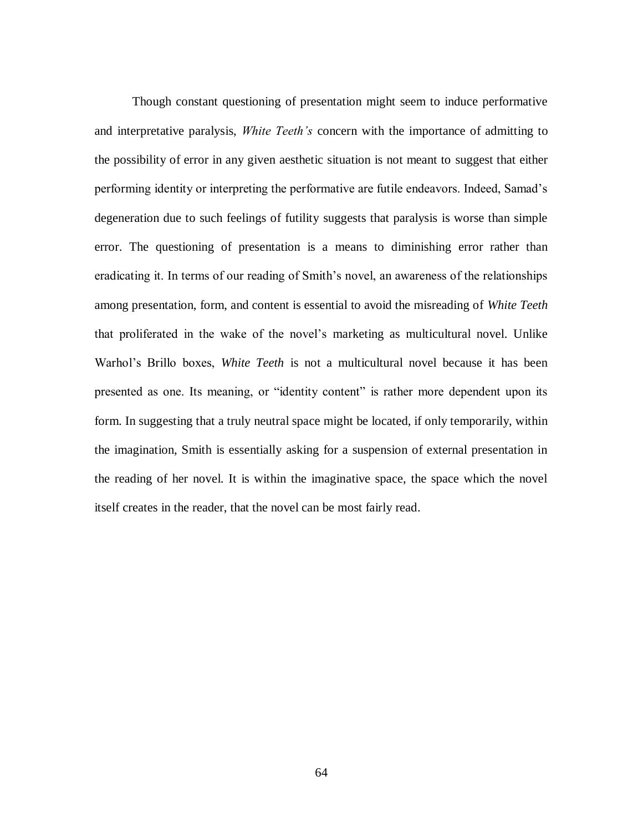Though constant questioning of presentation might seem to induce performative and interpretative paralysis, *White Teeth's* concern with the importance of admitting to the possibility of error in any given aesthetic situation is not meant to suggest that either performing identity or interpreting the performative are futile endeavors. Indeed, Samad's degeneration due to such feelings of futility suggests that paralysis is worse than simple error. The questioning of presentation is a means to diminishing error rather than eradicating it. In terms of our reading of Smith's novel, an awareness of the relationships among presentation, form, and content is essential to avoid the misreading of *White Teeth* that proliferated in the wake of the novel's marketing as multicultural novel. Unlike Warhol's Brillo boxes, *White Teeth* is not a multicultural novel because it has been presented as one. Its meaning, or "identity content" is rather more dependent upon its form. In suggesting that a truly neutral space might be located, if only temporarily, within the imagination, Smith is essentially asking for a suspension of external presentation in the reading of her novel. It is within the imaginative space, the space which the novel itself creates in the reader, that the novel can be most fairly read.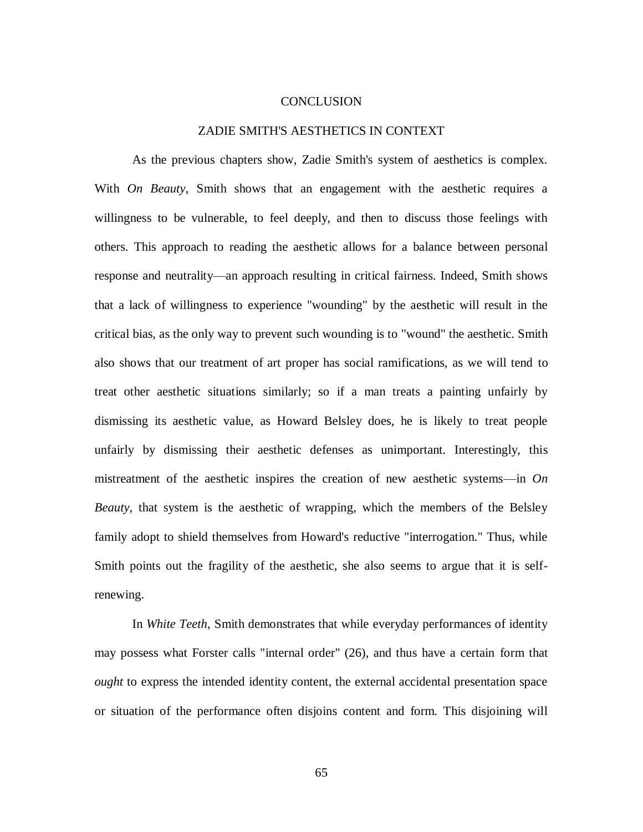## **CONCLUSION**

## ZADIE SMITH'S AESTHETICS IN CONTEXT

As the previous chapters show, Zadie Smith's system of aesthetics is complex. With *On Beauty*, Smith shows that an engagement with the aesthetic requires a willingness to be vulnerable, to feel deeply, and then to discuss those feelings with others. This approach to reading the aesthetic allows for a balance between personal response and neutrality—an approach resulting in critical fairness. Indeed, Smith shows that a lack of willingness to experience "wounding" by the aesthetic will result in the critical bias, as the only way to prevent such wounding is to "wound" the aesthetic. Smith also shows that our treatment of art proper has social ramifications, as we will tend to treat other aesthetic situations similarly; so if a man treats a painting unfairly by dismissing its aesthetic value, as Howard Belsley does, he is likely to treat people unfairly by dismissing their aesthetic defenses as unimportant. Interestingly, this mistreatment of the aesthetic inspires the creation of new aesthetic systems—in *On Beauty*, that system is the aesthetic of wrapping, which the members of the Belsley family adopt to shield themselves from Howard's reductive "interrogation." Thus, while Smith points out the fragility of the aesthetic, she also seems to argue that it is selfrenewing.

In *White Teeth*, Smith demonstrates that while everyday performances of identity may possess what Forster calls "internal order" (26), and thus have a certain form that *ought* to express the intended identity content, the external accidental presentation space or situation of the performance often disjoins content and form. This disjoining will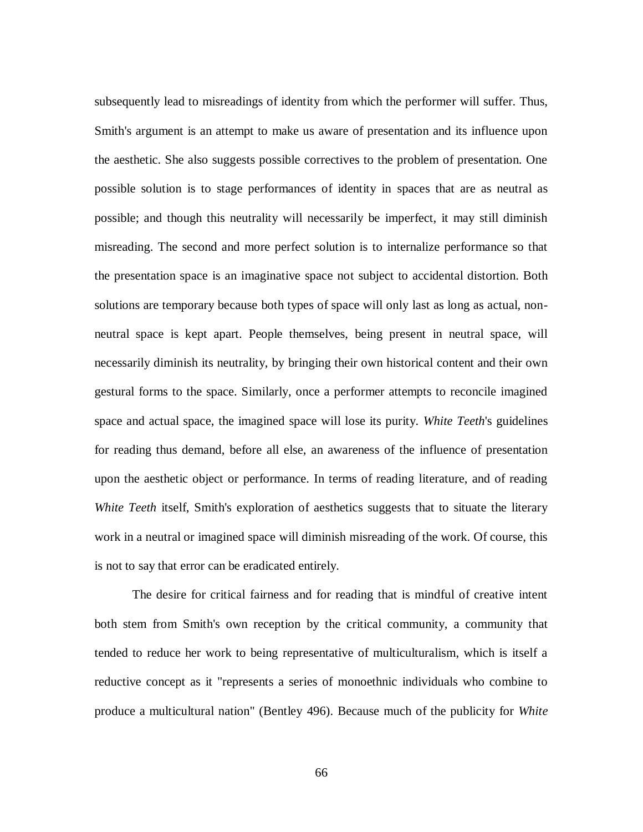subsequently lead to misreadings of identity from which the performer will suffer. Thus, Smith's argument is an attempt to make us aware of presentation and its influence upon the aesthetic. She also suggests possible correctives to the problem of presentation. One possible solution is to stage performances of identity in spaces that are as neutral as possible; and though this neutrality will necessarily be imperfect, it may still diminish misreading. The second and more perfect solution is to internalize performance so that the presentation space is an imaginative space not subject to accidental distortion. Both solutions are temporary because both types of space will only last as long as actual, nonneutral space is kept apart. People themselves, being present in neutral space, will necessarily diminish its neutrality, by bringing their own historical content and their own gestural forms to the space. Similarly, once a performer attempts to reconcile imagined space and actual space, the imagined space will lose its purity. *White Teeth*'s guidelines for reading thus demand, before all else, an awareness of the influence of presentation upon the aesthetic object or performance. In terms of reading literature, and of reading *White Teeth* itself, Smith's exploration of aesthetics suggests that to situate the literary work in a neutral or imagined space will diminish misreading of the work. Of course, this is not to say that error can be eradicated entirely.

The desire for critical fairness and for reading that is mindful of creative intent both stem from Smith's own reception by the critical community, a community that tended to reduce her work to being representative of multiculturalism, which is itself a reductive concept as it "represents a series of monoethnic individuals who combine to produce a multicultural nation" (Bentley 496). Because much of the publicity for *White*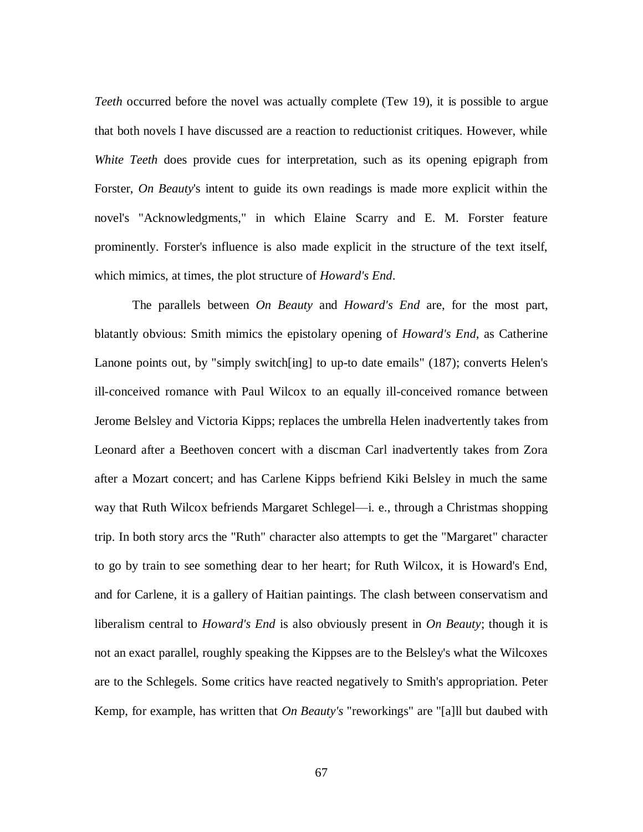*Teeth* occurred before the novel was actually complete (Tew 19), it is possible to argue that both novels I have discussed are a reaction to reductionist critiques. However, while *White Teeth* does provide cues for interpretation, such as its opening epigraph from Forster, *On Beauty*'s intent to guide its own readings is made more explicit within the novel's "Acknowledgments," in which Elaine Scarry and E. M. Forster feature prominently. Forster's influence is also made explicit in the structure of the text itself, which mimics, at times, the plot structure of *Howard's End*.

The parallels between *On Beauty* and *Howard's End* are, for the most part, blatantly obvious: Smith mimics the epistolary opening of *Howard's End*, as Catherine Lanone points out, by "simply switch[ing] to up-to date emails" (187); converts Helen's ill-conceived romance with Paul Wilcox to an equally ill-conceived romance between Jerome Belsley and Victoria Kipps; replaces the umbrella Helen inadvertently takes from Leonard after a Beethoven concert with a discman Carl inadvertently takes from Zora after a Mozart concert; and has Carlene Kipps befriend Kiki Belsley in much the same way that Ruth Wilcox befriends Margaret Schlegel—i. e., through a Christmas shopping trip. In both story arcs the "Ruth" character also attempts to get the "Margaret" character to go by train to see something dear to her heart; for Ruth Wilcox, it is Howard's End, and for Carlene, it is a gallery of Haitian paintings. The clash between conservatism and liberalism central to *Howard's End* is also obviously present in *On Beauty*; though it is not an exact parallel, roughly speaking the Kippses are to the Belsley's what the Wilcoxes are to the Schlegels. Some critics have reacted negatively to Smith's appropriation. Peter Kemp, for example, has written that *On Beauty's* "reworkings" are "[a]ll but daubed with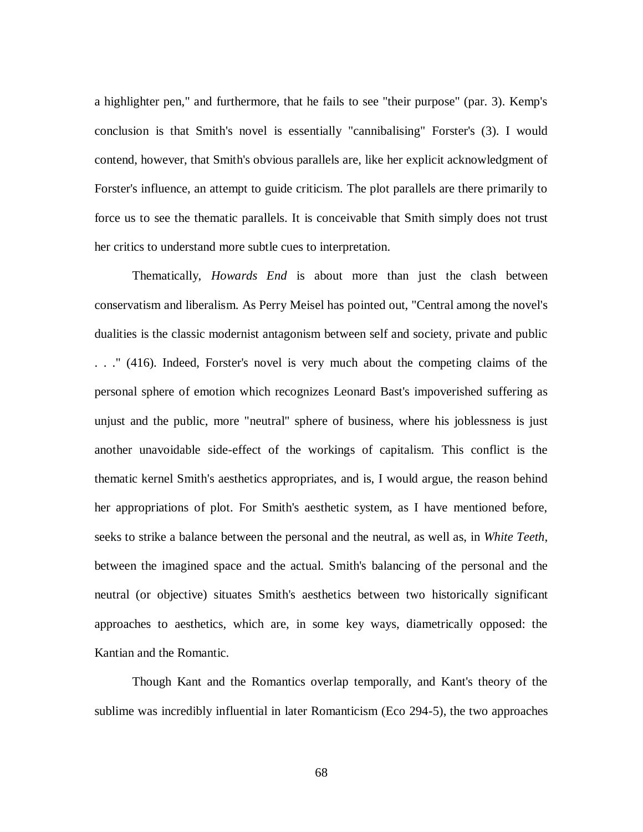a highlighter pen," and furthermore, that he fails to see "their purpose" (par. 3). Kemp's conclusion is that Smith's novel is essentially "cannibalising" Forster's (3). I would contend, however, that Smith's obvious parallels are, like her explicit acknowledgment of Forster's influence, an attempt to guide criticism. The plot parallels are there primarily to force us to see the thematic parallels. It is conceivable that Smith simply does not trust her critics to understand more subtle cues to interpretation.

Thematically, *Howards End* is about more than just the clash between conservatism and liberalism. As Perry Meisel has pointed out, "Central among the novel's dualities is the classic modernist antagonism between self and society, private and public . . ." (416). Indeed, Forster's novel is very much about the competing claims of the personal sphere of emotion which recognizes Leonard Bast's impoverished suffering as unjust and the public, more "neutral" sphere of business, where his joblessness is just another unavoidable side-effect of the workings of capitalism. This conflict is the thematic kernel Smith's aesthetics appropriates, and is, I would argue, the reason behind her appropriations of plot. For Smith's aesthetic system, as I have mentioned before, seeks to strike a balance between the personal and the neutral, as well as, in *White Teeth*, between the imagined space and the actual. Smith's balancing of the personal and the neutral (or objective) situates Smith's aesthetics between two historically significant approaches to aesthetics, which are, in some key ways, diametrically opposed: the Kantian and the Romantic.

Though Kant and the Romantics overlap temporally, and Kant's theory of the sublime was incredibly influential in later Romanticism (Eco 294-5), the two approaches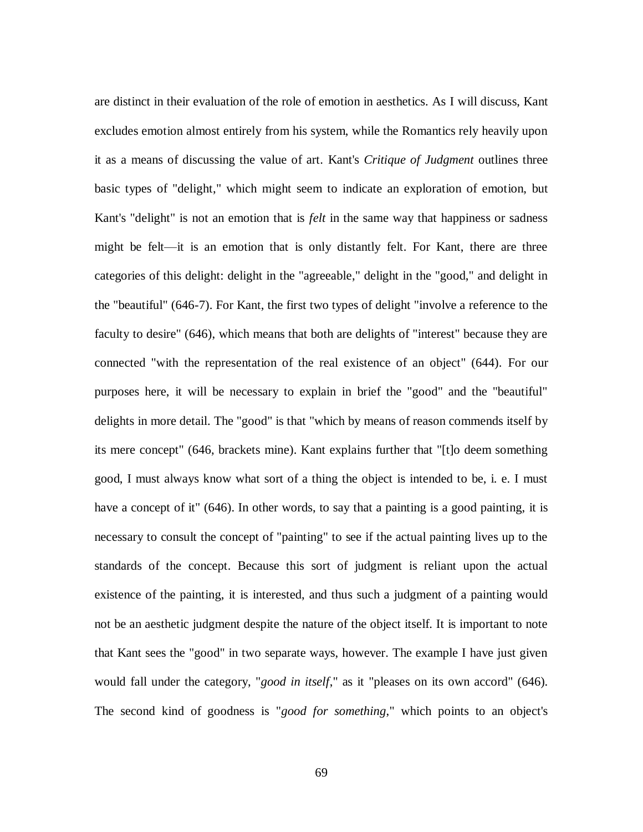are distinct in their evaluation of the role of emotion in aesthetics. As I will discuss, Kant excludes emotion almost entirely from his system, while the Romantics rely heavily upon it as a means of discussing the value of art. Kant's *Critique of Judgment* outlines three basic types of "delight," which might seem to indicate an exploration of emotion, but Kant's "delight" is not an emotion that is *felt* in the same way that happiness or sadness might be felt—it is an emotion that is only distantly felt. For Kant, there are three categories of this delight: delight in the "agreeable," delight in the "good," and delight in the "beautiful" (646-7). For Kant, the first two types of delight "involve a reference to the faculty to desire" (646), which means that both are delights of "interest" because they are connected "with the representation of the real existence of an object" (644). For our purposes here, it will be necessary to explain in brief the "good" and the "beautiful" delights in more detail. The "good" is that "which by means of reason commends itself by its mere concept" (646, brackets mine). Kant explains further that "[t]o deem something good, I must always know what sort of a thing the object is intended to be, i. e. I must have a concept of it" (646). In other words, to say that a painting is a good painting, it is necessary to consult the concept of "painting" to see if the actual painting lives up to the standards of the concept. Because this sort of judgment is reliant upon the actual existence of the painting, it is interested, and thus such a judgment of a painting would not be an aesthetic judgment despite the nature of the object itself. It is important to note that Kant sees the "good" in two separate ways, however. The example I have just given would fall under the category, "*good in itself*," as it "pleases on its own accord" (646). The second kind of goodness is "*good for something*," which points to an object's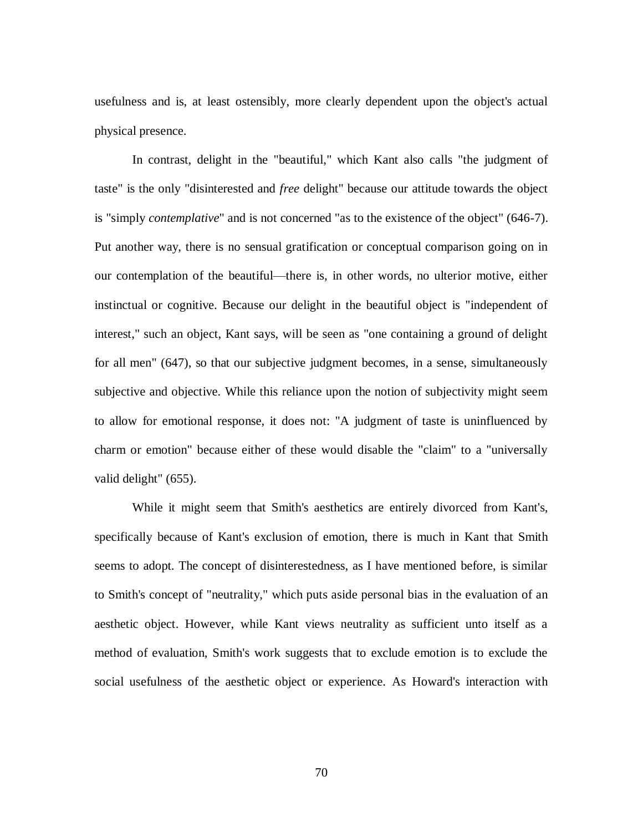usefulness and is, at least ostensibly, more clearly dependent upon the object's actual physical presence.

In contrast, delight in the "beautiful," which Kant also calls "the judgment of taste" is the only "disinterested and *free* delight" because our attitude towards the object is "simply *contemplative*" and is not concerned "as to the existence of the object" (646-7). Put another way, there is no sensual gratification or conceptual comparison going on in our contemplation of the beautiful—there is, in other words, no ulterior motive, either instinctual or cognitive. Because our delight in the beautiful object is "independent of interest," such an object, Kant says, will be seen as "one containing a ground of delight for all men" (647), so that our subjective judgment becomes, in a sense, simultaneously subjective and objective. While this reliance upon the notion of subjectivity might seem to allow for emotional response, it does not: "A judgment of taste is uninfluenced by charm or emotion" because either of these would disable the "claim" to a "universally valid delight" (655).

While it might seem that Smith's aesthetics are entirely divorced from Kant's, specifically because of Kant's exclusion of emotion, there is much in Kant that Smith seems to adopt. The concept of disinterestedness, as I have mentioned before, is similar to Smith's concept of "neutrality," which puts aside personal bias in the evaluation of an aesthetic object. However, while Kant views neutrality as sufficient unto itself as a method of evaluation, Smith's work suggests that to exclude emotion is to exclude the social usefulness of the aesthetic object or experience. As Howard's interaction with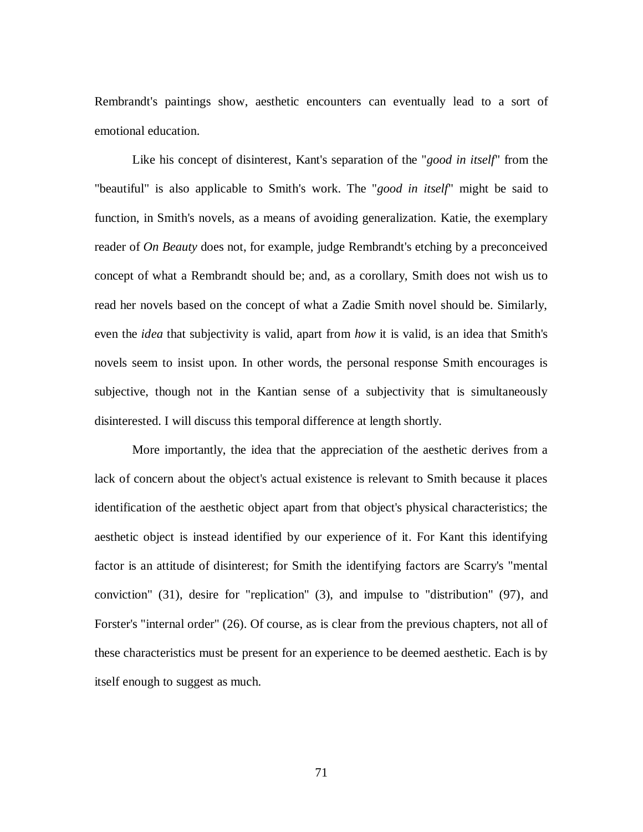Rembrandt's paintings show, aesthetic encounters can eventually lead to a sort of emotional education.

Like his concept of disinterest, Kant's separation of the "*good in itself*" from the "beautiful" is also applicable to Smith's work. The "*good in itself*" might be said to function, in Smith's novels, as a means of avoiding generalization. Katie, the exemplary reader of *On Beauty* does not, for example, judge Rembrandt's etching by a preconceived concept of what a Rembrandt should be; and, as a corollary, Smith does not wish us to read her novels based on the concept of what a Zadie Smith novel should be. Similarly, even the *idea* that subjectivity is valid, apart from *how* it is valid, is an idea that Smith's novels seem to insist upon. In other words, the personal response Smith encourages is subjective, though not in the Kantian sense of a subjectivity that is simultaneously disinterested. I will discuss this temporal difference at length shortly.

More importantly, the idea that the appreciation of the aesthetic derives from a lack of concern about the object's actual existence is relevant to Smith because it places identification of the aesthetic object apart from that object's physical characteristics; the aesthetic object is instead identified by our experience of it. For Kant this identifying factor is an attitude of disinterest; for Smith the identifying factors are Scarry's "mental conviction" (31), desire for "replication" (3), and impulse to "distribution" (97), and Forster's "internal order" (26). Of course, as is clear from the previous chapters, not all of these characteristics must be present for an experience to be deemed aesthetic. Each is by itself enough to suggest as much.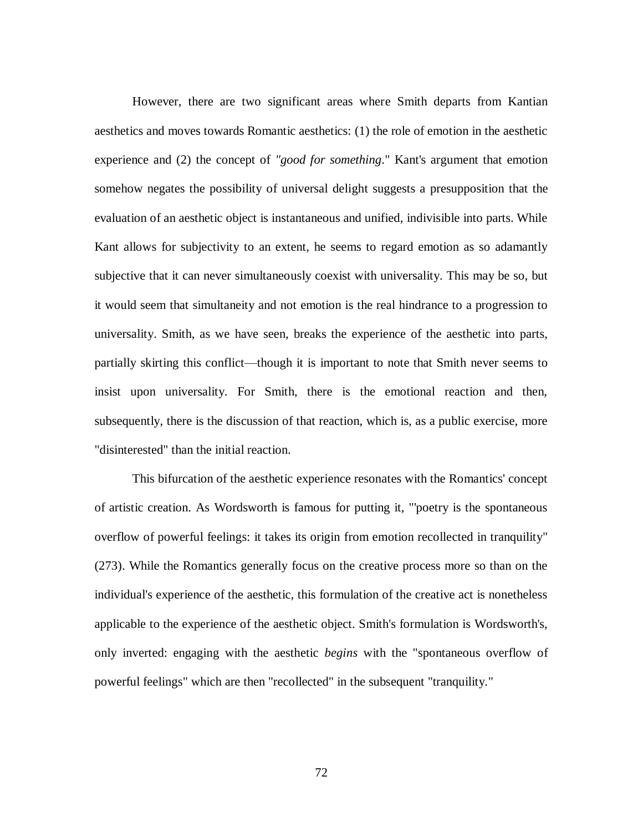However, there are two significant areas where Smith departs from Kantian aesthetics and moves towards Romantic aesthetics: (1) the role of emotion in the aesthetic experience and (2) the concept of *"good for something*." Kant's argument that emotion somehow negates the possibility of universal delight suggests a presupposition that the evaluation of an aesthetic object is instantaneous and unified, indivisible into parts. While Kant allows for subjectivity to an extent, he seems to regard emotion as so adamantly subjective that it can never simultaneously coexist with universality. This may be so, but it would seem that simultaneity and not emotion is the real hindrance to a progression to universality. Smith, as we have seen, breaks the experience of the aesthetic into parts, partially skirting this conflict—though it is important to note that Smith never seems to insist upon universality. For Smith, there is the emotional reaction and then, subsequently, there is the discussion of that reaction, which is, as a public exercise, more "disinterested" than the initial reaction.

This bifurcation of the aesthetic experience resonates with the Romantics' concept of artistic creation. As Wordsworth is famous for putting it, "'poetry is the spontaneous overflow of powerful feelings: it takes its origin from emotion recollected in tranquility" (273). While the Romantics generally focus on the creative process more so than on the individual's experience of the aesthetic, this formulation of the creative act is nonetheless applicable to the experience of the aesthetic object. Smith's formulation is Wordsworth's, only inverted: engaging with the aesthetic *begins* with the "spontaneous overflow of powerful feelings" which are then "recollected" in the subsequent "tranquility."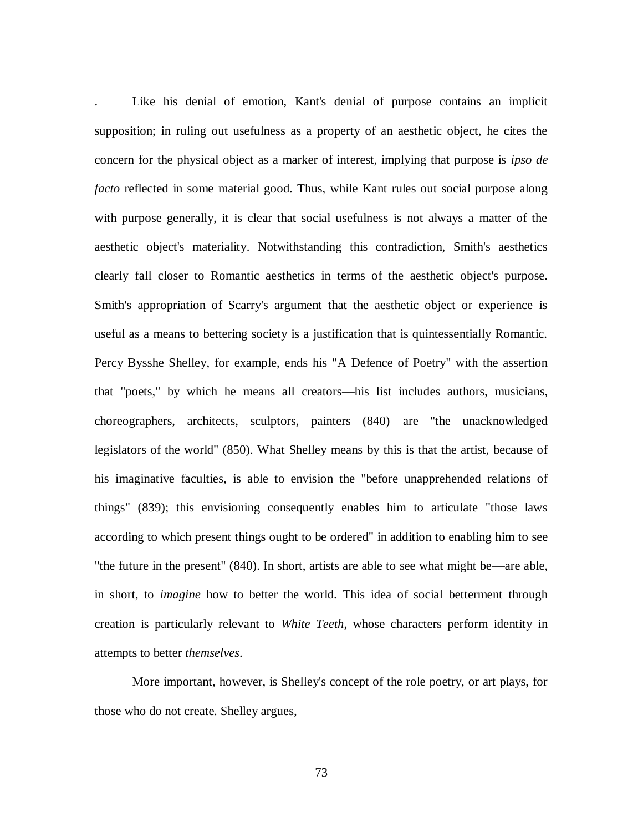Like his denial of emotion, Kant's denial of purpose contains an implicit supposition; in ruling out usefulness as a property of an aesthetic object, he cites the concern for the physical object as a marker of interest, implying that purpose is *ipso de facto* reflected in some material good. Thus, while Kant rules out social purpose along with purpose generally, it is clear that social usefulness is not always a matter of the aesthetic object's materiality. Notwithstanding this contradiction, Smith's aesthetics clearly fall closer to Romantic aesthetics in terms of the aesthetic object's purpose. Smith's appropriation of Scarry's argument that the aesthetic object or experience is useful as a means to bettering society is a justification that is quintessentially Romantic. Percy Bysshe Shelley, for example, ends his "A Defence of Poetry" with the assertion that "poets," by which he means all creators—his list includes authors, musicians, choreographers, architects, sculptors, painters (840)—are "the unacknowledged legislators of the world" (850). What Shelley means by this is that the artist, because of his imaginative faculties, is able to envision the "before unapprehended relations of things" (839); this envisioning consequently enables him to articulate "those laws according to which present things ought to be ordered" in addition to enabling him to see "the future in the present" (840). In short, artists are able to see what might be—are able, in short, to *imagine* how to better the world. This idea of social betterment through creation is particularly relevant to *White Teeth*, whose characters perform identity in attempts to better *themselves*.

More important, however, is Shelley's concept of the role poetry, or art plays, for those who do not create. Shelley argues,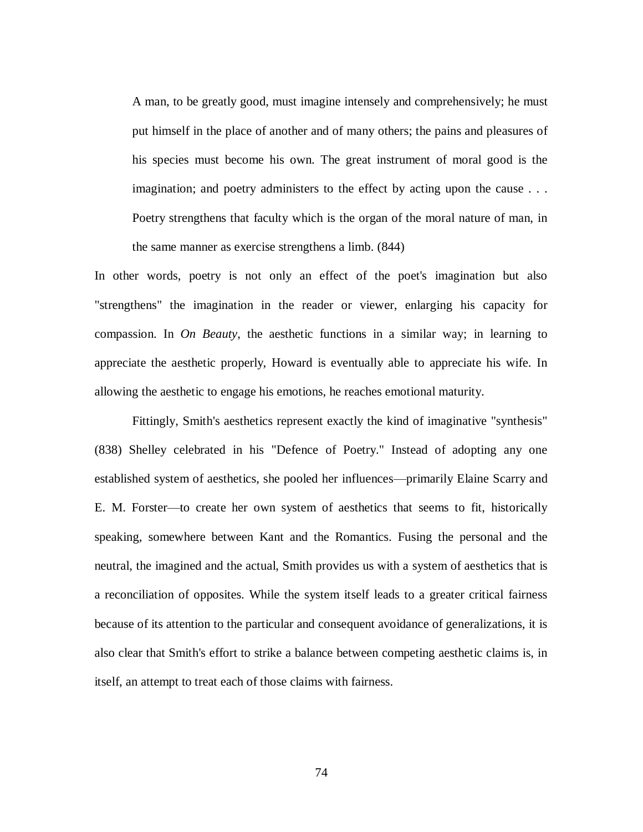A man, to be greatly good, must imagine intensely and comprehensively; he must put himself in the place of another and of many others; the pains and pleasures of his species must become his own. The great instrument of moral good is the imagination; and poetry administers to the effect by acting upon the cause . . . Poetry strengthens that faculty which is the organ of the moral nature of man, in the same manner as exercise strengthens a limb. (844)

In other words, poetry is not only an effect of the poet's imagination but also "strengthens" the imagination in the reader or viewer, enlarging his capacity for compassion. In *On Beauty*, the aesthetic functions in a similar way; in learning to appreciate the aesthetic properly, Howard is eventually able to appreciate his wife. In allowing the aesthetic to engage his emotions, he reaches emotional maturity.

Fittingly, Smith's aesthetics represent exactly the kind of imaginative "synthesis" (838) Shelley celebrated in his "Defence of Poetry." Instead of adopting any one established system of aesthetics, she pooled her influences—primarily Elaine Scarry and E. M. Forster—to create her own system of aesthetics that seems to fit, historically speaking, somewhere between Kant and the Romantics. Fusing the personal and the neutral, the imagined and the actual, Smith provides us with a system of aesthetics that is a reconciliation of opposites. While the system itself leads to a greater critical fairness because of its attention to the particular and consequent avoidance of generalizations, it is also clear that Smith's effort to strike a balance between competing aesthetic claims is, in itself, an attempt to treat each of those claims with fairness.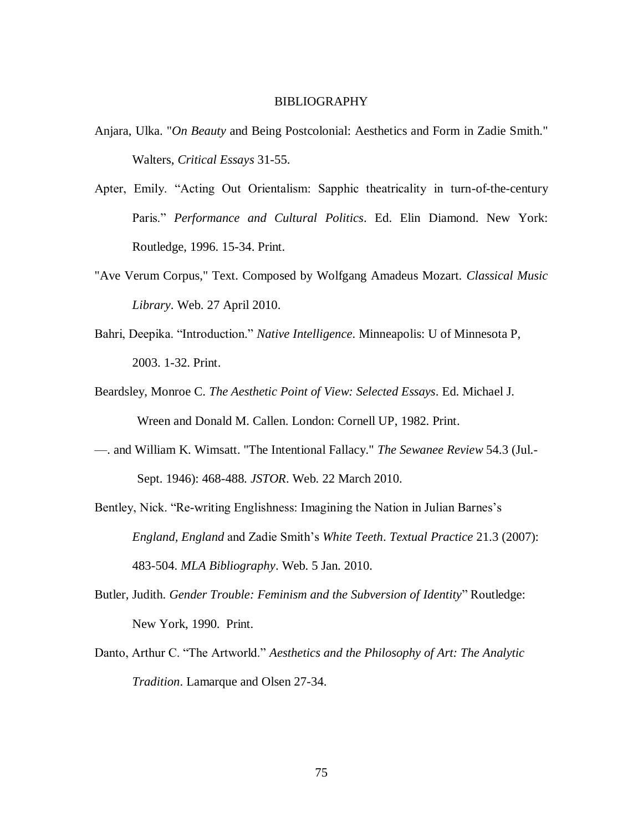## BIBLIOGRAPHY

- Anjara, Ulka. "*On Beauty* and Being Postcolonial: Aesthetics and Form in Zadie Smith." Walters, *Critical Essays* 31-55.
- Apter, Emily. "Acting Out Orientalism: Sapphic theatricality in turn-of-the-century Paris." Performance and Cultural Politics. Ed. Elin Diamond. New York: Routledge, 1996. 15-34. Print.
- "Ave Verum Corpus," Text. Composed by Wolfgang Amadeus Mozart. *Classical Music Library*. Web. 27 April 2010.
- Bahri, Deepika. "Introduction." *Native Intelligence*. Minneapolis: U of Minnesota P, 2003. 1-32. Print.
- Beardsley, Monroe C. *The Aesthetic Point of View: Selected Essays*. Ed. Michael J. Wreen and Donald M. Callen. London: Cornell UP, 1982. Print.
- —. and William K. Wimsatt. "The Intentional Fallacy." *The Sewanee Review* 54.3 (Jul.- Sept. 1946): 468-488. *JSTOR*. Web. 22 March 2010.
- Bentley, Nick. "Re-writing Englishness: Imagining the Nation in Julian Barnes's *England, England* and Zadie Smith's *White Teeth*. *Textual Practice* 21.3 (2007): 483-504. *MLA Bibliography*. Web. 5 Jan. 2010.
- Butler, Judith. *Gender Trouble: Feminism and the Subversion of Identity*" Routledge: New York, 1990. Print.
- Danto, Arthur C. "The Artworld." *Aesthetics and the Philosophy of Art: The Analytic Tradition*. Lamarque and Olsen 27-34.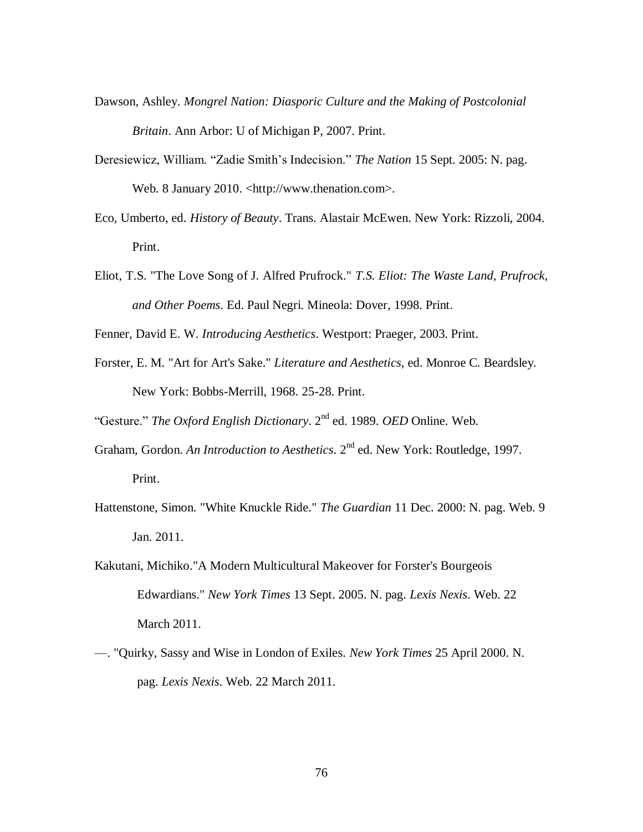- Dawson, Ashley. *Mongrel Nation: Diasporic Culture and the Making of Postcolonial Britain*. Ann Arbor: U of Michigan P, 2007. Print.
- Deresiewicz, William. "Zadie Smith's Indecision." *The Nation* 15 Sept. 2005: N. pag. Web. 8 January 2010. <http://www.thenation.com>.
- Eco, Umberto, ed. *History of Beauty*. Trans. Alastair McEwen. New York: Rizzoli, 2004. Print.
- Eliot, T.S. "The Love Song of J. Alfred Prufrock." *T.S. Eliot: The Waste Land, Prufrock, and Other Poems*. Ed. Paul Negri. Mineola: Dover, 1998. Print.
- Fenner, David E. W. *Introducing Aesthetics*. Westport: Praeger, 2003. Print.
- Forster, E. M. "Art for Art's Sake." *Literature and Aesthetics*, ed. Monroe C. Beardsley. New York: Bobbs-Merrill, 1968. 25-28. Print.

―Gesture.‖ *The Oxford English Dictionary*. 2nd ed. 1989. *OED* Online. Web.

Graham, Gordon. *An Introduction to Aesthetics*. 2nd ed. New York: Routledge, 1997.

Print.

- Hattenstone, Simon. "White Knuckle Ride." *The Guardian* 11 Dec. 2000: N. pag. Web. 9 Jan. 2011.
- Kakutani, Michiko."A Modern Multicultural Makeover for Forster's Bourgeois Edwardians." *New York Times* 13 Sept. 2005. N. pag. *Lexis Nexis*. Web. 22 March 2011.
- —. "Quirky, Sassy and Wise in London of Exiles. *New York Times* 25 April 2000. N. pag. *Lexis Nexis*. Web. 22 March 2011.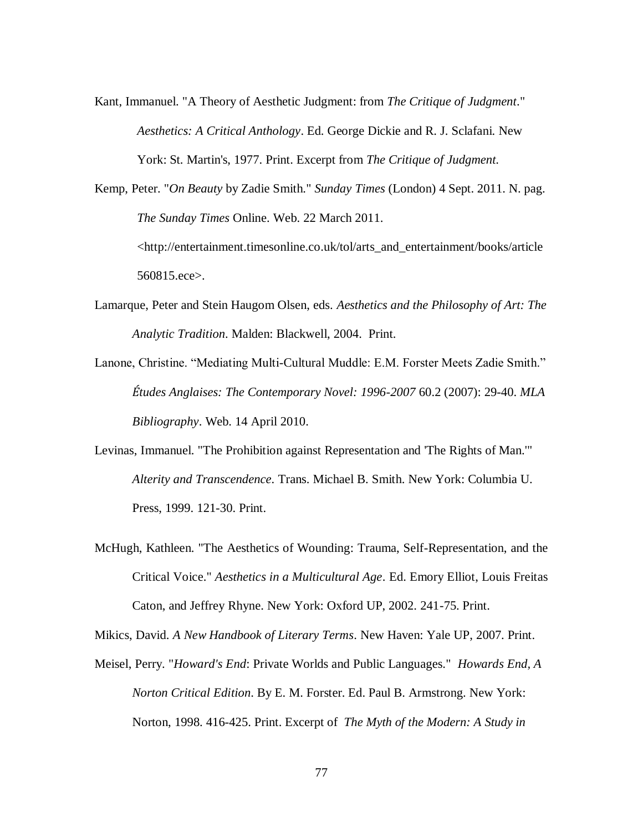Kant, Immanuel. "A Theory of Aesthetic Judgment: from *The Critique of Judgment*." *Aesthetics: A Critical Anthology*. Ed. George Dickie and R. J. Sclafani. New York: St. Martin's, 1977. Print. Excerpt from *The Critique of Judgment*.

Kemp, Peter. "*On Beauty* by Zadie Smith." *Sunday Times* (London) 4 Sept. 2011. N. pag. *The Sunday Times* Online. Web. 22 March 2011. <http://entertainment.timesonline.co.uk/tol/arts\_and\_entertainment/books/article 560815.ece>.

- Lamarque, Peter and Stein Haugom Olsen, eds. *Aesthetics and the Philosophy of Art: The Analytic Tradition*. Malden: Blackwell, 2004. Print.
- Lanone, Christine. "Mediating Multi-Cultural Muddle: E.M. Forster Meets Zadie Smith." *Études Anglaises: The Contemporary Novel: 1996-2007* 60.2 (2007): 29-40. *MLA Bibliography*. Web. 14 April 2010.
- Levinas, Immanuel. "The Prohibition against Representation and 'The Rights of Man.'" *Alterity and Transcendence*. Trans. Michael B. Smith. New York: Columbia U. Press, 1999. 121-30. Print.
- McHugh, Kathleen. "The Aesthetics of Wounding: Trauma, Self-Representation, and the Critical Voice." *Aesthetics in a Multicultural Age*. Ed. Emory Elliot, Louis Freitas Caton, and Jeffrey Rhyne. New York: Oxford UP, 2002. 241-75. Print.

Mikics, David. *A New Handbook of Literary Terms*. New Haven: Yale UP, 2007. Print.

Meisel, Perry. "*Howard's End*: Private Worlds and Public Languages." *Howards End, A Norton Critical Edition*. By E. M. Forster. Ed. Paul B. Armstrong. New York: Norton, 1998. 416-425. Print. Excerpt of *The Myth of the Modern: A Study in*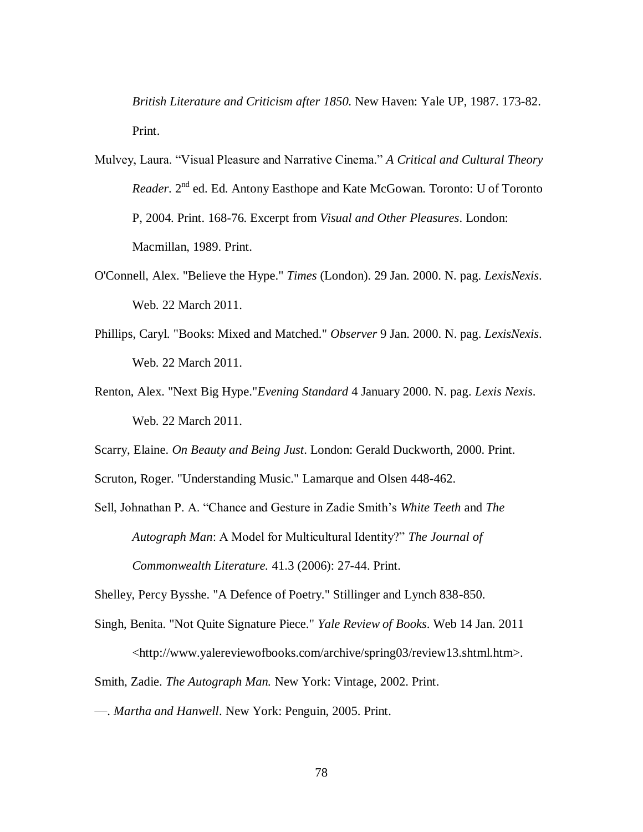*British Literature and Criticism after 1850*. New Haven: Yale UP, 1987. 173-82. Print.

- Mulvey, Laura. "Visual Pleasure and Narrative Cinema." A Critical and Cultural Theory *Reader*. 2<sup>nd</sup> ed. Ed. Antony Easthope and Kate McGowan. Toronto: U of Toronto P, 2004. Print. 168-76. Excerpt from *Visual and Other Pleasures*. London: Macmillan, 1989. Print.
- O'Connell, Alex. "Believe the Hype." *Times* (London). 29 Jan. 2000. N. pag. *LexisNexis*. Web. 22 March 2011.
- Phillips, Caryl. "Books: Mixed and Matched." *Observer* 9 Jan. 2000. N. pag. *LexisNexis*. Web. 22 March 2011.
- Renton, Alex. "Next Big Hype."*Evening Standard* 4 January 2000. N. pag. *Lexis Nexis*. Web. 22 March 2011.
- Scarry, Elaine. *On Beauty and Being Just*. London: Gerald Duckworth, 2000. Print.

Scruton, Roger. "Understanding Music." Lamarque and Olsen 448-462.

Sell, Johnathan P. A. ―Chance and Gesture in Zadie Smith's *White Teeth* and *The* Autograph Man: A Model for Multicultural Identity?" The Journal of *Commonwealth Literature.* 41.3 (2006): 27-44. Print.

Shelley, Percy Bysshe. "A Defence of Poetry." Stillinger and Lynch 838-850.

- Singh, Benita. "Not Quite Signature Piece." *Yale Review of Books*. Web 14 Jan. 2011 <http://www.yalereviewofbooks.com/archive/spring03/review13.shtml.htm>.
- Smith, Zadie. *The Autograph Man.* New York: Vintage, 2002. Print.
- —. *Martha and Hanwell*. New York: Penguin, 2005. Print.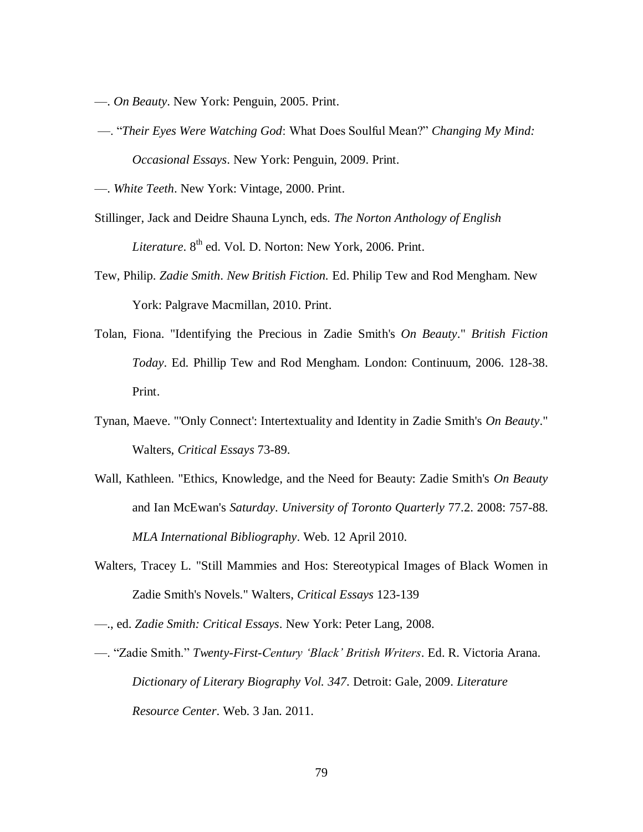- —. *On Beauty*. New York: Penguin, 2005. Print.
- —. ―*Their Eyes Were Watching God*: What Does Soulful Mean?‖ *Changing My Mind: Occasional Essays*. New York: Penguin, 2009. Print.
- —. *White Teeth*. New York: Vintage, 2000. Print.
- Stillinger, Jack and Deidre Shauna Lynch, eds. *The Norton Anthology of English Literature*. 8<sup>th</sup> ed. Vol. D. Norton: New York, 2006. Print.
- Tew, Philip. *Zadie Smith*. *New British Fiction.* Ed. Philip Tew and Rod Mengham. New York: Palgrave Macmillan, 2010. Print.
- Tolan, Fiona. "Identifying the Precious in Zadie Smith's *On Beauty*." *British Fiction Today*. Ed. Phillip Tew and Rod Mengham. London: Continuum, 2006. 128-38. Print.
- Tynan, Maeve. "'Only Connect': Intertextuality and Identity in Zadie Smith's *On Beauty*." Walters, *Critical Essays* 73-89.
- Wall, Kathleen. "Ethics, Knowledge, and the Need for Beauty: Zadie Smith's *On Beauty*  and Ian McEwan's *Saturday*. *University of Toronto Quarterly* 77.2. 2008: 757-88. *MLA International Bibliography*. Web. 12 April 2010.
- Walters, Tracey L. "Still Mammies and Hos: Stereotypical Images of Black Women in Zadie Smith's Novels." Walters, *Critical Essays* 123-139
- —., ed. *Zadie Smith: Critical Essays*. New York: Peter Lang, 2008.
- —. ―Zadie Smith.‖ *Twenty-First-Century 'Black' British Writers*. Ed. R. Victoria Arana. *Dictionary of Literary Biography Vol. 347*. Detroit: Gale, 2009. *Literature Resource Center*. Web. 3 Jan. 2011.